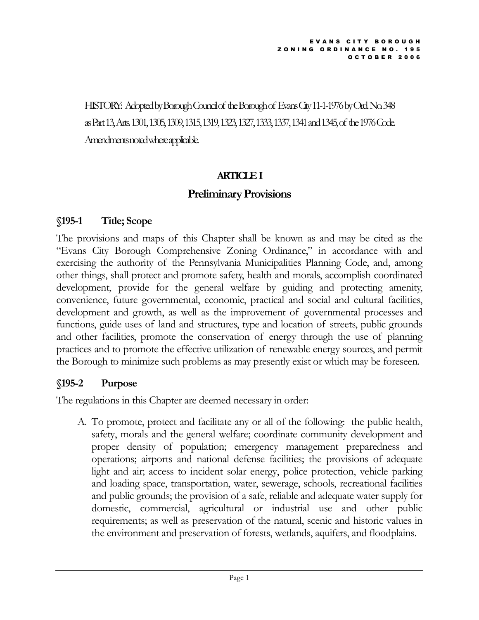HISTORY: Adopted by Borough Council of the Borough of Evans City 11-1-1976 by Ord. No. 348 as Part 13, Arts. 1301, 1305, 1309, 1315, 1319, 1323, 1327, 1333, 1337, 1341 and 1345, of the 1976 Code. Amendments noted where applicable.

### ARTICLE I

### Preliminary Provisions

### §195-1 Title; Scope

The provisions and maps of this Chapter shall be known as and may be cited as the "Evans City Borough Comprehensive Zoning Ordinance," in accordance with and exercising the authority of the Pennsylvania Municipalities Planning Code, and, among other things, shall protect and promote safety, health and morals, accomplish coordinated development, provide for the general welfare by guiding and protecting amenity, convenience, future governmental, economic, practical and social and cultural facilities, development and growth, as well as the improvement of governmental processes and functions, guide uses of land and structures, type and location of streets, public grounds and other facilities, promote the conservation of energy through the use of planning practices and to promote the effective utilization of renewable energy sources, and permit the Borough to minimize such problems as may presently exist or which may be foreseen.

## §195-2 Purpose

The regulations in this Chapter are deemed necessary in order:

A. To promote, protect and facilitate any or all of the following: the public health, safety, morals and the general welfare; coordinate community development and proper density of population; emergency management preparedness and operations; airports and national defense facilities; the provisions of adequate light and air; access to incident solar energy, police protection, vehicle parking and loading space, transportation, water, sewerage, schools, recreational facilities and public grounds; the provision of a safe, reliable and adequate water supply for domestic, commercial, agricultural or industrial use and other public requirements; as well as preservation of the natural, scenic and historic values in the environment and preservation of forests, wetlands, aquifers, and floodplains.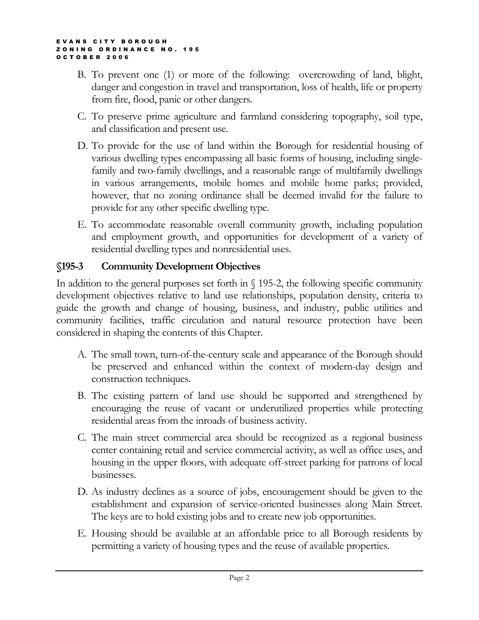- B. To prevent one (1) or more of the following: overcrowding of land, blight, danger and congestion in travel and transportation, loss of health, life or property from fire, flood, panic or other dangers.
- C. To preserve prime agriculture and farmland considering topography, soil type, and classification and present use.
- D. To provide for the use of land within the Borough for residential housing of various dwelling types encompassing all basic forms of housing, including singlefamily and two-family dwellings, and a reasonable range of multifamily dwellings in various arrangements, mobile homes and mobile home parks; provided, however, that no zoning ordinance shall be deemed invalid for the failure to provide for any other specific dwelling type.
- E. To accommodate reasonable overall community growth, including population and employment growth, and opportunities for development of a variety of residential dwelling types and nonresidential uses.

## §195-3 Community Development Objectives

In addition to the general purposes set forth in  $\S$  195-2, the following specific community development objectives relative to land use relationships, population density, criteria to guide the growth and change of housing, business, and industry, public utilities and community facilities, traffic circulation and natural resource protection have been considered in shaping the contents of this Chapter.

- A. The small town, turn-of-the-century scale and appearance of the Borough should be preserved and enhanced within the context of modern-day design and construction techniques.
- B. The existing pattern of land use should be supported and strengthened by encouraging the reuse of vacant or underutilized properties while protecting residential areas from the inroads of business activity.
- C. The main street commercial area should be recognized as a regional business center containing retail and service commercial activity, as well as office uses, and housing in the upper floors, with adequate off-street parking for patrons of local businesses.
- D. As industry declines as a source of jobs, encouragement should be given to the establishment and expansion of service-oriented businesses along Main Street. The keys are to hold existing jobs and to create new job opportunities.
- E. Housing should be available at an affordable price to all Borough residents by permitting a variety of housing types and the reuse of available properties.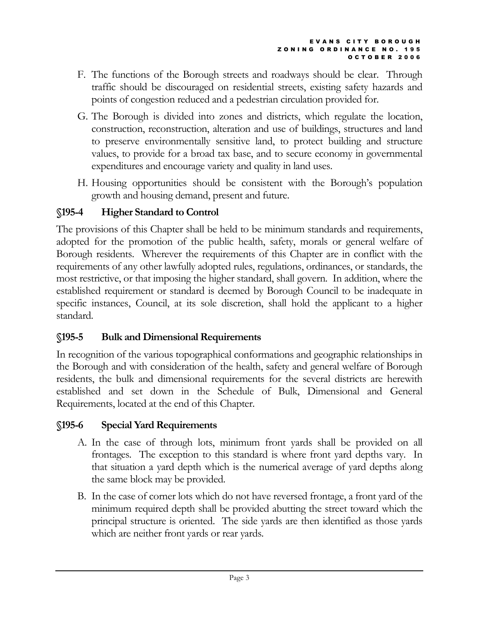- F. The functions of the Borough streets and roadways should be clear. Through traffic should be discouraged on residential streets, existing safety hazards and points of congestion reduced and a pedestrian circulation provided for.
- G. The Borough is divided into zones and districts, which regulate the location, construction, reconstruction, alteration and use of buildings, structures and land to preserve environmentally sensitive land, to protect building and structure values, to provide for a broad tax base, and to secure economy in governmental expenditures and encourage variety and quality in land uses.
- H. Housing opportunities should be consistent with the Borough's population growth and housing demand, present and future.

## §195-4 Higher Standard to Control

The provisions of this Chapter shall be held to be minimum standards and requirements, adopted for the promotion of the public health, safety, morals or general welfare of Borough residents. Wherever the requirements of this Chapter are in conflict with the requirements of any other lawfully adopted rules, regulations, ordinances, or standards, the most restrictive, or that imposing the higher standard, shall govern. In addition, where the established requirement or standard is deemed by Borough Council to be inadequate in specific instances, Council, at its sole discretion, shall hold the applicant to a higher standard.

# §195-5 Bulk and Dimensional Requirements

In recognition of the various topographical conformations and geographic relationships in the Borough and with consideration of the health, safety and general welfare of Borough residents, the bulk and dimensional requirements for the several districts are herewith established and set down in the Schedule of Bulk, Dimensional and General Requirements, located at the end of this Chapter.

# §195-6 Special Yard Requirements

- A. In the case of through lots, minimum front yards shall be provided on all frontages. The exception to this standard is where front yard depths vary. In that situation a yard depth which is the numerical average of yard depths along the same block may be provided.
- B. In the case of corner lots which do not have reversed frontage, a front yard of the minimum required depth shall be provided abutting the street toward which the principal structure is oriented. The side yards are then identified as those yards which are neither front yards or rear yards.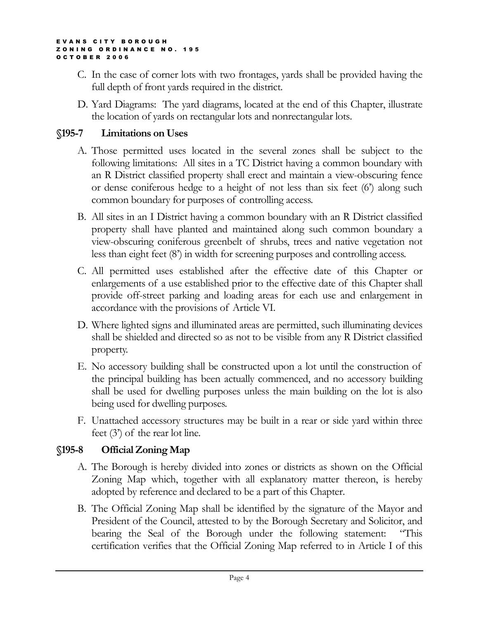- C. In the case of corner lots with two frontages, yards shall be provided having the full depth of front yards required in the district.
- D. Yard Diagrams: The yard diagrams, located at the end of this Chapter, illustrate the location of yards on rectangular lots and nonrectangular lots.

### §195-7 Limitations on Uses

- A. Those permitted uses located in the several zones shall be subject to the following limitations: All sites in a TC District having a common boundary with an R District classified property shall erect and maintain a view-obscuring fence or dense coniferous hedge to a height of not less than six feet (6') along such common boundary for purposes of controlling access.
- B. All sites in an I District having a common boundary with an R District classified property shall have planted and maintained along such common boundary a view-obscuring coniferous greenbelt of shrubs, trees and native vegetation not less than eight feet (8') in width for screening purposes and controlling access.
- C. All permitted uses established after the effective date of this Chapter or enlargements of a use established prior to the effective date of this Chapter shall provide off-street parking and loading areas for each use and enlargement in accordance with the provisions of Article VI.
- D. Where lighted signs and illuminated areas are permitted, such illuminating devices shall be shielded and directed so as not to be visible from any R District classified property.
- E. No accessory building shall be constructed upon a lot until the construction of the principal building has been actually commenced, and no accessory building shall be used for dwelling purposes unless the main building on the lot is also being used for dwelling purposes.
- F. Unattached accessory structures may be built in a rear or side yard within three feet (3') of the rear lot line.

## §195-8 Official Zoning Map

- A. The Borough is hereby divided into zones or districts as shown on the Official Zoning Map which, together with all explanatory matter thereon, is hereby adopted by reference and declared to be a part of this Chapter.
- B. The Official Zoning Map shall be identified by the signature of the Mayor and President of the Council, attested to by the Borough Secretary and Solicitor, and bearing the Seal of the Borough under the following statement: "This certification verifies that the Official Zoning Map referred to in Article I of this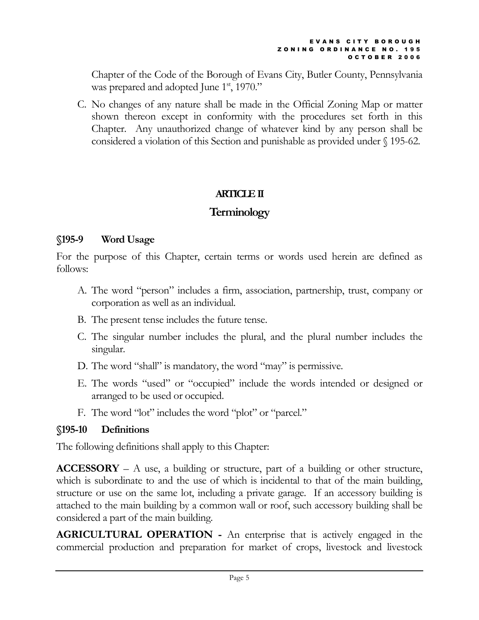Chapter of the Code of the Borough of Evans City, Butler County, Pennsylvania was prepared and adopted June  $1<sup>st</sup>$ , 1970."

C. No changes of any nature shall be made in the Official Zoning Map or matter shown thereon except in conformity with the procedures set forth in this Chapter. Any unauthorized change of whatever kind by any person shall be considered a violation of this Section and punishable as provided under § 195-62.

## ARTICLE II

# **Terminology**

## §195-9 Word Usage

For the purpose of this Chapter, certain terms or words used herein are defined as follows:

- A. The word "person" includes a firm, association, partnership, trust, company or corporation as well as an individual.
- B. The present tense includes the future tense.
- C. The singular number includes the plural, and the plural number includes the singular.
- D. The word "shall" is mandatory, the word "may" is permissive.
- E. The words "used" or "occupied" include the words intended or designed or arranged to be used or occupied.
- F. The word "lot" includes the word "plot" or "parcel."

# §195-10 Definitions

The following definitions shall apply to this Chapter:

 $ACCESSORY - A$  use, a building or structure, part of a building or other structure, which is subordinate to and the use of which is incidental to that of the main building, structure or use on the same lot, including a private garage. If an accessory building is attached to the main building by a common wall or roof, such accessory building shall be considered a part of the main building.

AGRICULTURAL OPERATION - An enterprise that is actively engaged in the commercial production and preparation for market of crops, livestock and livestock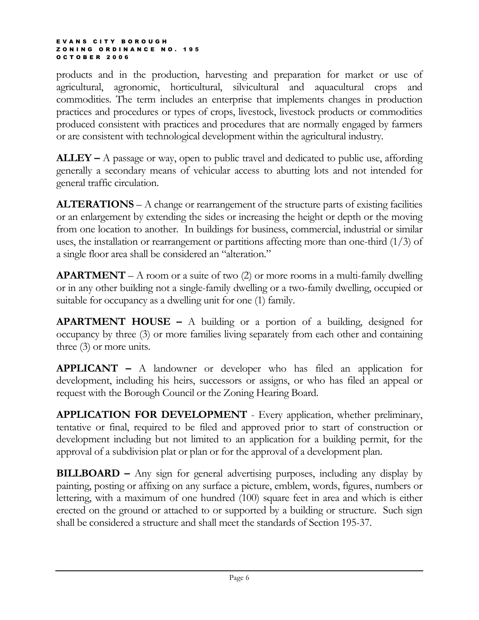products and in the production, harvesting and preparation for market or use of agricultural, agronomic, horticultural, silvicultural and aquacultural crops and commodities. The term includes an enterprise that implements changes in production practices and procedures or types of crops, livestock, livestock products or commodities produced consistent with practices and procedures that are normally engaged by farmers or are consistent with technological development within the agricultural industry.

 $ALLEY - A$  passage or way, open to public travel and dedicated to public use, affording generally a secondary means of vehicular access to abutting lots and not intended for general traffic circulation.

ALTERATIONS – A change or rearrangement of the structure parts of existing facilities or an enlargement by extending the sides or increasing the height or depth or the moving from one location to another. In buildings for business, commercial, industrial or similar uses, the installation or rearrangement or partitions affecting more than one-third  $(1/3)$  of a single floor area shall be considered an "alteration."

**APARTMENT** – A room or a suite of two  $(2)$  or more rooms in a multi-family dwelling or in any other building not a single-family dwelling or a two-family dwelling, occupied or suitable for occupancy as a dwelling unit for one (1) family.

**APARTMENT HOUSE –** A building or a portion of a building, designed for occupancy by three (3) or more families living separately from each other and containing three (3) or more units.

APPLICANT – A landowner or developer who has filed an application for development, including his heirs, successors or assigns, or who has filed an appeal or request with the Borough Council or the Zoning Hearing Board.

APPLICATION FOR DEVELOPMENT - Every application, whether preliminary, tentative or final, required to be filed and approved prior to start of construction or development including but not limited to an application for a building permit, for the approval of a subdivision plat or plan or for the approval of a development plan.

BILLBOARD – Any sign for general advertising purposes, including any display by painting, posting or affixing on any surface a picture, emblem, words, figures, numbers or lettering, with a maximum of one hundred (100) square feet in area and which is either erected on the ground or attached to or supported by a building or structure. Such sign shall be considered a structure and shall meet the standards of Section 195-37.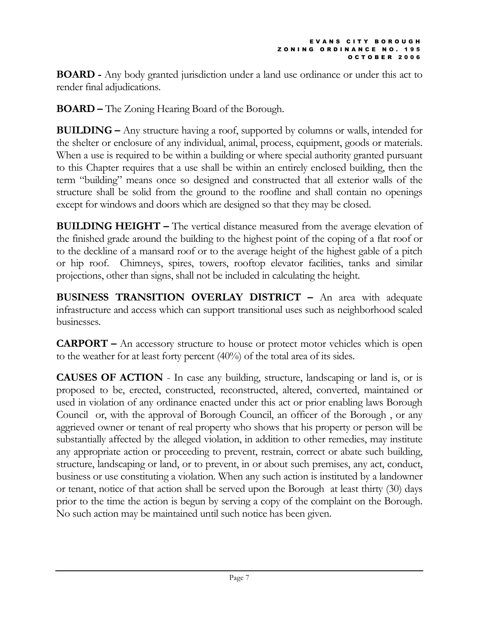BOARD - Any body granted jurisdiction under a land use ordinance or under this act to render final adjudications.

BOARD – The Zoning Hearing Board of the Borough.

BUILDING – Any structure having a roof, supported by columns or walls, intended for the shelter or enclosure of any individual, animal, process, equipment, goods or materials. When a use is required to be within a building or where special authority granted pursuant to this Chapter requires that a use shall be within an entirely enclosed building, then the term "building" means once so designed and constructed that all exterior walls of the structure shall be solid from the ground to the roofline and shall contain no openings except for windows and doors which are designed so that they may be closed.

BUILDING HEIGHT – The vertical distance measured from the average elevation of the finished grade around the building to the highest point of the coping of a flat roof or to the deckline of a mansard roof or to the average height of the highest gable of a pitch or hip roof. Chimneys, spires, towers, rooftop elevator facilities, tanks and similar projections, other than signs, shall not be included in calculating the height.

BUSINESS TRANSITION OVERLAY DISTRICT – An area with adequate infrastructure and access which can support transitional uses such as neighborhood scaled businesses.

CARPORT – An accessory structure to house or protect motor vehicles which is open to the weather for at least forty percent (40%) of the total area of its sides.

CAUSES OF ACTION - In case any building, structure, landscaping or land is, or is proposed to be, erected, constructed, reconstructed, altered, converted, maintained or used in violation of any ordinance enacted under this act or prior enabling laws Borough Council or, with the approval of Borough Council, an officer of the Borough , or any aggrieved owner or tenant of real property who shows that his property or person will be substantially affected by the alleged violation, in addition to other remedies, may institute any appropriate action or proceeding to prevent, restrain, correct or abate such building, structure, landscaping or land, or to prevent, in or about such premises, any act, conduct, business or use constituting a violation. When any such action is instituted by a landowner or tenant, notice of that action shall be served upon the Borough at least thirty (30) days prior to the time the action is begun by serving a copy of the complaint on the Borough. No such action may be maintained until such notice has been given.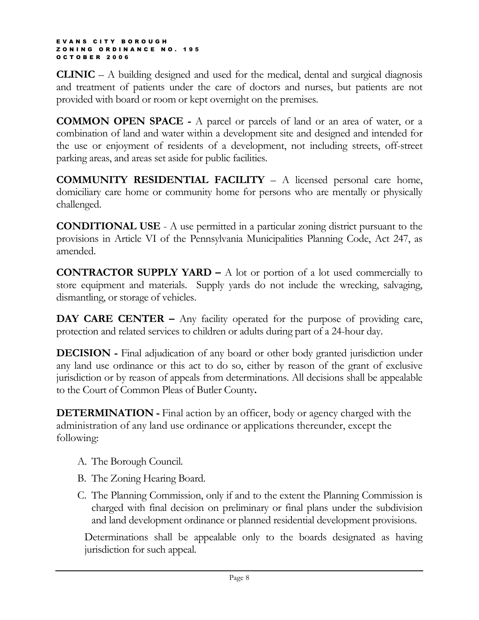CLINIC – A building designed and used for the medical, dental and surgical diagnosis and treatment of patients under the care of doctors and nurses, but patients are not provided with board or room or kept overnight on the premises.

COMMON OPEN SPACE - A parcel or parcels of land or an area of water, or a combination of land and water within a development site and designed and intended for the use or enjoyment of residents of a development, not including streets, off-street parking areas, and areas set aside for public facilities.

COMMUNITY RESIDENTIAL FACILITY – A licensed personal care home, domiciliary care home or community home for persons who are mentally or physically challenged.

CONDITIONAL USE - A use permitted in a particular zoning district pursuant to the provisions in Article VI of the Pennsylvania Municipalities Planning Code, Act 247, as amended.

**CONTRACTOR SUPPLY YARD –** A lot or portion of a lot used commercially to store equipment and materials. Supply yards do not include the wrecking, salvaging, dismantling, or storage of vehicles.

DAY CARE CENTER – Any facility operated for the purpose of providing care, protection and related services to children or adults during part of a 24-hour day.

DECISION - Final adjudication of any board or other body granted jurisdiction under any land use ordinance or this act to do so, either by reason of the grant of exclusive jurisdiction or by reason of appeals from determinations. All decisions shall be appealable to the Court of Common Pleas of Butler County.

**DETERMINATION** - Final action by an officer, body or agency charged with the administration of any land use ordinance or applications thereunder, except the following:

- A. The Borough Council.
- B. The Zoning Hearing Board.
- C. The Planning Commission, only if and to the extent the Planning Commission is charged with final decision on preliminary or final plans under the subdivision and land development ordinance or planned residential development provisions.

Determinations shall be appealable only to the boards designated as having jurisdiction for such appeal.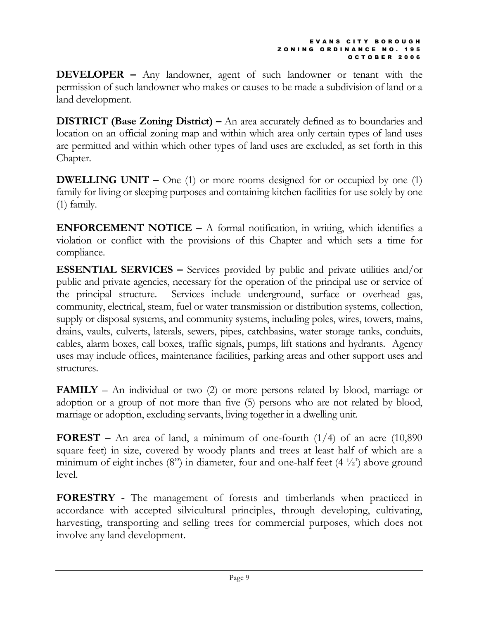DEVELOPER – Any landowner, agent of such landowner or tenant with the permission of such landowner who makes or causes to be made a subdivision of land or a land development.

DISTRICT (Base Zoning District) – An area accurately defined as to boundaries and location on an official zoning map and within which area only certain types of land uses are permitted and within which other types of land uses are excluded, as set forth in this Chapter.

**DWELLING UNIT** – One (1) or more rooms designed for or occupied by one (1) family for living or sleeping purposes and containing kitchen facilities for use solely by one (1) family.

**ENFORCEMENT NOTICE –** A formal notification, in writing, which identifies a violation or conflict with the provisions of this Chapter and which sets a time for compliance.

ESSENTIAL SERVICES – Services provided by public and private utilities and/or public and private agencies, necessary for the operation of the principal use or service of the principal structure. Services include underground, surface or overhead gas, community, electrical, steam, fuel or water transmission or distribution systems, collection, supply or disposal systems, and community systems, including poles, wires, towers, mains, drains, vaults, culverts, laterals, sewers, pipes, catchbasins, water storage tanks, conduits, cables, alarm boxes, call boxes, traffic signals, pumps, lift stations and hydrants. Agency uses may include offices, maintenance facilities, parking areas and other support uses and structures.

**FAMILY** – An individual or two  $(2)$  or more persons related by blood, marriage or adoption or a group of not more than five (5) persons who are not related by blood, marriage or adoption, excluding servants, living together in a dwelling unit.

**FOREST** – An area of land, a minimum of one-fourth  $(1/4)$  of an acre  $(10,890)$ square feet) in size, covered by woody plants and trees at least half of which are a minimum of eight inches  $(8)$ ") in diameter, four and one-half feet  $(4\frac{1}{2})$  above ground level.

FORESTRY - The management of forests and timberlands when practiced in accordance with accepted silvicultural principles, through developing, cultivating, harvesting, transporting and selling trees for commercial purposes, which does not involve any land development.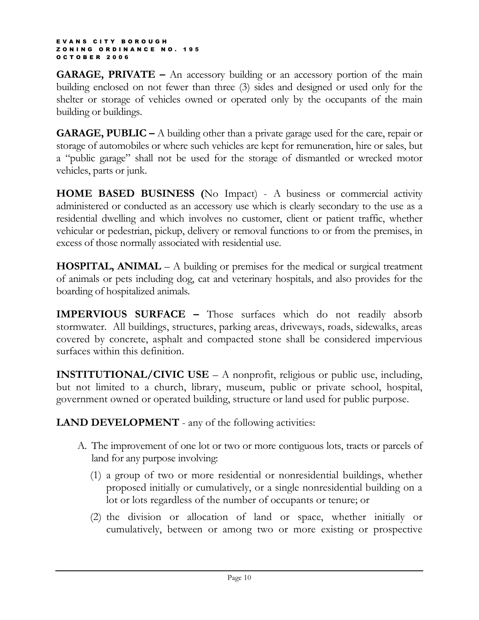**GARAGE, PRIVATE** – An accessory building or an accessory portion of the main building enclosed on not fewer than three (3) sides and designed or used only for the shelter or storage of vehicles owned or operated only by the occupants of the main building or buildings.

GARAGE, PUBLIC – A building other than a private garage used for the care, repair or storage of automobiles or where such vehicles are kept for remuneration, hire or sales, but a "public garage" shall not be used for the storage of dismantled or wrecked motor vehicles, parts or junk.

HOME BASED BUSINESS (No Impact) - A business or commercial activity administered or conducted as an accessory use which is clearly secondary to the use as a residential dwelling and which involves no customer, client or patient traffic, whether vehicular or pedestrian, pickup, delivery or removal functions to or from the premises, in excess of those normally associated with residential use.

**HOSPITAL, ANIMAL** – A building or premises for the medical or surgical treatment of animals or pets including dog, cat and veterinary hospitals, and also provides for the boarding of hospitalized animals.

IMPERVIOUS SURFACE – Those surfaces which do not readily absorb stormwater. All buildings, structures, parking areas, driveways, roads, sidewalks, areas covered by concrete, asphalt and compacted stone shall be considered impervious surfaces within this definition.

INSTITUTIONAL/CIVIC USE – A nonprofit, religious or public use, including, but not limited to a church, library, museum, public or private school, hospital, government owned or operated building, structure or land used for public purpose.

**LAND DEVELOPMENT** - any of the following activities:

- A. The improvement of one lot or two or more contiguous lots, tracts or parcels of land for any purpose involving:
	- (1) a group of two or more residential or nonresidential buildings, whether proposed initially or cumulatively, or a single nonresidential building on a lot or lots regardless of the number of occupants or tenure; or
	- (2) the division or allocation of land or space, whether initially or cumulatively, between or among two or more existing or prospective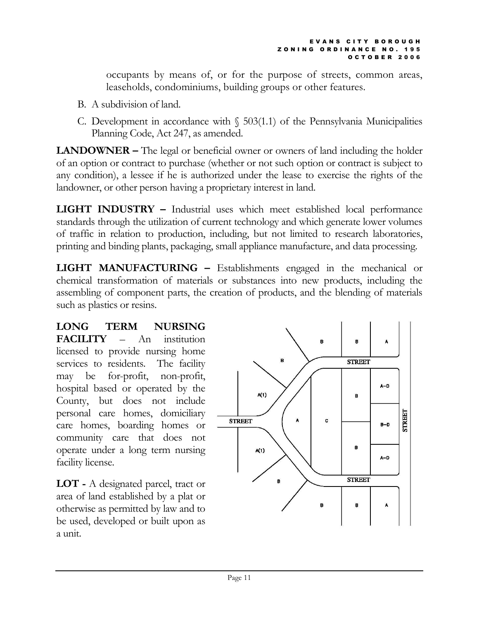occupants by means of, or for the purpose of streets, common areas, leaseholds, condominiums, building groups or other features.

- B. A subdivision of land.
- C. Development in accordance with  $\S$  503(1.1) of the Pennsylvania Municipalities Planning Code, Act 247, as amended.

LANDOWNER – The legal or beneficial owner or owners of land including the holder of an option or contract to purchase (whether or not such option or contract is subject to any condition), a lessee if he is authorized under the lease to exercise the rights of the landowner, or other person having a proprietary interest in land.

LIGHT INDUSTRY – Industrial uses which meet established local performance standards through the utilization of current technology and which generate lower volumes of traffic in relation to production, including, but not limited to research laboratories, printing and binding plants, packaging, small appliance manufacture, and data processing.

LIGHT MANUFACTURING – Establishments engaged in the mechanical or chemical transformation of materials or substances into new products, including the assembling of component parts, the creation of products, and the blending of materials such as plastics or resins.

LONG TERM NURSING FACILITY – An institution licensed to provide nursing home services to residents. The facility may be for-profit, non-profit, hospital based or operated by the County, but does not include personal care homes, domiciliary care homes, boarding homes or community care that does not operate under a long term nursing facility license.

LOT - A designated parcel, tract or area of land established by a plat or otherwise as permitted by law and to be used, developed or built upon as a unit.

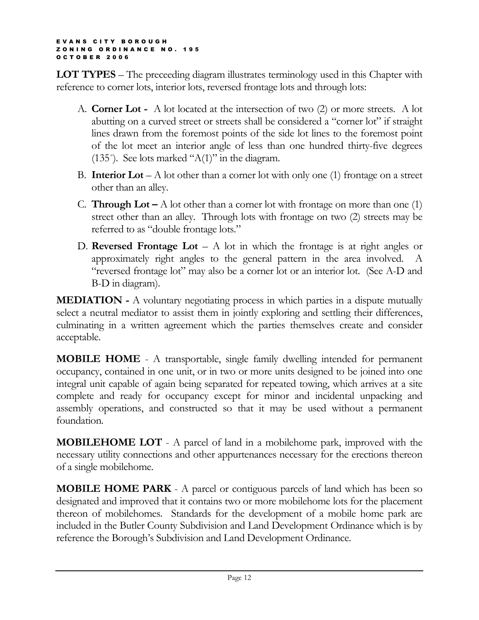LOT TYPES – The preceeding diagram illustrates terminology used in this Chapter with reference to corner lots, interior lots, reversed frontage lots and through lots:

- A. Corner Lot A lot located at the intersection of two (2) or more streets. A lot abutting on a curved street or streets shall be considered a "corner lot" if straight lines drawn from the foremost points of the side lot lines to the foremost point of the lot meet an interior angle of less than one hundred thirty-five degrees (135 $^{\circ}$ ). See lots marked "A(1)" in the diagram.
- B. **Interior Lot** A lot other than a corner lot with only one (1) frontage on a street other than an alley.
- C. **Through Lot** A lot other than a corner lot with frontage on more than one  $(1)$ street other than an alley. Through lots with frontage on two (2) streets may be referred to as "double frontage lots."
- D. Reversed Frontage Lot A lot in which the frontage is at right angles or approximately right angles to the general pattern in the area involved. A "reversed frontage lot" may also be a corner lot or an interior lot. (See A-D and B-D in diagram).

MEDIATION - A voluntary negotiating process in which parties in a dispute mutually select a neutral mediator to assist them in jointly exploring and settling their differences, culminating in a written agreement which the parties themselves create and consider acceptable.

MOBILE HOME - A transportable, single family dwelling intended for permanent occupancy, contained in one unit, or in two or more units designed to be joined into one integral unit capable of again being separated for repeated towing, which arrives at a site complete and ready for occupancy except for minor and incidental unpacking and assembly operations, and constructed so that it may be used without a permanent foundation.

MOBILEHOME LOT - A parcel of land in a mobilehome park, improved with the necessary utility connections and other appurtenances necessary for the erections thereon of a single mobilehome.

**MOBILE HOME PARK** - A parcel or contiguous parcels of land which has been so designated and improved that it contains two or more mobilehome lots for the placement thereon of mobilehomes. Standards for the development of a mobile home park are included in the Butler County Subdivision and Land Development Ordinance which is by reference the Borough's Subdivision and Land Development Ordinance.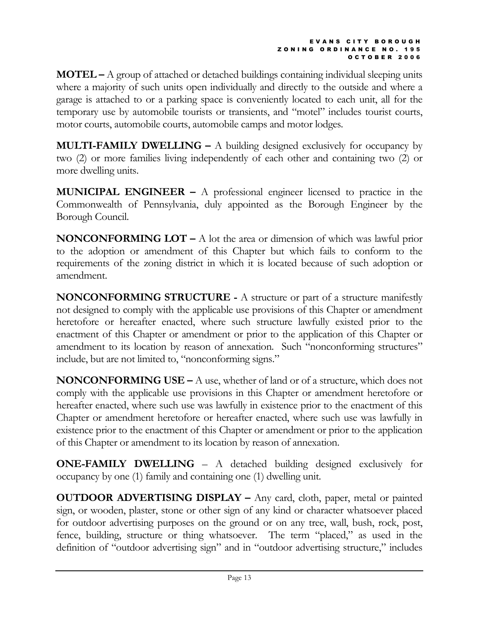$MOTEL - A$  group of attached or detached buildings containing individual sleeping units where a majority of such units open individually and directly to the outside and where a garage is attached to or a parking space is conveniently located to each unit, all for the temporary use by automobile tourists or transients, and "motel" includes tourist courts, motor courts, automobile courts, automobile camps and motor lodges.

**MULTI-FAMILY DWELLING –** A building designed exclusively for occupancy by two (2) or more families living independently of each other and containing two (2) or more dwelling units.

MUNICIPAL ENGINEER – A professional engineer licensed to practice in the Commonwealth of Pennsylvania, duly appointed as the Borough Engineer by the Borough Council.

**NONCONFORMING LOT** – A lot the area or dimension of which was lawful prior to the adoption or amendment of this Chapter but which fails to conform to the requirements of the zoning district in which it is located because of such adoption or amendment.

NONCONFORMING STRUCTURE - A structure or part of a structure manifestly not designed to comply with the applicable use provisions of this Chapter or amendment heretofore or hereafter enacted, where such structure lawfully existed prior to the enactment of this Chapter or amendment or prior to the application of this Chapter or amendment to its location by reason of annexation. Such "nonconforming structures" include, but are not limited to, "nonconforming signs."

**NONCONFORMING USE –** A use, whether of land or of a structure, which does not comply with the applicable use provisions in this Chapter or amendment heretofore or hereafter enacted, where such use was lawfully in existence prior to the enactment of this Chapter or amendment heretofore or hereafter enacted, where such use was lawfully in existence prior to the enactment of this Chapter or amendment or prior to the application of this Chapter or amendment to its location by reason of annexation.

ONE-FAMILY DWELLING – A detached building designed exclusively for occupancy by one (1) family and containing one (1) dwelling unit.

OUTDOOR ADVERTISING DISPLAY – Any card, cloth, paper, metal or painted sign, or wooden, plaster, stone or other sign of any kind or character whatsoever placed for outdoor advertising purposes on the ground or on any tree, wall, bush, rock, post, fence, building, structure or thing whatsoever. The term "placed," as used in the definition of "outdoor advertising sign" and in "outdoor advertising structure," includes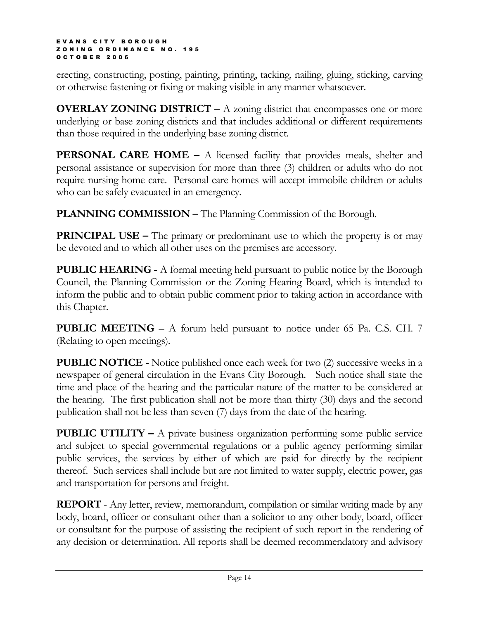erecting, constructing, posting, painting, printing, tacking, nailing, gluing, sticking, carving or otherwise fastening or fixing or making visible in any manner whatsoever.

**OVERLAY ZONING DISTRICT –** A zoning district that encompasses one or more underlying or base zoning districts and that includes additional or different requirements than those required in the underlying base zoning district.

**PERSONAL CARE HOME –** A licensed facility that provides meals, shelter and personal assistance or supervision for more than three (3) children or adults who do not require nursing home care. Personal care homes will accept immobile children or adults who can be safely evacuated in an emergency.

PLANNING COMMISSION – The Planning Commission of the Borough.

**PRINCIPAL USE –** The primary or predominant use to which the property is or may be devoted and to which all other uses on the premises are accessory.

PUBLIC HEARING - A formal meeting held pursuant to public notice by the Borough Council, the Planning Commission or the Zoning Hearing Board, which is intended to inform the public and to obtain public comment prior to taking action in accordance with this Chapter.

PUBLIC MEETING – A forum held pursuant to notice under 65 Pa. C.S. CH. 7 (Relating to open meetings).

PUBLIC NOTICE - Notice published once each week for two (2) successive weeks in a newspaper of general circulation in the Evans City Borough. Such notice shall state the time and place of the hearing and the particular nature of the matter to be considered at the hearing. The first publication shall not be more than thirty (30) days and the second publication shall not be less than seven (7) days from the date of the hearing.

PUBLIC UTILITY – A private business organization performing some public service and subject to special governmental regulations or a public agency performing similar public services, the services by either of which are paid for directly by the recipient thereof. Such services shall include but are not limited to water supply, electric power, gas and transportation for persons and freight.

REPORT - Any letter, review, memorandum, compilation or similar writing made by any body, board, officer or consultant other than a solicitor to any other body, board, officer or consultant for the purpose of assisting the recipient of such report in the rendering of any decision or determination. All reports shall be deemed recommendatory and advisory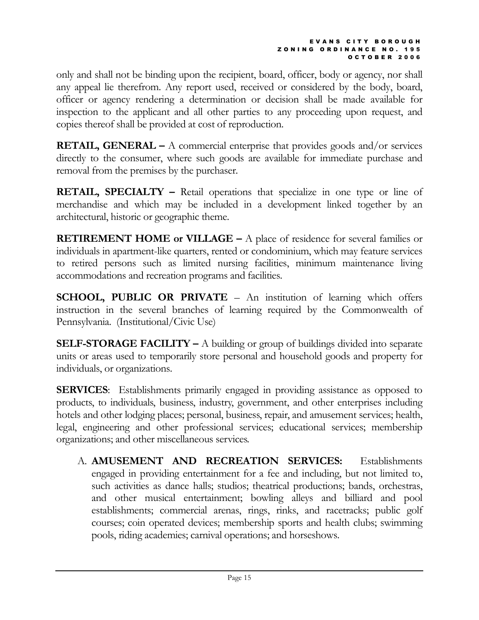only and shall not be binding upon the recipient, board, officer, body or agency, nor shall any appeal lie therefrom. Any report used, received or considered by the body, board, officer or agency rendering a determination or decision shall be made available for inspection to the applicant and all other parties to any proceeding upon request, and copies thereof shall be provided at cost of reproduction.

**RETAIL, GENERAL** – A commercial enterprise that provides goods and/or services directly to the consumer, where such goods are available for immediate purchase and removal from the premises by the purchaser.

RETAIL, SPECIALTY – Retail operations that specialize in one type or line of merchandise and which may be included in a development linked together by an architectural, historic or geographic theme.

RETIREMENT HOME or VILLAGE – A place of residence for several families or individuals in apartment-like quarters, rented or condominium, which may feature services to retired persons such as limited nursing facilities, minimum maintenance living accommodations and recreation programs and facilities.

SCHOOL, PUBLIC OR PRIVATE – An institution of learning which offers instruction in the several branches of learning required by the Commonwealth of Pennsylvania. (Institutional/Civic Use)

SELF-STORAGE FACILITY – A building or group of buildings divided into separate units or areas used to temporarily store personal and household goods and property for individuals, or organizations.

**SERVICES:** Establishments primarily engaged in providing assistance as opposed to products, to individuals, business, industry, government, and other enterprises including hotels and other lodging places; personal, business, repair, and amusement services; health, legal, engineering and other professional services; educational services; membership organizations; and other miscellaneous services.

A. AMUSEMENT AND RECREATION SERVICES: Establishments engaged in providing entertainment for a fee and including, but not limited to, such activities as dance halls; studios; theatrical productions; bands, orchestras, and other musical entertainment; bowling alleys and billiard and pool establishments; commercial arenas, rings, rinks, and racetracks; public golf courses; coin operated devices; membership sports and health clubs; swimming pools, riding academies; carnival operations; and horseshows.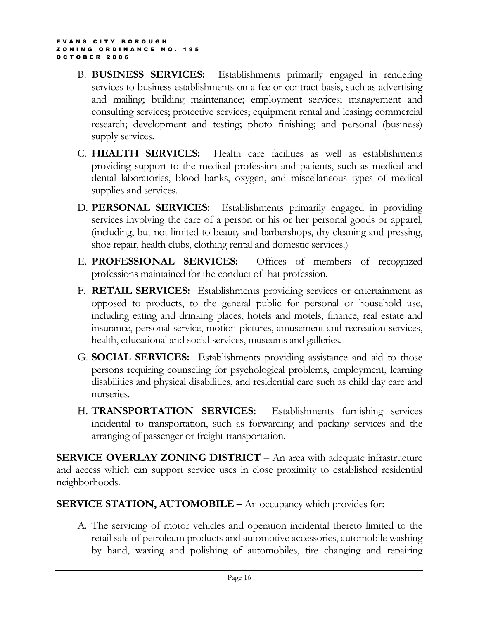- B. BUSINESS SERVICES: Establishments primarily engaged in rendering services to business establishments on a fee or contract basis, such as advertising and mailing; building maintenance; employment services; management and consulting services; protective services; equipment rental and leasing; commercial research; development and testing; photo finishing; and personal (business) supply services.
- C. HEALTH SERVICES: Health care facilities as well as establishments providing support to the medical profession and patients, such as medical and dental laboratories, blood banks, oxygen, and miscellaneous types of medical supplies and services.
- D. PERSONAL SERVICES: Establishments primarily engaged in providing services involving the care of a person or his or her personal goods or apparel, (including, but not limited to beauty and barbershops, dry cleaning and pressing, shoe repair, health clubs, clothing rental and domestic services.)
- E. PROFESSIONAL SERVICES: Offices of members of recognized professions maintained for the conduct of that profession.
- F. RETAIL SERVICES: Establishments providing services or entertainment as opposed to products, to the general public for personal or household use, including eating and drinking places, hotels and motels, finance, real estate and insurance, personal service, motion pictures, amusement and recreation services, health, educational and social services, museums and galleries.
- G. SOCIAL SERVICES: Establishments providing assistance and aid to those persons requiring counseling for psychological problems, employment, learning disabilities and physical disabilities, and residential care such as child day care and nurseries.
- H. TRANSPORTATION SERVICES: Establishments furnishing services incidental to transportation, such as forwarding and packing services and the arranging of passenger or freight transportation.

SERVICE OVERLAY ZONING DISTRICT - An area with adequate infrastructure and access which can support service uses in close proximity to established residential neighborhoods.

### SERVICE STATION, AUTOMOBILE – An occupancy which provides for:

A. The servicing of motor vehicles and operation incidental thereto limited to the retail sale of petroleum products and automotive accessories, automobile washing by hand, waxing and polishing of automobiles, tire changing and repairing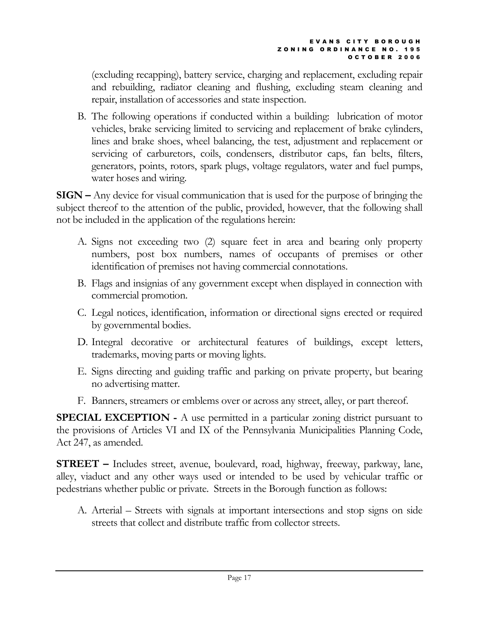(excluding recapping), battery service, charging and replacement, excluding repair and rebuilding, radiator cleaning and flushing, excluding steam cleaning and repair, installation of accessories and state inspection.

B. The following operations if conducted within a building: lubrication of motor vehicles, brake servicing limited to servicing and replacement of brake cylinders, lines and brake shoes, wheel balancing, the test, adjustment and replacement or servicing of carburetors, coils, condensers, distributor caps, fan belts, filters, generators, points, rotors, spark plugs, voltage regulators, water and fuel pumps, water hoses and wiring.

SIGN – Any device for visual communication that is used for the purpose of bringing the subject thereof to the attention of the public, provided, however, that the following shall not be included in the application of the regulations herein:

- A. Signs not exceeding two (2) square feet in area and bearing only property numbers, post box numbers, names of occupants of premises or other identification of premises not having commercial connotations.
- B. Flags and insignias of any government except when displayed in connection with commercial promotion.
- C. Legal notices, identification, information or directional signs erected or required by governmental bodies.
- D. Integral decorative or architectural features of buildings, except letters, trademarks, moving parts or moving lights.
- E. Signs directing and guiding traffic and parking on private property, but bearing no advertising matter.
- F. Banners, streamers or emblems over or across any street, alley, or part thereof.

SPECIAL EXCEPTION - A use permitted in a particular zoning district pursuant to the provisions of Articles VI and IX of the Pennsylvania Municipalities Planning Code, Act 247, as amended.

STREET – Includes street, avenue, boulevard, road, highway, freeway, parkway, lane, alley, viaduct and any other ways used or intended to be used by vehicular traffic or pedestrians whether public or private. Streets in the Borough function as follows:

A. Arterial – Streets with signals at important intersections and stop signs on side streets that collect and distribute traffic from collector streets.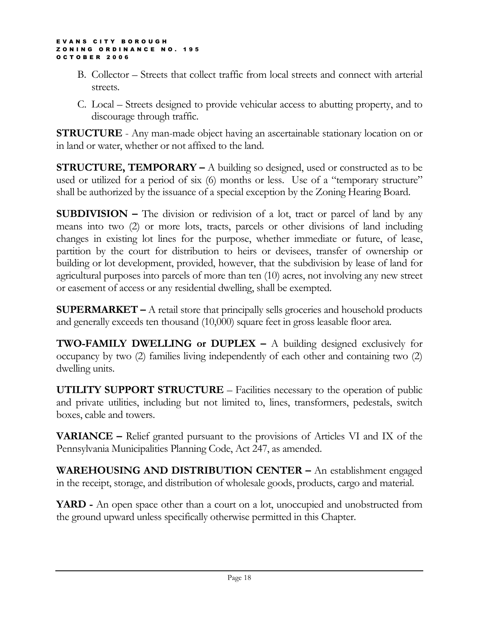- B. Collector Streets that collect traffic from local streets and connect with arterial streets.
- C. Local Streets designed to provide vehicular access to abutting property, and to discourage through traffic.

STRUCTURE - Any man-made object having an ascertainable stationary location on or in land or water, whether or not affixed to the land.

**STRUCTURE, TEMPORARY** – A building so designed, used or constructed as to be used or utilized for a period of six (6) months or less. Use of a "temporary structure" shall be authorized by the issuance of a special exception by the Zoning Hearing Board.

SUBDIVISION – The division or redivision of a lot, tract or parcel of land by any means into two (2) or more lots, tracts, parcels or other divisions of land including changes in existing lot lines for the purpose, whether immediate or future, of lease, partition by the court for distribution to heirs or devisees, transfer of ownership or building or lot development, provided, however, that the subdivision by lease of land for agricultural purposes into parcels of more than ten (10) acres, not involving any new street or easement of access or any residential dwelling, shall be exempted.

SUPERMARKET – A retail store that principally sells groceries and household products and generally exceeds ten thousand (10,000) square feet in gross leasable floor area.

**TWO-FAMILY DWELLING or DUPLEX –** A building designed exclusively for occupancy by two (2) families living independently of each other and containing two (2) dwelling units.

UTILITY SUPPORT STRUCTURE – Facilities necessary to the operation of public and private utilities, including but not limited to, lines, transformers, pedestals, switch boxes, cable and towers.

VARIANCE – Relief granted pursuant to the provisions of Articles VI and IX of the Pennsylvania Municipalities Planning Code, Act 247, as amended.

WAREHOUSING AND DISTRIBUTION CENTER – An establishment engaged in the receipt, storage, and distribution of wholesale goods, products, cargo and material.

YARD - An open space other than a court on a lot, unoccupied and unobstructed from the ground upward unless specifically otherwise permitted in this Chapter.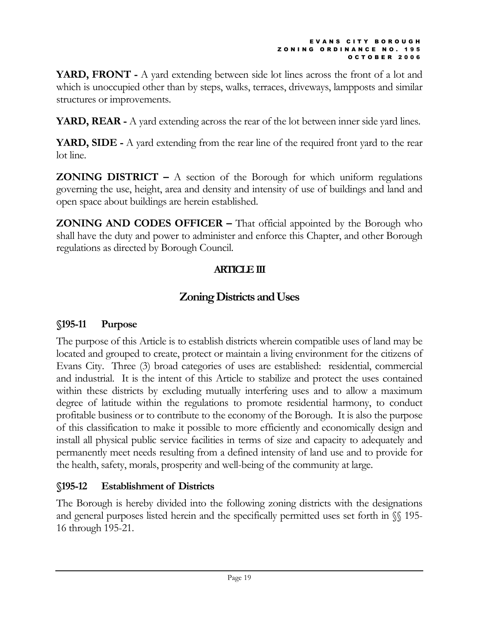YARD, FRONT - A yard extending between side lot lines across the front of a lot and which is unoccupied other than by steps, walks, terraces, driveways, lampposts and similar structures or improvements.

YARD, REAR - A yard extending across the rear of the lot between inner side yard lines.

YARD, SIDE - A yard extending from the rear line of the required front yard to the rear lot line.

**ZONING DISTRICT** – A section of the Borough for which uniform regulations governing the use, height, area and density and intensity of use of buildings and land and open space about buildings are herein established.

**ZONING AND CODES OFFICER** – That official appointed by the Borough who shall have the duty and power to administer and enforce this Chapter, and other Borough regulations as directed by Borough Council.

## ARTICLE III

# Zoning Districts and Uses

# §195-11 Purpose

The purpose of this Article is to establish districts wherein compatible uses of land may be located and grouped to create, protect or maintain a living environment for the citizens of Evans City. Three (3) broad categories of uses are established: residential, commercial and industrial. It is the intent of this Article to stabilize and protect the uses contained within these districts by excluding mutually interfering uses and to allow a maximum degree of latitude within the regulations to promote residential harmony, to conduct profitable business or to contribute to the economy of the Borough. It is also the purpose of this classification to make it possible to more efficiently and economically design and install all physical public service facilities in terms of size and capacity to adequately and permanently meet needs resulting from a defined intensity of land use and to provide for the health, safety, morals, prosperity and well-being of the community at large.

# §195-12 Establishment of Districts

The Borough is hereby divided into the following zoning districts with the designations and general purposes listed herein and the specifically permitted uses set forth in  $\mathcal{N}$  195-16 through 195-21.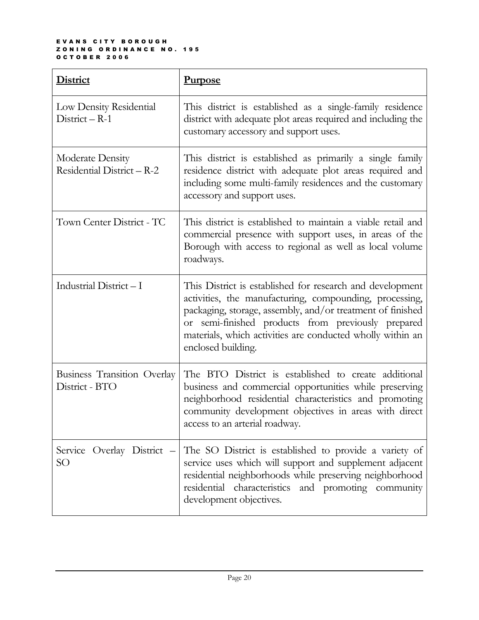#### E V A N S C I T Y B O R O U G H ZONING ORDINANCE NO. 195 O C T O B E R 2 0 0 6

| <b>District</b>                                      | <u>Purpose</u>                                                                                                                                                                                                                                                                                                               |
|------------------------------------------------------|------------------------------------------------------------------------------------------------------------------------------------------------------------------------------------------------------------------------------------------------------------------------------------------------------------------------------|
| Low Density Residential<br>$District - R-1$          | This district is established as a single-family residence<br>district with adequate plot areas required and including the<br>customary accessory and support uses.                                                                                                                                                           |
| Moderate Density<br>Residential District - R-2       | This district is established as primarily a single family<br>residence district with adequate plot areas required and<br>including some multi-family residences and the customary<br>accessory and support uses.                                                                                                             |
| Town Center District - TC                            | This district is established to maintain a viable retail and<br>commercial presence with support uses, in areas of the<br>Borough with access to regional as well as local volume<br>roadways.                                                                                                                               |
| Industrial District-I                                | This District is established for research and development<br>activities, the manufacturing, compounding, processing,<br>packaging, storage, assembly, and/or treatment of finished<br>or semi-finished products from previously prepared<br>materials, which activities are conducted wholly within an<br>enclosed building. |
| <b>Business Transition Overlay</b><br>District - BTO | The BTO District is established to create additional<br>business and commercial opportunities while preserving<br>neighborhood residential characteristics and promoting<br>community development objectives in areas with direct<br>access to an arterial roadway.                                                          |
| Service Overlay District -<br>SО                     | The SO District is established to provide a variety of<br>service uses which will support and supplement adjacent<br>residential neighborhoods while preserving neighborhood<br>residential characteristics and promoting community<br>development objectives.                                                               |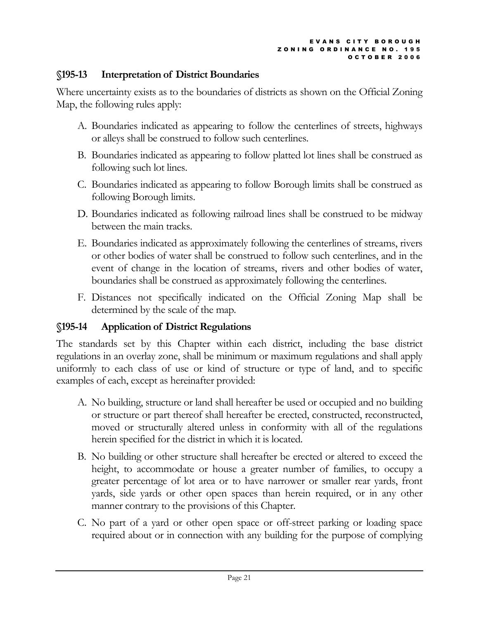### §195-13 Interpretation of District Boundaries

Where uncertainty exists as to the boundaries of districts as shown on the Official Zoning Map, the following rules apply:

- A. Boundaries indicated as appearing to follow the centerlines of streets, highways or alleys shall be construed to follow such centerlines.
- B. Boundaries indicated as appearing to follow platted lot lines shall be construed as following such lot lines.
- C. Boundaries indicated as appearing to follow Borough limits shall be construed as following Borough limits.
- D. Boundaries indicated as following railroad lines shall be construed to be midway between the main tracks.
- E. Boundaries indicated as approximately following the centerlines of streams, rivers or other bodies of water shall be construed to follow such centerlines, and in the event of change in the location of streams, rivers and other bodies of water, boundaries shall be construed as approximately following the centerlines.
- F. Distances not specifically indicated on the Official Zoning Map shall be determined by the scale of the map.

## §195-14 Application of District Regulations

The standards set by this Chapter within each district, including the base district regulations in an overlay zone, shall be minimum or maximum regulations and shall apply uniformly to each class of use or kind of structure or type of land, and to specific examples of each, except as hereinafter provided:

- A. No building, structure or land shall hereafter be used or occupied and no building or structure or part thereof shall hereafter be erected, constructed, reconstructed, moved or structurally altered unless in conformity with all of the regulations herein specified for the district in which it is located.
- B. No building or other structure shall hereafter be erected or altered to exceed the height, to accommodate or house a greater number of families, to occupy a greater percentage of lot area or to have narrower or smaller rear yards, front yards, side yards or other open spaces than herein required, or in any other manner contrary to the provisions of this Chapter.
- C. No part of a yard or other open space or off-street parking or loading space required about or in connection with any building for the purpose of complying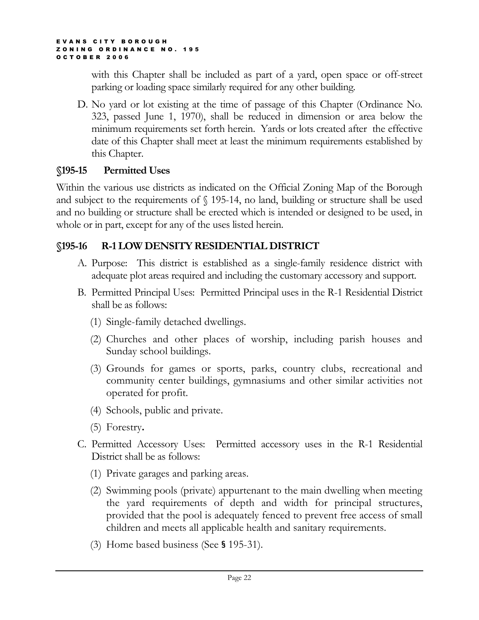with this Chapter shall be included as part of a yard, open space or off-street parking or loading space similarly required for any other building.

D. No yard or lot existing at the time of passage of this Chapter (Ordinance No. 323, passed June 1, 1970), shall be reduced in dimension or area below the minimum requirements set forth herein. Yards or lots created after the effective date of this Chapter shall meet at least the minimum requirements established by this Chapter.

## §195-15 Permitted Uses

Within the various use districts as indicated on the Official Zoning Map of the Borough and subject to the requirements of § 195-14, no land, building or structure shall be used and no building or structure shall be erected which is intended or designed to be used, in whole or in part, except for any of the uses listed herein.

## §195-16 R-1 LOW DENSITY RESIDENTIAL DISTRICT

- A. Purpose: This district is established as a single-family residence district with adequate plot areas required and including the customary accessory and support.
- B. Permitted Principal Uses: Permitted Principal uses in the R-1 Residential District shall be as follows:
	- (1) Single-family detached dwellings.
	- (2) Churches and other places of worship, including parish houses and Sunday school buildings.
	- (3) Grounds for games or sports, parks, country clubs, recreational and community center buildings, gymnasiums and other similar activities not operated for profit.
	- (4) Schools, public and private.
	- (5) Forestry.
- C. Permitted Accessory Uses: Permitted accessory uses in the R-1 Residential District shall be as follows:
	- (1) Private garages and parking areas.
	- (2) Swimming pools (private) appurtenant to the main dwelling when meeting the yard requirements of depth and width for principal structures, provided that the pool is adequately fenced to prevent free access of small children and meets all applicable health and sanitary requirements.
	- (3) Home based business (See § 195-31).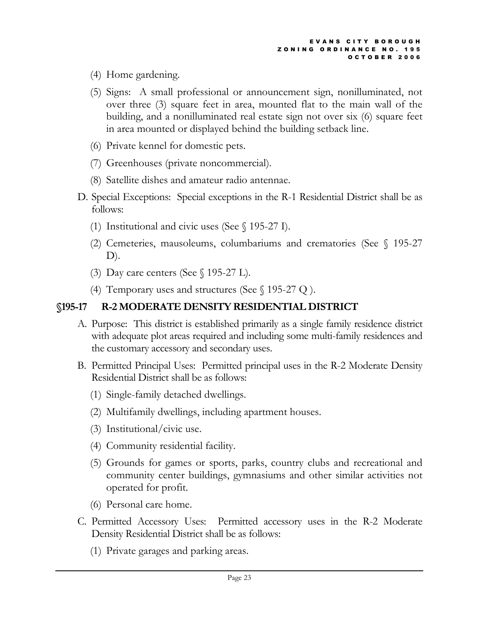- (4) Home gardening.
- (5) Signs: A small professional or announcement sign, nonilluminated, not over three (3) square feet in area, mounted flat to the main wall of the building, and a nonilluminated real estate sign not over six (6) square feet in area mounted or displayed behind the building setback line.
- (6) Private kennel for domestic pets.
- (7) Greenhouses (private noncommercial).
- (8) Satellite dishes and amateur radio antennae.
- D. Special Exceptions: Special exceptions in the R-1 Residential District shall be as follows:
	- (1) Institutional and civic uses (See § 195-27 I).
	- (2) Cemeteries, mausoleums, columbariums and crematories (See § 195-27 D).
	- (3) Day care centers (See § 195-27 L).
	- (4) Temporary uses and structures (See  $\S$  195-27 Q ).

# §195-17 R-2 MODERATE DENSITY RESIDENTIAL DISTRICT

- A. Purpose: This district is established primarily as a single family residence district with adequate plot areas required and including some multi-family residences and the customary accessory and secondary uses.
- B. Permitted Principal Uses: Permitted principal uses in the R-2 Moderate Density Residential District shall be as follows:
	- (1) Single-family detached dwellings.
	- (2) Multifamily dwellings, including apartment houses.
	- (3) Institutional/civic use.
	- (4) Community residential facility.
	- (5) Grounds for games or sports, parks, country clubs and recreational and community center buildings, gymnasiums and other similar activities not operated for profit.
	- (6) Personal care home.
- C. Permitted Accessory Uses: Permitted accessory uses in the R-2 Moderate Density Residential District shall be as follows:
	- (1) Private garages and parking areas.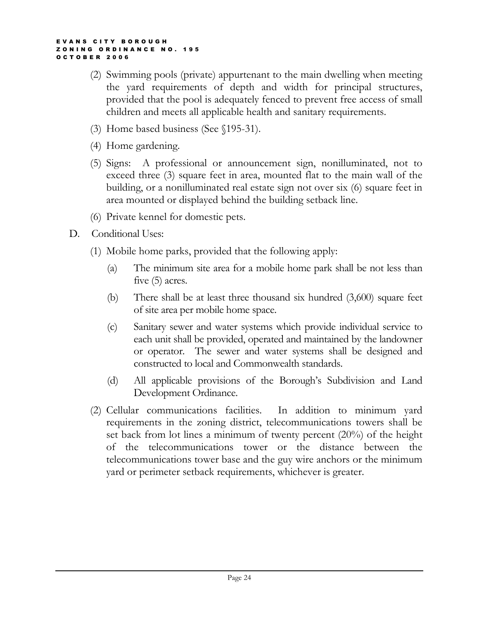- (2) Swimming pools (private) appurtenant to the main dwelling when meeting the yard requirements of depth and width for principal structures, provided that the pool is adequately fenced to prevent free access of small children and meets all applicable health and sanitary requirements.
- (3) Home based business (See §195-31).
- (4) Home gardening.
- (5) Signs: A professional or announcement sign, nonilluminated, not to exceed three (3) square feet in area, mounted flat to the main wall of the building, or a nonilluminated real estate sign not over six (6) square feet in area mounted or displayed behind the building setback line.
- (6) Private kennel for domestic pets.
- D. Conditional Uses:
	- (1) Mobile home parks, provided that the following apply:
		- (a) The minimum site area for a mobile home park shall be not less than five (5) acres.
		- (b) There shall be at least three thousand six hundred (3,600) square feet of site area per mobile home space.
		- (c) Sanitary sewer and water systems which provide individual service to each unit shall be provided, operated and maintained by the landowner or operator. The sewer and water systems shall be designed and constructed to local and Commonwealth standards.
		- (d) All applicable provisions of the Borough's Subdivision and Land Development Ordinance.
	- (2) Cellular communications facilities. In addition to minimum yard requirements in the zoning district, telecommunications towers shall be set back from lot lines a minimum of twenty percent (20%) of the height of the telecommunications tower or the distance between the telecommunications tower base and the guy wire anchors or the minimum yard or perimeter setback requirements, whichever is greater.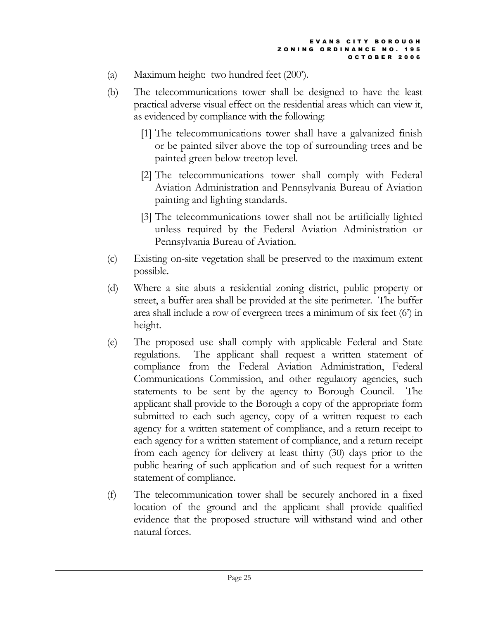- (a) Maximum height: two hundred feet (200').
- (b) The telecommunications tower shall be designed to have the least practical adverse visual effect on the residential areas which can view it, as evidenced by compliance with the following:
	- [1] The telecommunications tower shall have a galvanized finish or be painted silver above the top of surrounding trees and be painted green below treetop level.
	- [2] The telecommunications tower shall comply with Federal Aviation Administration and Pennsylvania Bureau of Aviation painting and lighting standards.
	- [3] The telecommunications tower shall not be artificially lighted unless required by the Federal Aviation Administration or Pennsylvania Bureau of Aviation.
- (c) Existing on-site vegetation shall be preserved to the maximum extent possible.
- (d) Where a site abuts a residential zoning district, public property or street, a buffer area shall be provided at the site perimeter. The buffer area shall include a row of evergreen trees a minimum of six feet (6') in height.
- (e) The proposed use shall comply with applicable Federal and State regulations. The applicant shall request a written statement of compliance from the Federal Aviation Administration, Federal Communications Commission, and other regulatory agencies, such statements to be sent by the agency to Borough Council. The applicant shall provide to the Borough a copy of the appropriate form submitted to each such agency, copy of a written request to each agency for a written statement of compliance, and a return receipt to each agency for a written statement of compliance, and a return receipt from each agency for delivery at least thirty (30) days prior to the public hearing of such application and of such request for a written statement of compliance.
- (f) The telecommunication tower shall be securely anchored in a fixed location of the ground and the applicant shall provide qualified evidence that the proposed structure will withstand wind and other natural forces.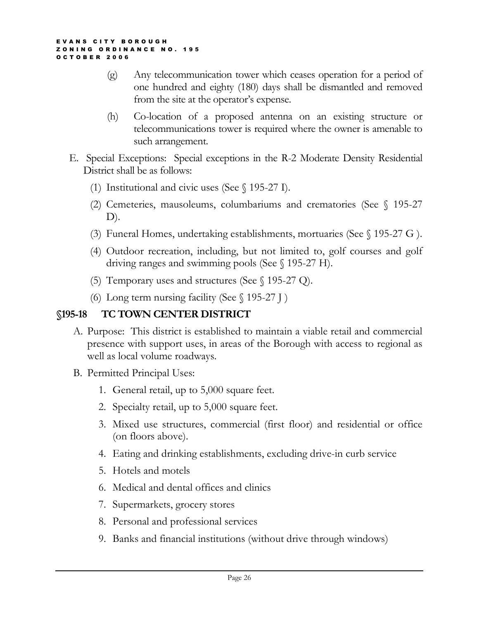- (g) Any telecommunication tower which ceases operation for a period of one hundred and eighty (180) days shall be dismantled and removed from the site at the operator's expense.
- (h) Co-location of a proposed antenna on an existing structure or telecommunications tower is required where the owner is amenable to such arrangement.
- E. Special Exceptions: Special exceptions in the R-2 Moderate Density Residential District shall be as follows:
	- (1) Institutional and civic uses (See § 195-27 I).
	- (2) Cemeteries, mausoleums, columbariums and crematories (See § 195-27 D).
	- (3) Funeral Homes, undertaking establishments, mortuaries (See § 195-27 G ).
	- (4) Outdoor recreation, including, but not limited to, golf courses and golf driving ranges and swimming pools (See § 195-27 H).
	- (5) Temporary uses and structures (See § 195-27 Q).
	- (6) Long term nursing facility (See § 195-27 J )

## §195-18 TC TOWN CENTER DISTRICT

- A. Purpose: This district is established to maintain a viable retail and commercial presence with support uses, in areas of the Borough with access to regional as well as local volume roadways.
- B. Permitted Principal Uses:
	- 1. General retail, up to 5,000 square feet.
	- 2. Specialty retail, up to 5,000 square feet.
	- 3. Mixed use structures, commercial (first floor) and residential or office (on floors above).
	- 4. Eating and drinking establishments, excluding drive-in curb service
	- 5. Hotels and motels
	- 6. Medical and dental offices and clinics
	- 7. Supermarkets, grocery stores
	- 8. Personal and professional services
	- 9. Banks and financial institutions (without drive through windows)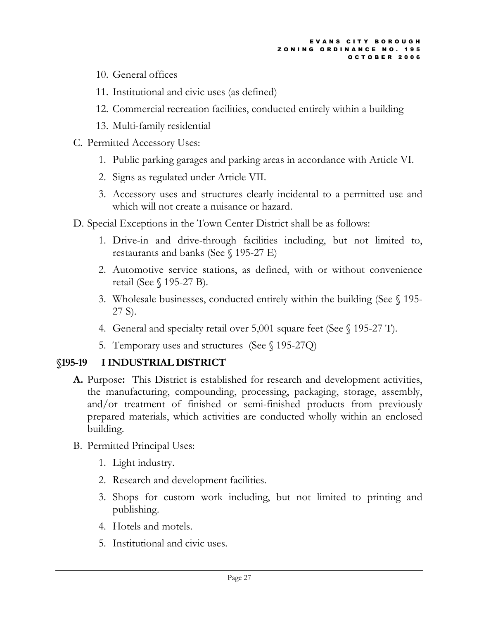- 10. General offices
- 11. Institutional and civic uses (as defined)
- 12. Commercial recreation facilities, conducted entirely within a building
- 13. Multi-family residential
- C. Permitted Accessory Uses:
	- 1. Public parking garages and parking areas in accordance with Article VI.
	- 2. Signs as regulated under Article VII.
	- 3. Accessory uses and structures clearly incidental to a permitted use and which will not create a nuisance or hazard.
- D. Special Exceptions in the Town Center District shall be as follows:
	- 1. Drive-in and drive-through facilities including, but not limited to, restaurants and banks (See § 195-27 E)
	- 2. Automotive service stations, as defined, with or without convenience retail (See § 195-27 B).
	- 3. Wholesale businesses, conducted entirely within the building (See § 195- 27 S).
	- 4. General and specialty retail over 5,001 square feet (See § 195-27 T).
	- 5. Temporary uses and structures (See § 195-27Q)

# §195-19 I INDUSTRIAL DISTRICT

- A. Purpose: This District is established for research and development activities, the manufacturing, compounding, processing, packaging, storage, assembly, and/or treatment of finished or semi-finished products from previously prepared materials, which activities are conducted wholly within an enclosed building.
- B. Permitted Principal Uses:
	- 1. Light industry.
	- 2. Research and development facilities.
	- 3. Shops for custom work including, but not limited to printing and publishing.
	- 4. Hotels and motels.
	- 5. Institutional and civic uses.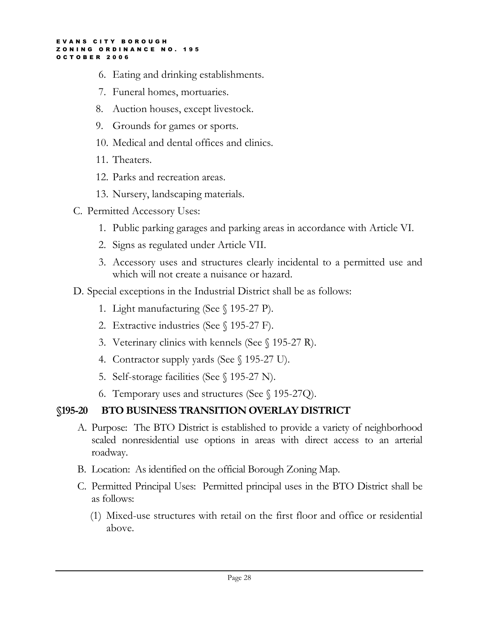- 6. Eating and drinking establishments.
- 7. Funeral homes, mortuaries.
- 8. Auction houses, except livestock.
- 9. Grounds for games or sports.
- 10. Medical and dental offices and clinics.
- 11. Theaters.
- 12. Parks and recreation areas.
- 13. Nursery, landscaping materials.
- C. Permitted Accessory Uses:
	- 1. Public parking garages and parking areas in accordance with Article VI.
	- 2. Signs as regulated under Article VII.
	- 3. Accessory uses and structures clearly incidental to a permitted use and which will not create a nuisance or hazard.
- D. Special exceptions in the Industrial District shall be as follows:
	- 1. Light manufacturing (See § 195-27 P).
	- 2. Extractive industries (See § 195-27 F).
	- 3. Veterinary clinics with kennels (See § 195-27 R).
	- 4. Contractor supply yards (See § 195-27 U).
	- 5. Self-storage facilities (See § 195-27 N).
	- 6. Temporary uses and structures (See § 195-27Q).

# §195-20 BTO BUSINESS TRANSITION OVERLAY DISTRICT

- A. Purpose: The BTO District is established to provide a variety of neighborhood scaled nonresidential use options in areas with direct access to an arterial roadway.
- B. Location: As identified on the official Borough Zoning Map.
- C. Permitted Principal Uses: Permitted principal uses in the BTO District shall be as follows:
	- (1) Mixed-use structures with retail on the first floor and office or residential above.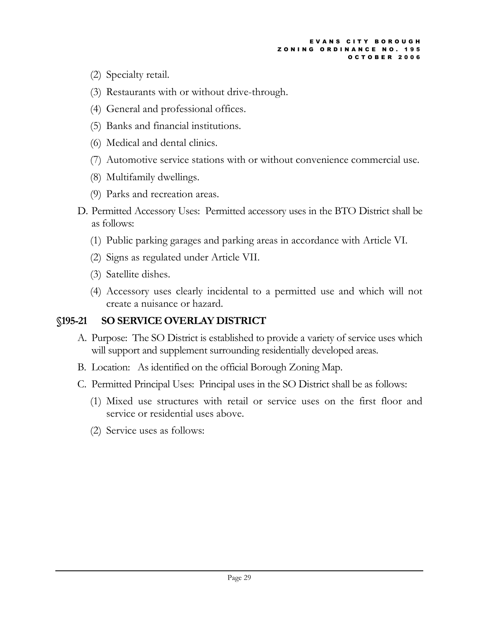- (2) Specialty retail.
- (3) Restaurants with or without drive-through.
- (4) General and professional offices.
- (5) Banks and financial institutions.
- (6) Medical and dental clinics.
- (7) Automotive service stations with or without convenience commercial use.
- (8) Multifamily dwellings.
- (9) Parks and recreation areas.
- D. Permitted Accessory Uses: Permitted accessory uses in the BTO District shall be as follows:
	- (1) Public parking garages and parking areas in accordance with Article VI.
	- (2) Signs as regulated under Article VII.
	- (3) Satellite dishes.
	- (4) Accessory uses clearly incidental to a permitted use and which will not create a nuisance or hazard.

## §195-21 SO SERVICE OVERLAY DISTRICT

- A. Purpose: The SO District is established to provide a variety of service uses which will support and supplement surrounding residentially developed areas.
- B. Location: As identified on the official Borough Zoning Map.
- C. Permitted Principal Uses: Principal uses in the SO District shall be as follows:
	- (1) Mixed use structures with retail or service uses on the first floor and service or residential uses above.
	- (2) Service uses as follows: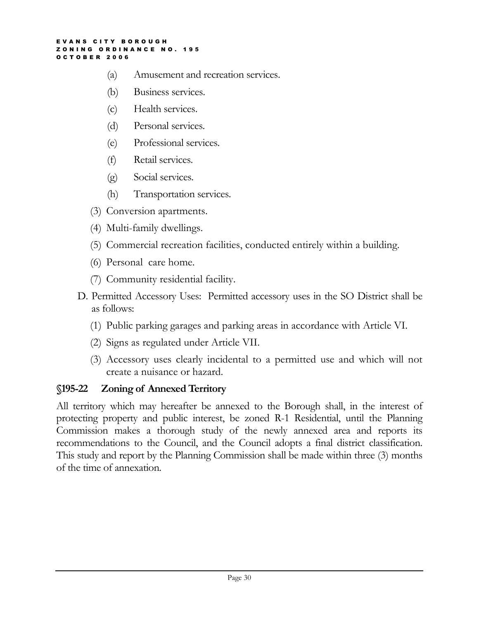- (a) Amusement and recreation services.
- (b) Business services.
- (c) Health services.
- (d) Personal services.
- (e) Professional services.
- (f) Retail services.
- (g) Social services.
- (h) Transportation services.
- (3) Conversion apartments.
- (4) Multi-family dwellings.
- (5) Commercial recreation facilities, conducted entirely within a building.
- (6) Personal care home.
- (7) Community residential facility.
- D. Permitted Accessory Uses: Permitted accessory uses in the SO District shall be as follows:
	- (1) Public parking garages and parking areas in accordance with Article VI.
	- (2) Signs as regulated under Article VII.
	- (3) Accessory uses clearly incidental to a permitted use and which will not create a nuisance or hazard.

### §195-22 Zoning of Annexed Territory

All territory which may hereafter be annexed to the Borough shall, in the interest of protecting property and public interest, be zoned R-1 Residential, until the Planning Commission makes a thorough study of the newly annexed area and reports its recommendations to the Council, and the Council adopts a final district classification. This study and report by the Planning Commission shall be made within three (3) months of the time of annexation.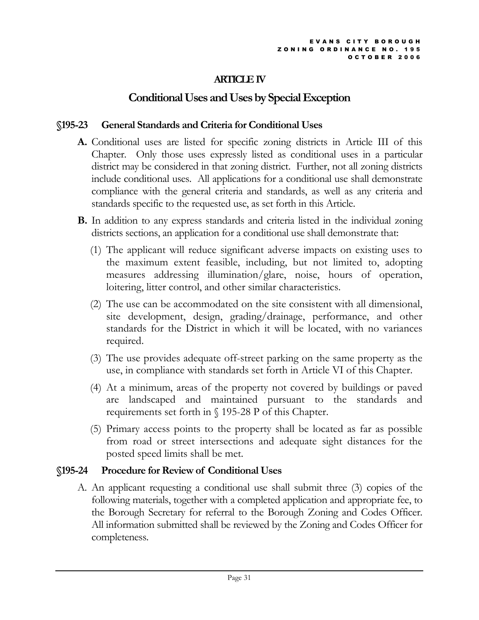## ARTICLE IV

# Conditional Uses and Uses by Special Exception

### §195-23 General Standards and Criteria for Conditional Uses

- A. Conditional uses are listed for specific zoning districts in Article III of this Chapter. Only those uses expressly listed as conditional uses in a particular district may be considered in that zoning district. Further, not all zoning districts include conditional uses. All applications for a conditional use shall demonstrate compliance with the general criteria and standards, as well as any criteria and standards specific to the requested use, as set forth in this Article.
- B. In addition to any express standards and criteria listed in the individual zoning districts sections, an application for a conditional use shall demonstrate that:
	- (1) The applicant will reduce significant adverse impacts on existing uses to the maximum extent feasible, including, but not limited to, adopting measures addressing illumination/glare, noise, hours of operation, loitering, litter control, and other similar characteristics.
	- (2) The use can be accommodated on the site consistent with all dimensional, site development, design, grading/drainage, performance, and other standards for the District in which it will be located, with no variances required.
	- (3) The use provides adequate off-street parking on the same property as the use, in compliance with standards set forth in Article VI of this Chapter.
	- (4) At a minimum, areas of the property not covered by buildings or paved are landscaped and maintained pursuant to the standards and requirements set forth in § 195-28 P of this Chapter.
	- (5) Primary access points to the property shall be located as far as possible from road or street intersections and adequate sight distances for the posted speed limits shall be met.

## §195-24 Procedure for Review of Conditional Uses

A. An applicant requesting a conditional use shall submit three (3) copies of the following materials, together with a completed application and appropriate fee, to the Borough Secretary for referral to the Borough Zoning and Codes Officer. All information submitted shall be reviewed by the Zoning and Codes Officer for completeness.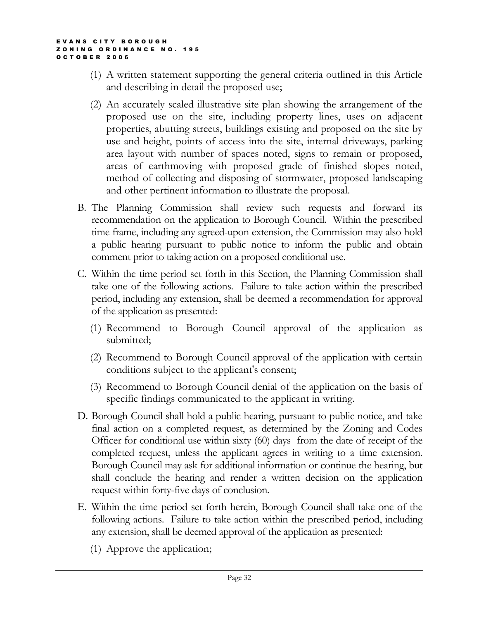- (1) A written statement supporting the general criteria outlined in this Article and describing in detail the proposed use;
- (2) An accurately scaled illustrative site plan showing the arrangement of the proposed use on the site, including property lines, uses on adjacent properties, abutting streets, buildings existing and proposed on the site by use and height, points of access into the site, internal driveways, parking area layout with number of spaces noted, signs to remain or proposed, areas of earthmoving with proposed grade of finished slopes noted, method of collecting and disposing of stormwater, proposed landscaping and other pertinent information to illustrate the proposal.
- B. The Planning Commission shall review such requests and forward its recommendation on the application to Borough Council. Within the prescribed time frame, including any agreed-upon extension, the Commission may also hold a public hearing pursuant to public notice to inform the public and obtain comment prior to taking action on a proposed conditional use.
- C. Within the time period set forth in this Section, the Planning Commission shall take one of the following actions. Failure to take action within the prescribed period, including any extension, shall be deemed a recommendation for approval of the application as presented:
	- (1) Recommend to Borough Council approval of the application as submitted;
	- (2) Recommend to Borough Council approval of the application with certain conditions subject to the applicant's consent;
	- (3) Recommend to Borough Council denial of the application on the basis of specific findings communicated to the applicant in writing.
- D. Borough Council shall hold a public hearing, pursuant to public notice, and take final action on a completed request, as determined by the Zoning and Codes Officer for conditional use within sixty (60) days from the date of receipt of the completed request, unless the applicant agrees in writing to a time extension. Borough Council may ask for additional information or continue the hearing, but shall conclude the hearing and render a written decision on the application request within forty-five days of conclusion.
- E. Within the time period set forth herein, Borough Council shall take one of the following actions. Failure to take action within the prescribed period, including any extension, shall be deemed approval of the application as presented:
	- (1) Approve the application;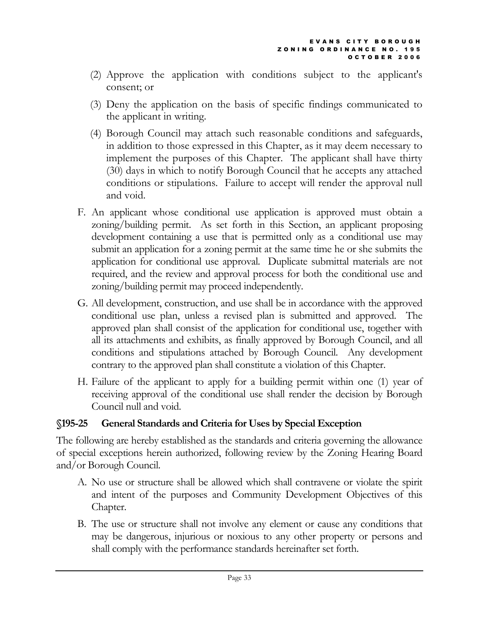- (2) Approve the application with conditions subject to the applicant's consent; or
- (3) Deny the application on the basis of specific findings communicated to the applicant in writing.
- (4) Borough Council may attach such reasonable conditions and safeguards, in addition to those expressed in this Chapter, as it may deem necessary to implement the purposes of this Chapter. The applicant shall have thirty (30) days in which to notify Borough Council that he accepts any attached conditions or stipulations. Failure to accept will render the approval null and void.
- F. An applicant whose conditional use application is approved must obtain a zoning/building permit. As set forth in this Section, an applicant proposing development containing a use that is permitted only as a conditional use may submit an application for a zoning permit at the same time he or she submits the application for conditional use approval. Duplicate submittal materials are not required, and the review and approval process for both the conditional use and zoning/building permit may proceed independently.
- G. All development, construction, and use shall be in accordance with the approved conditional use plan, unless a revised plan is submitted and approved. The approved plan shall consist of the application for conditional use, together with all its attachments and exhibits, as finally approved by Borough Council, and all conditions and stipulations attached by Borough Council. Any development contrary to the approved plan shall constitute a violation of this Chapter.
- H. Failure of the applicant to apply for a building permit within one (1) year of receiving approval of the conditional use shall render the decision by Borough Council null and void.

### §195-25 General Standards and Criteria for Uses by Special Exception

The following are hereby established as the standards and criteria governing the allowance of special exceptions herein authorized, following review by the Zoning Hearing Board and/or Borough Council.

- A. No use or structure shall be allowed which shall contravene or violate the spirit and intent of the purposes and Community Development Objectives of this Chapter.
- B. The use or structure shall not involve any element or cause any conditions that may be dangerous, injurious or noxious to any other property or persons and shall comply with the performance standards hereinafter set forth.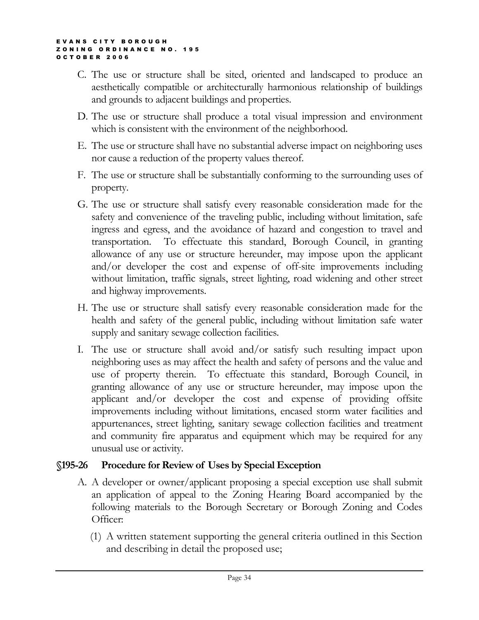- C. The use or structure shall be sited, oriented and landscaped to produce an aesthetically compatible or architecturally harmonious relationship of buildings and grounds to adjacent buildings and properties.
- D. The use or structure shall produce a total visual impression and environment which is consistent with the environment of the neighborhood.
- E. The use or structure shall have no substantial adverse impact on neighboring uses nor cause a reduction of the property values thereof.
- F. The use or structure shall be substantially conforming to the surrounding uses of property.
- G. The use or structure shall satisfy every reasonable consideration made for the safety and convenience of the traveling public, including without limitation, safe ingress and egress, and the avoidance of hazard and congestion to travel and transportation. To effectuate this standard, Borough Council, in granting allowance of any use or structure hereunder, may impose upon the applicant and/or developer the cost and expense of off-site improvements including without limitation, traffic signals, street lighting, road widening and other street and highway improvements.
- H. The use or structure shall satisfy every reasonable consideration made for the health and safety of the general public, including without limitation safe water supply and sanitary sewage collection facilities.
- I. The use or structure shall avoid and/or satisfy such resulting impact upon neighboring uses as may affect the health and safety of persons and the value and use of property therein. To effectuate this standard, Borough Council, in granting allowance of any use or structure hereunder, may impose upon the applicant and/or developer the cost and expense of providing offsite improvements including without limitations, encased storm water facilities and appurtenances, street lighting, sanitary sewage collection facilities and treatment and community fire apparatus and equipment which may be required for any unusual use or activity.

### §195-26 Procedure for Review of Uses by Special Exception

- A. A developer or owner/applicant proposing a special exception use shall submit an application of appeal to the Zoning Hearing Board accompanied by the following materials to the Borough Secretary or Borough Zoning and Codes Officer:
	- (1) A written statement supporting the general criteria outlined in this Section and describing in detail the proposed use;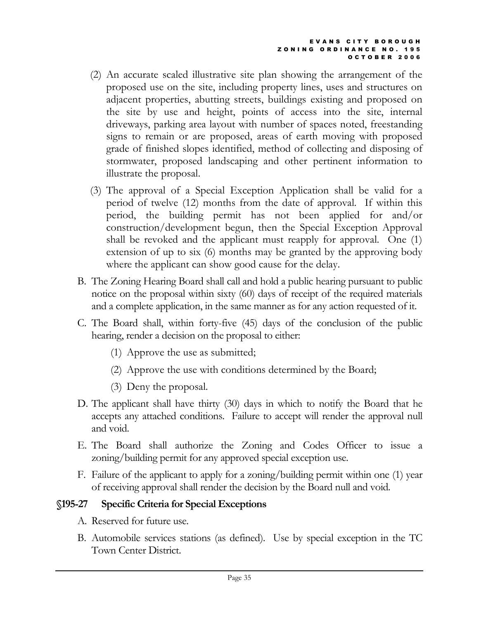- (2) An accurate scaled illustrative site plan showing the arrangement of the proposed use on the site, including property lines, uses and structures on adjacent properties, abutting streets, buildings existing and proposed on the site by use and height, points of access into the site, internal driveways, parking area layout with number of spaces noted, freestanding signs to remain or are proposed, areas of earth moving with proposed grade of finished slopes identified, method of collecting and disposing of stormwater, proposed landscaping and other pertinent information to illustrate the proposal.
- (3) The approval of a Special Exception Application shall be valid for a period of twelve (12) months from the date of approval. If within this period, the building permit has not been applied for and/or construction/development begun, then the Special Exception Approval shall be revoked and the applicant must reapply for approval. One (1) extension of up to six (6) months may be granted by the approving body where the applicant can show good cause for the delay.
- B. The Zoning Hearing Board shall call and hold a public hearing pursuant to public notice on the proposal within sixty (60) days of receipt of the required materials and a complete application, in the same manner as for any action requested of it.
- C. The Board shall, within forty-five (45) days of the conclusion of the public hearing, render a decision on the proposal to either:
	- (1) Approve the use as submitted;
	- (2) Approve the use with conditions determined by the Board;
	- (3) Deny the proposal.
- D. The applicant shall have thirty (30) days in which to notify the Board that he accepts any attached conditions. Failure to accept will render the approval null and void.
- E. The Board shall authorize the Zoning and Codes Officer to issue a zoning/building permit for any approved special exception use.
- F. Failure of the applicant to apply for a zoning/building permit within one (1) year of receiving approval shall render the decision by the Board null and void.

# §195-27 Specific Criteria for Special Exceptions

- A. Reserved for future use.
- B. Automobile services stations (as defined). Use by special exception in the TC Town Center District.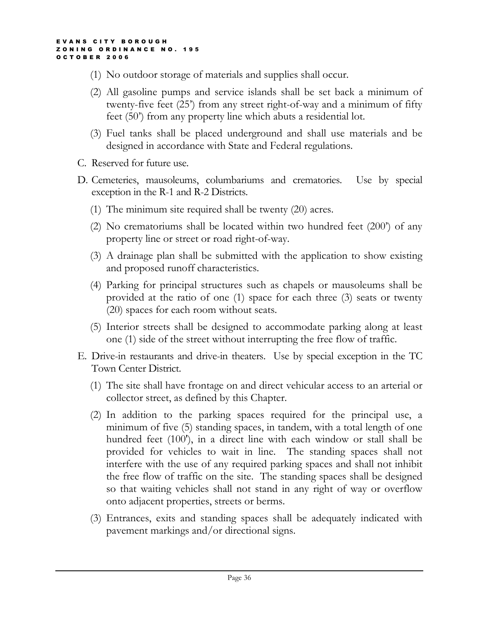- (1) No outdoor storage of materials and supplies shall occur.
- (2) All gasoline pumps and service islands shall be set back a minimum of twenty-five feet (25') from any street right-of-way and a minimum of fifty feet (50') from any property line which abuts a residential lot.
- (3) Fuel tanks shall be placed underground and shall use materials and be designed in accordance with State and Federal regulations.
- C. Reserved for future use.
- D. Cemeteries, mausoleums, columbariums and crematories. Use by special exception in the R-1 and R-2 Districts.
	- (1) The minimum site required shall be twenty (20) acres.
	- (2) No crematoriums shall be located within two hundred feet (200') of any property line or street or road right-of-way.
	- (3) A drainage plan shall be submitted with the application to show existing and proposed runoff characteristics.
	- (4) Parking for principal structures such as chapels or mausoleums shall be provided at the ratio of one (1) space for each three (3) seats or twenty (20) spaces for each room without seats.
	- (5) Interior streets shall be designed to accommodate parking along at least one (1) side of the street without interrupting the free flow of traffic.
- E. Drive-in restaurants and drive-in theaters. Use by special exception in the TC Town Center District.
	- (1) The site shall have frontage on and direct vehicular access to an arterial or collector street, as defined by this Chapter.
	- (2) In addition to the parking spaces required for the principal use, a minimum of five (5) standing spaces, in tandem, with a total length of one hundred feet (100'), in a direct line with each window or stall shall be provided for vehicles to wait in line. The standing spaces shall not interfere with the use of any required parking spaces and shall not inhibit the free flow of traffic on the site. The standing spaces shall be designed so that waiting vehicles shall not stand in any right of way or overflow onto adjacent properties, streets or berms.
	- (3) Entrances, exits and standing spaces shall be adequately indicated with pavement markings and/or directional signs.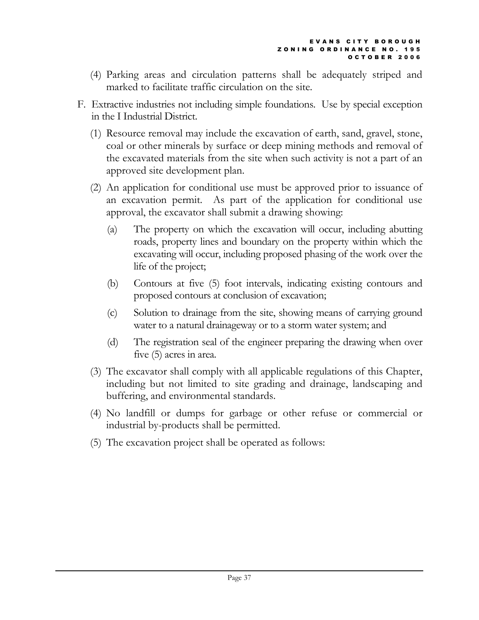- (4) Parking areas and circulation patterns shall be adequately striped and marked to facilitate traffic circulation on the site.
- F. Extractive industries not including simple foundations. Use by special exception in the I Industrial District.
	- (1) Resource removal may include the excavation of earth, sand, gravel, stone, coal or other minerals by surface or deep mining methods and removal of the excavated materials from the site when such activity is not a part of an approved site development plan.
	- (2) An application for conditional use must be approved prior to issuance of an excavation permit. As part of the application for conditional use approval, the excavator shall submit a drawing showing:
		- (a) The property on which the excavation will occur, including abutting roads, property lines and boundary on the property within which the excavating will occur, including proposed phasing of the work over the life of the project;
		- (b) Contours at five (5) foot intervals, indicating existing contours and proposed contours at conclusion of excavation;
		- (c) Solution to drainage from the site, showing means of carrying ground water to a natural drainageway or to a storm water system; and
		- (d) The registration seal of the engineer preparing the drawing when over five (5) acres in area.
	- (3) The excavator shall comply with all applicable regulations of this Chapter, including but not limited to site grading and drainage, landscaping and buffering, and environmental standards.
	- (4) No landfill or dumps for garbage or other refuse or commercial or industrial by-products shall be permitted.
	- (5) The excavation project shall be operated as follows: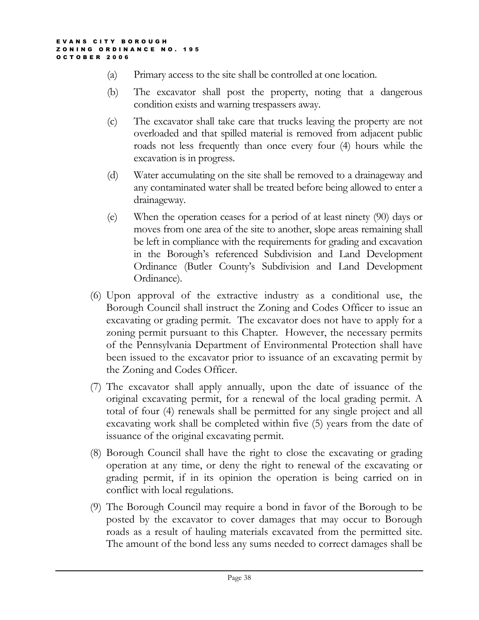- (a) Primary access to the site shall be controlled at one location.
- (b) The excavator shall post the property, noting that a dangerous condition exists and warning trespassers away.
- (c) The excavator shall take care that trucks leaving the property are not overloaded and that spilled material is removed from adjacent public roads not less frequently than once every four (4) hours while the excavation is in progress.
- (d) Water accumulating on the site shall be removed to a drainageway and any contaminated water shall be treated before being allowed to enter a drainageway.
- (e) When the operation ceases for a period of at least ninety (90) days or moves from one area of the site to another, slope areas remaining shall be left in compliance with the requirements for grading and excavation in the Borough's referenced Subdivision and Land Development Ordinance (Butler County's Subdivision and Land Development Ordinance).
- (6) Upon approval of the extractive industry as a conditional use, the Borough Council shall instruct the Zoning and Codes Officer to issue an excavating or grading permit. The excavator does not have to apply for a zoning permit pursuant to this Chapter. However, the necessary permits of the Pennsylvania Department of Environmental Protection shall have been issued to the excavator prior to issuance of an excavating permit by the Zoning and Codes Officer.
- (7) The excavator shall apply annually, upon the date of issuance of the original excavating permit, for a renewal of the local grading permit. A total of four (4) renewals shall be permitted for any single project and all excavating work shall be completed within five (5) years from the date of issuance of the original excavating permit.
- (8) Borough Council shall have the right to close the excavating or grading operation at any time, or deny the right to renewal of the excavating or grading permit, if in its opinion the operation is being carried on in conflict with local regulations.
- (9) The Borough Council may require a bond in favor of the Borough to be posted by the excavator to cover damages that may occur to Borough roads as a result of hauling materials excavated from the permitted site. The amount of the bond less any sums needed to correct damages shall be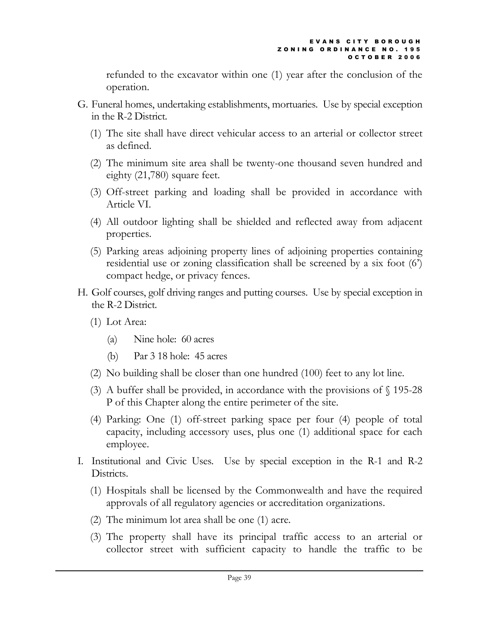refunded to the excavator within one (1) year after the conclusion of the operation.

- G. Funeral homes, undertaking establishments, mortuaries. Use by special exception in the R-2 District.
	- (1) The site shall have direct vehicular access to an arterial or collector street as defined.
	- (2) The minimum site area shall be twenty-one thousand seven hundred and eighty (21,780) square feet.
	- (3) Off-street parking and loading shall be provided in accordance with Article VI.
	- (4) All outdoor lighting shall be shielded and reflected away from adjacent properties.
	- (5) Parking areas adjoining property lines of adjoining properties containing residential use or zoning classification shall be screened by a six foot (6') compact hedge, or privacy fences.
- H. Golf courses, golf driving ranges and putting courses. Use by special exception in the R-2 District.
	- (1) Lot Area:
		- (a) Nine hole: 60 acres
		- (b) Par 3 18 hole: 45 acres
	- (2) No building shall be closer than one hundred (100) feet to any lot line.
	- (3) A buffer shall be provided, in accordance with the provisions of  $\S$  195-28 P of this Chapter along the entire perimeter of the site.
	- (4) Parking: One (1) off-street parking space per four (4) people of total capacity, including accessory uses, plus one (1) additional space for each employee.
- I. Institutional and Civic Uses. Use by special exception in the R-1 and R-2 Districts.
	- (1) Hospitals shall be licensed by the Commonwealth and have the required approvals of all regulatory agencies or accreditation organizations.
	- (2) The minimum lot area shall be one (1) acre.
	- (3) The property shall have its principal traffic access to an arterial or collector street with sufficient capacity to handle the traffic to be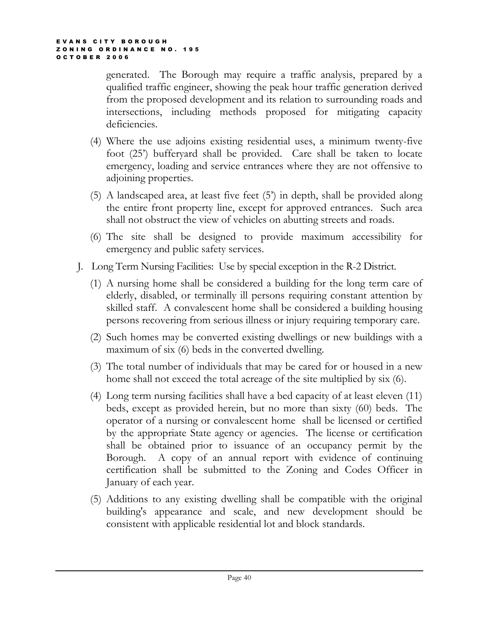generated. The Borough may require a traffic analysis, prepared by a qualified traffic engineer, showing the peak hour traffic generation derived from the proposed development and its relation to surrounding roads and intersections, including methods proposed for mitigating capacity deficiencies.

- (4) Where the use adjoins existing residential uses, a minimum twenty-five foot (25') bufferyard shall be provided. Care shall be taken to locate emergency, loading and service entrances where they are not offensive to adjoining properties.
- (5) A landscaped area, at least five feet (5') in depth, shall be provided along the entire front property line, except for approved entrances. Such area shall not obstruct the view of vehicles on abutting streets and roads.
- (6) The site shall be designed to provide maximum accessibility for emergency and public safety services.
- J. Long Term Nursing Facilities: Use by special exception in the R-2 District.
	- (1) A nursing home shall be considered a building for the long term care of elderly, disabled, or terminally ill persons requiring constant attention by skilled staff. A convalescent home shall be considered a building housing persons recovering from serious illness or injury requiring temporary care.
	- (2) Such homes may be converted existing dwellings or new buildings with a maximum of six (6) beds in the converted dwelling.
	- (3) The total number of individuals that may be cared for or housed in a new home shall not exceed the total acreage of the site multiplied by six (6).
	- (4) Long term nursing facilities shall have a bed capacity of at least eleven (11) beds, except as provided herein, but no more than sixty (60) beds. The operator of a nursing or convalescent home shall be licensed or certified by the appropriate State agency or agencies. The license or certification shall be obtained prior to issuance of an occupancy permit by the Borough. A copy of an annual report with evidence of continuing certification shall be submitted to the Zoning and Codes Officer in January of each year.
	- (5) Additions to any existing dwelling shall be compatible with the original building's appearance and scale, and new development should be consistent with applicable residential lot and block standards.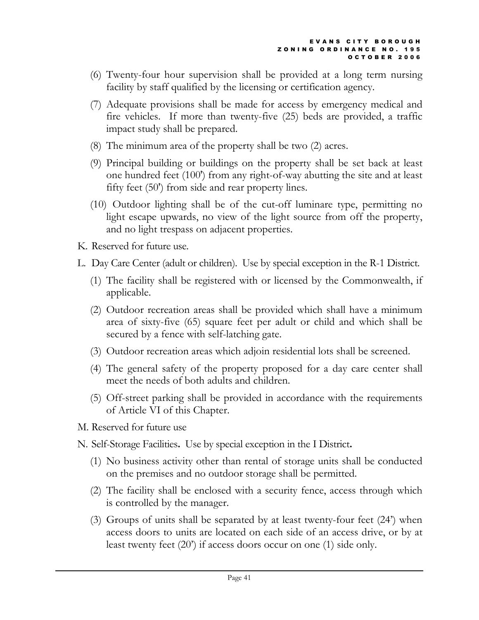- (6) Twenty-four hour supervision shall be provided at a long term nursing facility by staff qualified by the licensing or certification agency.
- (7) Adequate provisions shall be made for access by emergency medical and fire vehicles. If more than twenty-five (25) beds are provided, a traffic impact study shall be prepared.
- (8) The minimum area of the property shall be two (2) acres.
- (9) Principal building or buildings on the property shall be set back at least one hundred feet (100') from any right-of-way abutting the site and at least fifty feet (50') from side and rear property lines.
- (10) Outdoor lighting shall be of the cut-off luminare type, permitting no light escape upwards, no view of the light source from off the property, and no light trespass on adjacent properties.
- K. Reserved for future use.
- L. Day Care Center (adult or children). Use by special exception in the R-1 District.
	- (1) The facility shall be registered with or licensed by the Commonwealth, if applicable.
	- (2) Outdoor recreation areas shall be provided which shall have a minimum area of sixty-five (65) square feet per adult or child and which shall be secured by a fence with self-latching gate.
	- (3) Outdoor recreation areas which adjoin residential lots shall be screened.
	- (4) The general safety of the property proposed for a day care center shall meet the needs of both adults and children.
	- (5) Off-street parking shall be provided in accordance with the requirements of Article VI of this Chapter.
- M. Reserved for future use
- N. Self-Storage Facilities. Use by special exception in the I District.
	- (1) No business activity other than rental of storage units shall be conducted on the premises and no outdoor storage shall be permitted.
	- (2) The facility shall be enclosed with a security fence, access through which is controlled by the manager.
	- (3) Groups of units shall be separated by at least twenty-four feet (24') when access doors to units are located on each side of an access drive, or by at least twenty feet (20') if access doors occur on one (1) side only.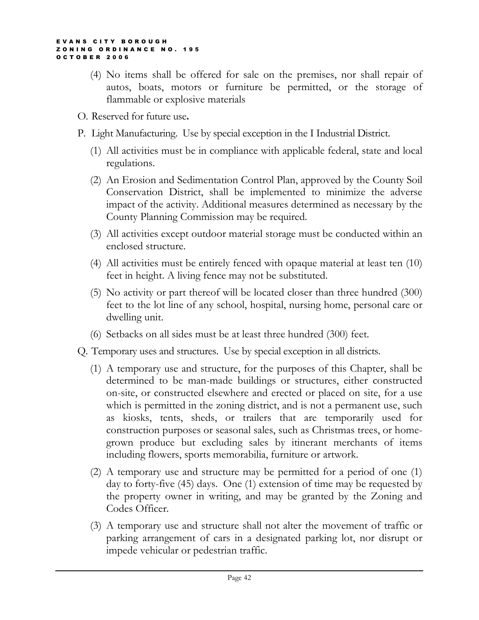- (4) No items shall be offered for sale on the premises, nor shall repair of autos, boats, motors or furniture be permitted, or the storage of flammable or explosive materials
- O. Reserved for future use.
- P. Light Manufacturing. Use by special exception in the I Industrial District.
	- (1) All activities must be in compliance with applicable federal, state and local regulations.
	- (2) An Erosion and Sedimentation Control Plan, approved by the County Soil Conservation District, shall be implemented to minimize the adverse impact of the activity. Additional measures determined as necessary by the County Planning Commission may be required.
	- (3) All activities except outdoor material storage must be conducted within an enclosed structure.
	- (4) All activities must be entirely fenced with opaque material at least ten (10) feet in height. A living fence may not be substituted.
	- (5) No activity or part thereof will be located closer than three hundred (300) feet to the lot line of any school, hospital, nursing home, personal care or dwelling unit.
	- (6) Setbacks on all sides must be at least three hundred (300) feet.
- Q. Temporary uses and structures. Use by special exception in all districts.
	- (1) A temporary use and structure, for the purposes of this Chapter, shall be determined to be man-made buildings or structures, either constructed on-site, or constructed elsewhere and erected or placed on site, for a use which is permitted in the zoning district, and is not a permanent use, such as kiosks, tents, sheds, or trailers that are temporarily used for construction purposes or seasonal sales, such as Christmas trees, or homegrown produce but excluding sales by itinerant merchants of items including flowers, sports memorabilia, furniture or artwork.
	- (2) A temporary use and structure may be permitted for a period of one (1) day to forty-five (45) days. One (1) extension of time may be requested by the property owner in writing, and may be granted by the Zoning and Codes Officer.
	- (3) A temporary use and structure shall not alter the movement of traffic or parking arrangement of cars in a designated parking lot, nor disrupt or impede vehicular or pedestrian traffic.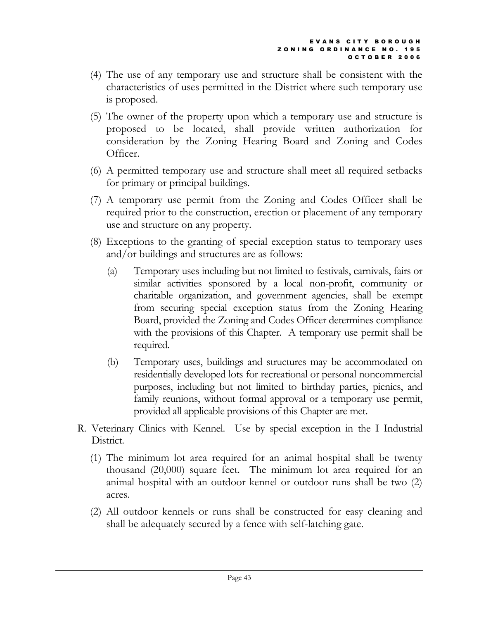- (4) The use of any temporary use and structure shall be consistent with the characteristics of uses permitted in the District where such temporary use is proposed.
- (5) The owner of the property upon which a temporary use and structure is proposed to be located, shall provide written authorization for consideration by the Zoning Hearing Board and Zoning and Codes Officer.
- (6) A permitted temporary use and structure shall meet all required setbacks for primary or principal buildings.
- (7) A temporary use permit from the Zoning and Codes Officer shall be required prior to the construction, erection or placement of any temporary use and structure on any property.
- (8) Exceptions to the granting of special exception status to temporary uses and/or buildings and structures are as follows:
	- (a) Temporary uses including but not limited to festivals, carnivals, fairs or similar activities sponsored by a local non-profit, community or charitable organization, and government agencies, shall be exempt from securing special exception status from the Zoning Hearing Board, provided the Zoning and Codes Officer determines compliance with the provisions of this Chapter. A temporary use permit shall be required.
	- (b) Temporary uses, buildings and structures may be accommodated on residentially developed lots for recreational or personal noncommercial purposes, including but not limited to birthday parties, picnics, and family reunions, without formal approval or a temporary use permit, provided all applicable provisions of this Chapter are met.
- R. Veterinary Clinics with Kennel. Use by special exception in the I Industrial District.
	- (1) The minimum lot area required for an animal hospital shall be twenty thousand (20,000) square feet. The minimum lot area required for an animal hospital with an outdoor kennel or outdoor runs shall be two (2) acres.
	- (2) All outdoor kennels or runs shall be constructed for easy cleaning and shall be adequately secured by a fence with self-latching gate.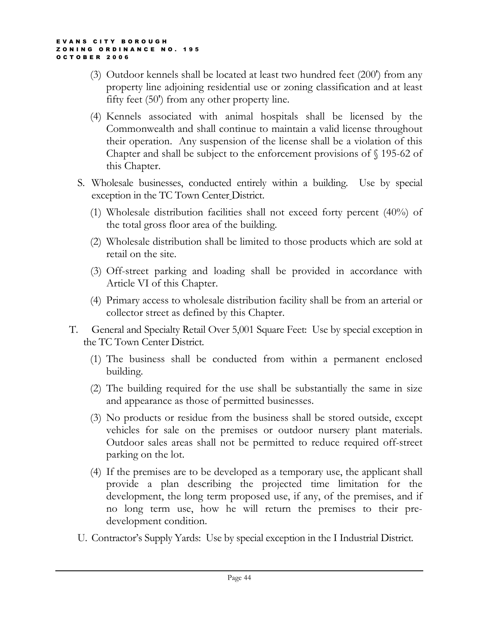- (3) Outdoor kennels shall be located at least two hundred feet (200') from any property line adjoining residential use or zoning classification and at least fifty feet (50') from any other property line.
- (4) Kennels associated with animal hospitals shall be licensed by the Commonwealth and shall continue to maintain a valid license throughout their operation. Any suspension of the license shall be a violation of this Chapter and shall be subject to the enforcement provisions of § 195-62 of this Chapter.
- S. Wholesale businesses, conducted entirely within a building. Use by special exception in the TC Town Center District.
	- (1) Wholesale distribution facilities shall not exceed forty percent (40%) of the total gross floor area of the building.
	- (2) Wholesale distribution shall be limited to those products which are sold at retail on the site.
	- (3) Off-street parking and loading shall be provided in accordance with Article VI of this Chapter.
	- (4) Primary access to wholesale distribution facility shall be from an arterial or collector street as defined by this Chapter.
- T. General and Specialty Retail Over 5,001 Square Feet: Use by special exception in the TC Town Center District.
	- (1) The business shall be conducted from within a permanent enclosed building.
	- (2) The building required for the use shall be substantially the same in size and appearance as those of permitted businesses.
	- (3) No products or residue from the business shall be stored outside, except vehicles for sale on the premises or outdoor nursery plant materials. Outdoor sales areas shall not be permitted to reduce required off-street parking on the lot.
	- (4) If the premises are to be developed as a temporary use, the applicant shall provide a plan describing the projected time limitation for the development, the long term proposed use, if any, of the premises, and if no long term use, how he will return the premises to their predevelopment condition.
	- U. Contractor's Supply Yards: Use by special exception in the I Industrial District.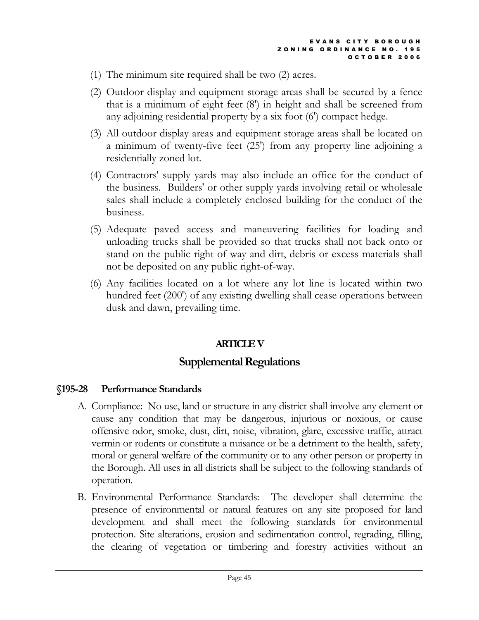- (1) The minimum site required shall be two (2) acres.
- (2) Outdoor display and equipment storage areas shall be secured by a fence that is a minimum of eight feet (8') in height and shall be screened from any adjoining residential property by a six foot (6') compact hedge.
- (3) All outdoor display areas and equipment storage areas shall be located on a minimum of twenty-five feet (25') from any property line adjoining a residentially zoned lot.
- (4) Contractors' supply yards may also include an office for the conduct of the business. Builders' or other supply yards involving retail or wholesale sales shall include a completely enclosed building for the conduct of the business.
- (5) Adequate paved access and maneuvering facilities for loading and unloading trucks shall be provided so that trucks shall not back onto or stand on the public right of way and dirt, debris or excess materials shall not be deposited on any public right-of-way.
- (6) Any facilities located on a lot where any lot line is located within two hundred feet (200') of any existing dwelling shall cease operations between dusk and dawn, prevailing time.

# ARTICLE V

# Supplemental Regulations

### §195-28 Performance Standards

- A. Compliance: No use, land or structure in any district shall involve any element or cause any condition that may be dangerous, injurious or noxious, or cause offensive odor, smoke, dust, dirt, noise, vibration, glare, excessive traffic, attract vermin or rodents or constitute a nuisance or be a detriment to the health, safety, moral or general welfare of the community or to any other person or property in the Borough. All uses in all districts shall be subject to the following standards of operation.
- B. Environmental Performance Standards: The developer shall determine the presence of environmental or natural features on any site proposed for land development and shall meet the following standards for environmental protection. Site alterations, erosion and sedimentation control, regrading, filling, the clearing of vegetation or timbering and forestry activities without an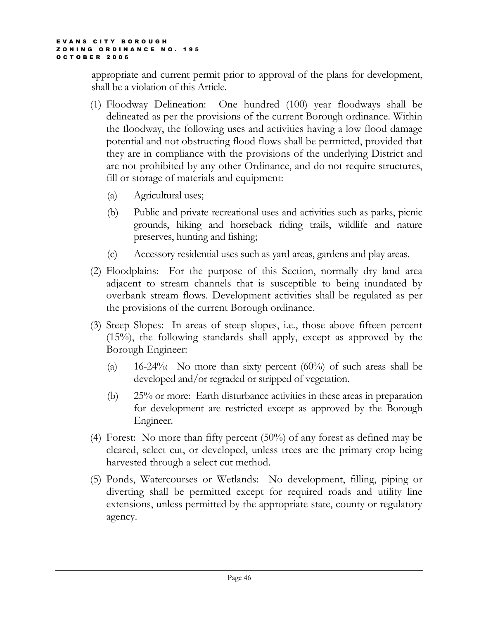appropriate and current permit prior to approval of the plans for development, shall be a violation of this Article.

- (1) Floodway Delineation: One hundred (100) year floodways shall be delineated as per the provisions of the current Borough ordinance. Within the floodway, the following uses and activities having a low flood damage potential and not obstructing flood flows shall be permitted, provided that they are in compliance with the provisions of the underlying District and are not prohibited by any other Ordinance, and do not require structures, fill or storage of materials and equipment:
	- (a) Agricultural uses;
	- (b) Public and private recreational uses and activities such as parks, picnic grounds, hiking and horseback riding trails, wildlife and nature preserves, hunting and fishing;
	- (c) Accessory residential uses such as yard areas, gardens and play areas.
- (2) Floodplains: For the purpose of this Section, normally dry land area adjacent to stream channels that is susceptible to being inundated by overbank stream flows. Development activities shall be regulated as per the provisions of the current Borough ordinance.
- (3) Steep Slopes: In areas of steep slopes, i.e., those above fifteen percent (15%), the following standards shall apply, except as approved by the Borough Engineer:
	- (a) 16-24%: No more than sixty percent  $(60\%)$  of such areas shall be developed and/or regraded or stripped of vegetation.
	- (b) 25% or more: Earth disturbance activities in these areas in preparation for development are restricted except as approved by the Borough Engineer.
- (4) Forest: No more than fifty percent (50%) of any forest as defined may be cleared, select cut, or developed, unless trees are the primary crop being harvested through a select cut method.
- (5) Ponds, Watercourses or Wetlands: No development, filling, piping or diverting shall be permitted except for required roads and utility line extensions, unless permitted by the appropriate state, county or regulatory agency.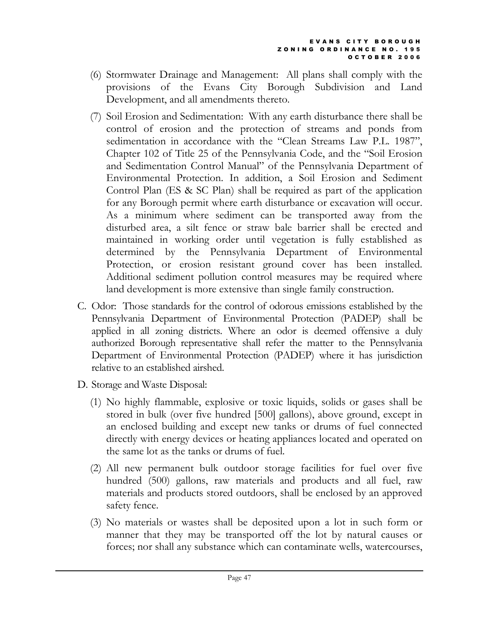- (6) Stormwater Drainage and Management: All plans shall comply with the provisions of the Evans City Borough Subdivision and Land Development, and all amendments thereto.
- (7) Soil Erosion and Sedimentation: With any earth disturbance there shall be control of erosion and the protection of streams and ponds from sedimentation in accordance with the "Clean Streams Law P.L. 1987", Chapter 102 of Title 25 of the Pennsylvania Code, and the "Soil Erosion and Sedimentation Control Manual" of the Pennsylvania Department of Environmental Protection. In addition, a Soil Erosion and Sediment Control Plan (ES & SC Plan) shall be required as part of the application for any Borough permit where earth disturbance or excavation will occur. As a minimum where sediment can be transported away from the disturbed area, a silt fence or straw bale barrier shall be erected and maintained in working order until vegetation is fully established as determined by the Pennsylvania Department of Environmental Protection, or erosion resistant ground cover has been installed. Additional sediment pollution control measures may be required where land development is more extensive than single family construction.
- C. Odor: Those standards for the control of odorous emissions established by the Pennsylvania Department of Environmental Protection (PADEP) shall be applied in all zoning districts. Where an odor is deemed offensive a duly authorized Borough representative shall refer the matter to the Pennsylvania Department of Environmental Protection (PADEP) where it has jurisdiction relative to an established airshed.
- D. Storage and Waste Disposal:
	- (1) No highly flammable, explosive or toxic liquids, solids or gases shall be stored in bulk (over five hundred [500] gallons), above ground, except in an enclosed building and except new tanks or drums of fuel connected directly with energy devices or heating appliances located and operated on the same lot as the tanks or drums of fuel.
	- (2) All new permanent bulk outdoor storage facilities for fuel over five hundred (500) gallons, raw materials and products and all fuel, raw materials and products stored outdoors, shall be enclosed by an approved safety fence.
	- (3) No materials or wastes shall be deposited upon a lot in such form or manner that they may be transported off the lot by natural causes or forces; nor shall any substance which can contaminate wells, watercourses,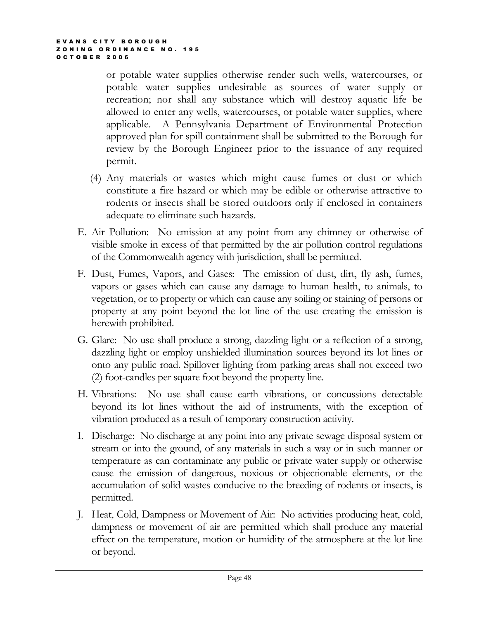or potable water supplies otherwise render such wells, watercourses, or potable water supplies undesirable as sources of water supply or recreation; nor shall any substance which will destroy aquatic life be allowed to enter any wells, watercourses, or potable water supplies, where applicable. A Pennsylvania Department of Environmental Protection approved plan for spill containment shall be submitted to the Borough for review by the Borough Engineer prior to the issuance of any required permit.

- (4) Any materials or wastes which might cause fumes or dust or which constitute a fire hazard or which may be edible or otherwise attractive to rodents or insects shall be stored outdoors only if enclosed in containers adequate to eliminate such hazards.
- E. Air Pollution: No emission at any point from any chimney or otherwise of visible smoke in excess of that permitted by the air pollution control regulations of the Commonwealth agency with jurisdiction, shall be permitted.
- F. Dust, Fumes, Vapors, and Gases: The emission of dust, dirt, fly ash, fumes, vapors or gases which can cause any damage to human health, to animals, to vegetation, or to property or which can cause any soiling or staining of persons or property at any point beyond the lot line of the use creating the emission is herewith prohibited.
- G. Glare: No use shall produce a strong, dazzling light or a reflection of a strong, dazzling light or employ unshielded illumination sources beyond its lot lines or onto any public road. Spillover lighting from parking areas shall not exceed two (2) foot-candles per square foot beyond the property line.
- H. Vibrations: No use shall cause earth vibrations, or concussions detectable beyond its lot lines without the aid of instruments, with the exception of vibration produced as a result of temporary construction activity.
- I. Discharge: No discharge at any point into any private sewage disposal system or stream or into the ground, of any materials in such a way or in such manner or temperature as can contaminate any public or private water supply or otherwise cause the emission of dangerous, noxious or objectionable elements, or the accumulation of solid wastes conducive to the breeding of rodents or insects, is permitted.
- J. Heat, Cold, Dampness or Movement of Air: No activities producing heat, cold, dampness or movement of air are permitted which shall produce any material effect on the temperature, motion or humidity of the atmosphere at the lot line or beyond.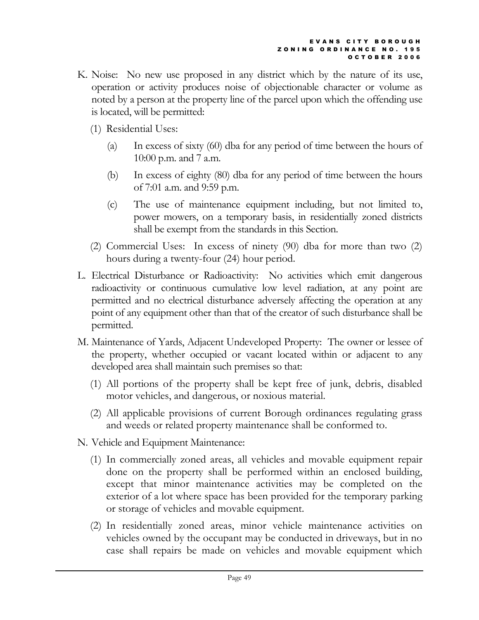- K. Noise: No new use proposed in any district which by the nature of its use, operation or activity produces noise of objectionable character or volume as noted by a person at the property line of the parcel upon which the offending use is located, will be permitted:
	- (1) Residential Uses:
		- (a) In excess of sixty (60) dba for any period of time between the hours of 10:00 p.m. and 7 a.m.
		- (b) In excess of eighty (80) dba for any period of time between the hours of 7:01 a.m. and 9:59 p.m.
		- (c) The use of maintenance equipment including, but not limited to, power mowers, on a temporary basis, in residentially zoned districts shall be exempt from the standards in this Section.
	- (2) Commercial Uses: In excess of ninety (90) dba for more than two (2) hours during a twenty-four (24) hour period.
- L. Electrical Disturbance or Radioactivity: No activities which emit dangerous radioactivity or continuous cumulative low level radiation, at any point are permitted and no electrical disturbance adversely affecting the operation at any point of any equipment other than that of the creator of such disturbance shall be permitted.
- M. Maintenance of Yards, Adjacent Undeveloped Property: The owner or lessee of the property, whether occupied or vacant located within or adjacent to any developed area shall maintain such premises so that:
	- (1) All portions of the property shall be kept free of junk, debris, disabled motor vehicles, and dangerous, or noxious material.
	- (2) All applicable provisions of current Borough ordinances regulating grass and weeds or related property maintenance shall be conformed to.
- N. Vehicle and Equipment Maintenance:
	- (1) In commercially zoned areas, all vehicles and movable equipment repair done on the property shall be performed within an enclosed building, except that minor maintenance activities may be completed on the exterior of a lot where space has been provided for the temporary parking or storage of vehicles and movable equipment.
	- (2) In residentially zoned areas, minor vehicle maintenance activities on vehicles owned by the occupant may be conducted in driveways, but in no case shall repairs be made on vehicles and movable equipment which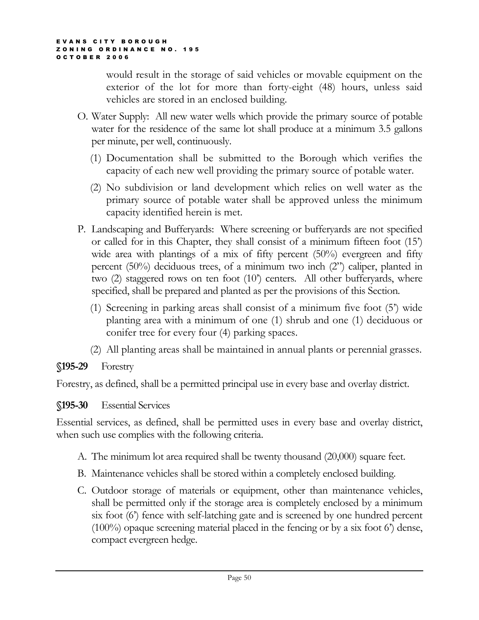would result in the storage of said vehicles or movable equipment on the exterior of the lot for more than forty-eight (48) hours, unless said vehicles are stored in an enclosed building.

- O. Water Supply: All new water wells which provide the primary source of potable water for the residence of the same lot shall produce at a minimum 3.5 gallons per minute, per well, continuously.
	- (1) Documentation shall be submitted to the Borough which verifies the capacity of each new well providing the primary source of potable water.
	- (2) No subdivision or land development which relies on well water as the primary source of potable water shall be approved unless the minimum capacity identified herein is met.
- P. Landscaping and Bufferyards: Where screening or bufferyards are not specified or called for in this Chapter, they shall consist of a minimum fifteen foot (15') wide area with plantings of a mix of fifty percent (50%) evergreen and fifty percent (50%) deciduous trees, of a minimum two inch (2") caliper, planted in two (2) staggered rows on ten foot (10') centers. All other bufferyards, where specified, shall be prepared and planted as per the provisions of this Section.
	- (1) Screening in parking areas shall consist of a minimum five foot (5') wide planting area with a minimum of one (1) shrub and one (1) deciduous or conifer tree for every four (4) parking spaces.
	- (2) All planting areas shall be maintained in annual plants or perennial grasses.

§195-29 Forestry

Forestry, as defined, shall be a permitted principal use in every base and overlay district.

# §195-30 Essential Services

Essential services, as defined, shall be permitted uses in every base and overlay district, when such use complies with the following criteria.

- A. The minimum lot area required shall be twenty thousand (20,000) square feet.
- B. Maintenance vehicles shall be stored within a completely enclosed building.
- C. Outdoor storage of materials or equipment, other than maintenance vehicles, shall be permitted only if the storage area is completely enclosed by a minimum six foot (6') fence with self-latching gate and is screened by one hundred percent (100%) opaque screening material placed in the fencing or by a six foot 6') dense, compact evergreen hedge.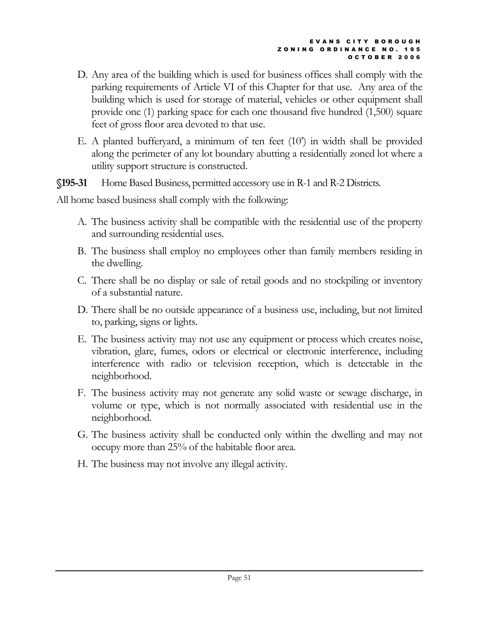- D. Any area of the building which is used for business offices shall comply with the parking requirements of Article VI of this Chapter for that use. Any area of the building which is used for storage of material, vehicles or other equipment shall provide one (1) parking space for each one thousand five hundred (1,500) square feet of gross floor area devoted to that use.
- E. A planted bufferyard, a minimum of ten feet (10') in width shall be provided along the perimeter of any lot boundary abutting a residentially zoned lot where a utility support structure is constructed.

§195-31 Home Based Business, permitted accessory use in R-1 and R-2 Districts.

All home based business shall comply with the following:

- A. The business activity shall be compatible with the residential use of the property and surrounding residential uses.
- B. The business shall employ no employees other than family members residing in the dwelling.
- C. There shall be no display or sale of retail goods and no stockpiling or inventory of a substantial nature.
- D. There shall be no outside appearance of a business use, including, but not limited to, parking, signs or lights.
- E. The business activity may not use any equipment or process which creates noise, vibration, glare, fumes, odors or electrical or electronic interference, including interference with radio or television reception, which is detectable in the neighborhood.
- F. The business activity may not generate any solid waste or sewage discharge, in volume or type, which is not normally associated with residential use in the neighborhood.
- G. The business activity shall be conducted only within the dwelling and may not occupy more than 25% of the habitable floor area.
- H. The business may not involve any illegal activity.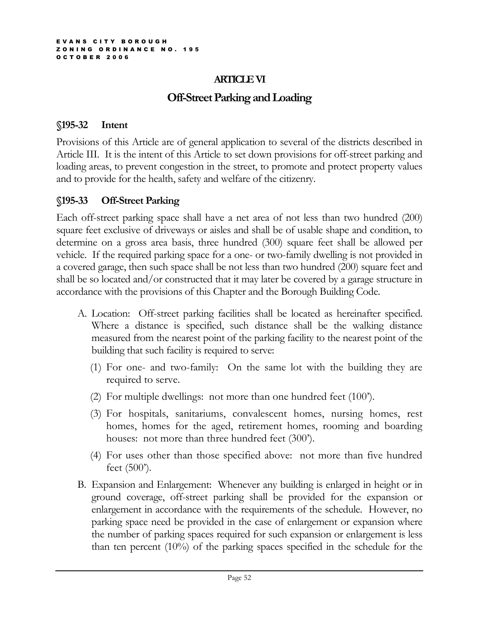## ARTICLE VI

# Off-Street Parking and Loading

### §195-32 Intent

Provisions of this Article are of general application to several of the districts described in Article III. It is the intent of this Article to set down provisions for off-street parking and loading areas, to prevent congestion in the street, to promote and protect property values and to provide for the health, safety and welfare of the citizenry.

# §195-33 Off-Street Parking

Each off-street parking space shall have a net area of not less than two hundred (200) square feet exclusive of driveways or aisles and shall be of usable shape and condition, to determine on a gross area basis, three hundred (300) square feet shall be allowed per vehicle. If the required parking space for a one- or two-family dwelling is not provided in a covered garage, then such space shall be not less than two hundred (200) square feet and shall be so located and/or constructed that it may later be covered by a garage structure in accordance with the provisions of this Chapter and the Borough Building Code.

- A. Location: Off-street parking facilities shall be located as hereinafter specified. Where a distance is specified, such distance shall be the walking distance measured from the nearest point of the parking facility to the nearest point of the building that such facility is required to serve:
	- (1) For one- and two-family: On the same lot with the building they are required to serve.
	- (2) For multiple dwellings: not more than one hundred feet (100').
	- (3) For hospitals, sanitariums, convalescent homes, nursing homes, rest homes, homes for the aged, retirement homes, rooming and boarding houses: not more than three hundred feet (300').
	- (4) For uses other than those specified above: not more than five hundred feet (500').
- B. Expansion and Enlargement: Whenever any building is enlarged in height or in ground coverage, off-street parking shall be provided for the expansion or enlargement in accordance with the requirements of the schedule. However, no parking space need be provided in the case of enlargement or expansion where the number of parking spaces required for such expansion or enlargement is less than ten percent (10%) of the parking spaces specified in the schedule for the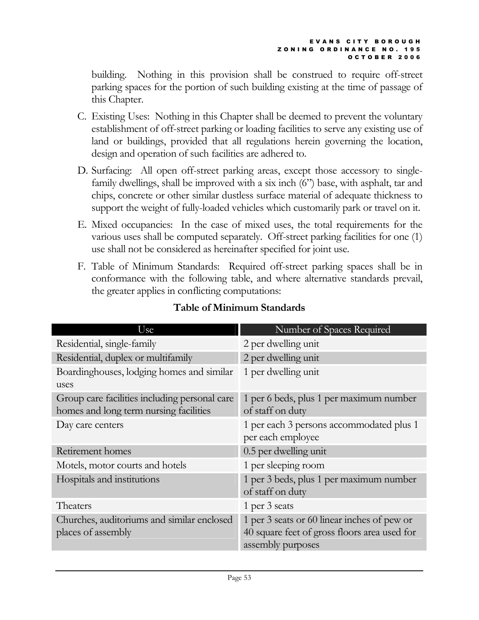building. Nothing in this provision shall be construed to require off-street parking spaces for the portion of such building existing at the time of passage of this Chapter.

- C. Existing Uses: Nothing in this Chapter shall be deemed to prevent the voluntary establishment of off-street parking or loading facilities to serve any existing use of land or buildings, provided that all regulations herein governing the location, design and operation of such facilities are adhered to.
- D. Surfacing: All open off-street parking areas, except those accessory to singlefamily dwellings, shall be improved with a six inch (6") base, with asphalt, tar and chips, concrete or other similar dustless surface material of adequate thickness to support the weight of fully-loaded vehicles which customarily park or travel on it.
- E. Mixed occupancies: In the case of mixed uses, the total requirements for the various uses shall be computed separately. Off-street parking facilities for one (1) use shall not be considered as hereinafter specified for joint use.
- F. Table of Minimum Standards: Required off-street parking spaces shall be in conformance with the following table, and where alternative standards prevail, the greater applies in conflicting computations:

| Use                                                                                     | Number of Spaces Required                                                                                        |
|-----------------------------------------------------------------------------------------|------------------------------------------------------------------------------------------------------------------|
| Residential, single-family                                                              | 2 per dwelling unit                                                                                              |
| Residential, duplex or multifamily                                                      | 2 per dwelling unit                                                                                              |
| Boardinghouses, lodging homes and similar                                               | 1 per dwelling unit                                                                                              |
| uses                                                                                    |                                                                                                                  |
| Group care facilities including personal care<br>homes and long term nursing facilities | 1 per 6 beds, plus 1 per maximum number<br>of staff on duty                                                      |
| Day care centers                                                                        | 1 per each 3 persons accommodated plus 1<br>per each employee                                                    |
| Retirement homes                                                                        | 0.5 per dwelling unit                                                                                            |
| Motels, motor courts and hotels                                                         | 1 per sleeping room                                                                                              |
| Hospitals and institutions                                                              | 1 per 3 beds, plus 1 per maximum number<br>of staff on duty                                                      |
| Theaters                                                                                | 1 per 3 seats                                                                                                    |
| Churches, auditoriums and similar enclosed<br>places of assembly                        | 1 per 3 seats or 60 linear inches of pew or<br>40 square feet of gross floors area used for<br>assembly purposes |

# Table of Minimum Standards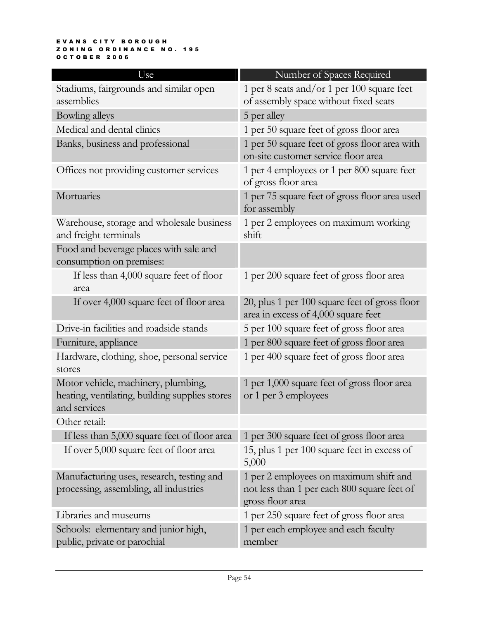#### E V A N S C I T Y B O R O U G H ZONING ORDINANCE NO. 195 O C T O B E R 2 0 0 6

| Use                                                                                                   | Number of Spaces Required                                                                                 |
|-------------------------------------------------------------------------------------------------------|-----------------------------------------------------------------------------------------------------------|
| Stadiums, fairgrounds and similar open<br>assemblies                                                  | 1 per 8 seats and/or 1 per 100 square feet<br>of assembly space without fixed seats                       |
| Bowling alleys                                                                                        | 5 per alley                                                                                               |
| Medical and dental clinics                                                                            | 1 per 50 square feet of gross floor area                                                                  |
| Banks, business and professional                                                                      | 1 per 50 square feet of gross floor area with<br>on-site customer service floor area                      |
| Offices not providing customer services                                                               | 1 per 4 employees or 1 per 800 square feet<br>of gross floor area                                         |
| Mortuaries                                                                                            | 1 per 75 square feet of gross floor area used<br>for assembly                                             |
| Warehouse, storage and wholesale business<br>and freight terminals                                    | 1 per 2 employees on maximum working<br>shift                                                             |
| Food and beverage places with sale and<br>consumption on premises:                                    |                                                                                                           |
| If less than 4,000 square feet of floor<br>area                                                       | 1 per 200 square feet of gross floor area                                                                 |
| If over 4,000 square feet of floor area                                                               | 20, plus 1 per 100 square feet of gross floor<br>area in excess of 4,000 square feet                      |
| Drive-in facilities and roadside stands                                                               | 5 per 100 square feet of gross floor area                                                                 |
| Furniture, appliance                                                                                  | 1 per 800 square feet of gross floor area                                                                 |
| Hardware, clothing, shoe, personal service<br>stores                                                  | 1 per 400 square feet of gross floor area                                                                 |
| Motor vehicle, machinery, plumbing,<br>heating, ventilating, building supplies stores<br>and services | 1 per 1,000 square feet of gross floor area<br>or 1 per 3 employees                                       |
| Other retail:                                                                                         |                                                                                                           |
| If less than 5,000 square feet of floor area                                                          | 1 per 300 square feet of gross floor area                                                                 |
| If over 5,000 square feet of floor area                                                               | 15, plus 1 per 100 square feet in excess of<br>5,000                                                      |
| Manufacturing uses, research, testing and<br>processing, assembling, all industries                   | 1 per 2 employees on maximum shift and<br>not less than 1 per each 800 square feet of<br>gross floor area |
| Libraries and museums                                                                                 | 1 per 250 square feet of gross floor area                                                                 |
| Schools: elementary and junior high,<br>public, private or parochial                                  | 1 per each employee and each faculty<br>member                                                            |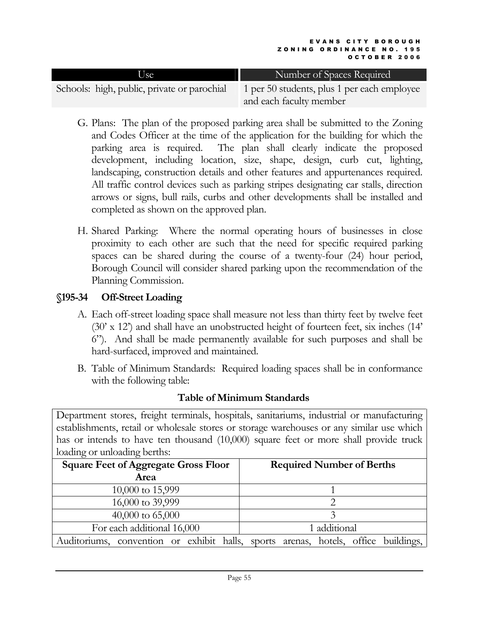| Use                                         | Number of Spaces Required                   |
|---------------------------------------------|---------------------------------------------|
| Schools: high, public, private or parochial | 1 per 50 students, plus 1 per each employee |
|                                             | and each faculty member                     |

- G. Plans: The plan of the proposed parking area shall be submitted to the Zoning and Codes Officer at the time of the application for the building for which the parking area is required. The plan shall clearly indicate the proposed development, including location, size, shape, design, curb cut, lighting, landscaping, construction details and other features and appurtenances required. All traffic control devices such as parking stripes designating car stalls, direction arrows or signs, bull rails, curbs and other developments shall be installed and completed as shown on the approved plan.
- H. Shared Parking: Where the normal operating hours of businesses in close proximity to each other are such that the need for specific required parking spaces can be shared during the course of a twenty-four (24) hour period, Borough Council will consider shared parking upon the recommendation of the Planning Commission.

# §195-34 Off-Street Loading

- A. Each off-street loading space shall measure not less than thirty feet by twelve feet (30' x 12') and shall have an unobstructed height of fourteen feet, six inches (14' 6"). And shall be made permanently available for such purposes and shall be hard-surfaced, improved and maintained.
- B. Table of Minimum Standards: Required loading spaces shall be in conformance with the following table:

### Table of Minimum Standards

Department stores, freight terminals, hospitals, sanitariums, industrial or manufacturing establishments, retail or wholesale stores or storage warehouses or any similar use which has or intends to have ten thousand (10,000) square feet or more shall provide truck loading or unloading berths:

| <b>Square Feet of Aggregate Gross Floor</b><br>Area                                | <b>Required Number of Berths</b> |
|------------------------------------------------------------------------------------|----------------------------------|
| 10,000 to 15,999                                                                   |                                  |
| 16,000 to 39,999                                                                   |                                  |
| $40,000$ to $65,000$                                                               |                                  |
| For each additional 16,000                                                         | 1 additional                     |
| Auditoriums, convention or exhibit halls, sports arenas, hotels, office buildings, |                                  |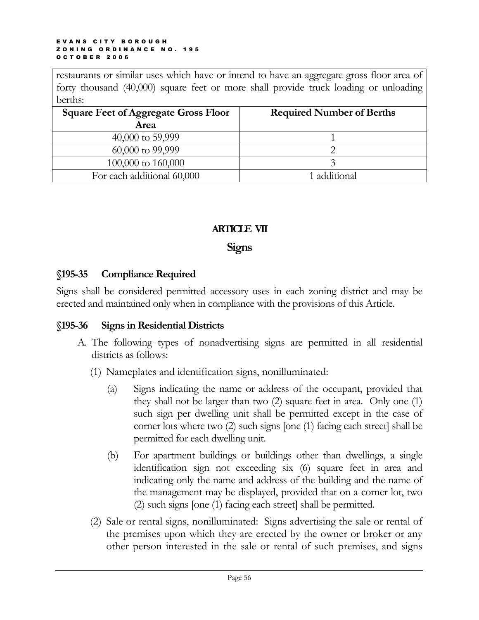restaurants or similar uses which have or intend to have an aggregate gross floor area of forty thousand (40,000) square feet or more shall provide truck loading or unloading berths:

| <b>Square Feet of Aggregate Gross Floor</b><br>Area | <b>Required Number of Berths</b> |
|-----------------------------------------------------|----------------------------------|
| 40,000 to 59,999                                    |                                  |
| 60,000 to 99,999                                    |                                  |
| 100,000 to 160,000                                  |                                  |
| For each additional 60,000                          | 1 additional                     |

## ARTICLE VII

### **Signs**

### §195-35 Compliance Required

Signs shall be considered permitted accessory uses in each zoning district and may be erected and maintained only when in compliance with the provisions of this Article.

### §195-36 Signs in Residential Districts

- A. The following types of nonadvertising signs are permitted in all residential districts as follows:
	- (1) Nameplates and identification signs, nonilluminated:
		- (a) Signs indicating the name or address of the occupant, provided that they shall not be larger than two (2) square feet in area. Only one (1) such sign per dwelling unit shall be permitted except in the case of corner lots where two (2) such signs [one (1) facing each street] shall be permitted for each dwelling unit.
		- (b) For apartment buildings or buildings other than dwellings, a single identification sign not exceeding six (6) square feet in area and indicating only the name and address of the building and the name of the management may be displayed, provided that on a corner lot, two (2) such signs [one (1) facing each street] shall be permitted.
	- (2) Sale or rental signs, nonilluminated: Signs advertising the sale or rental of the premises upon which they are erected by the owner or broker or any other person interested in the sale or rental of such premises, and signs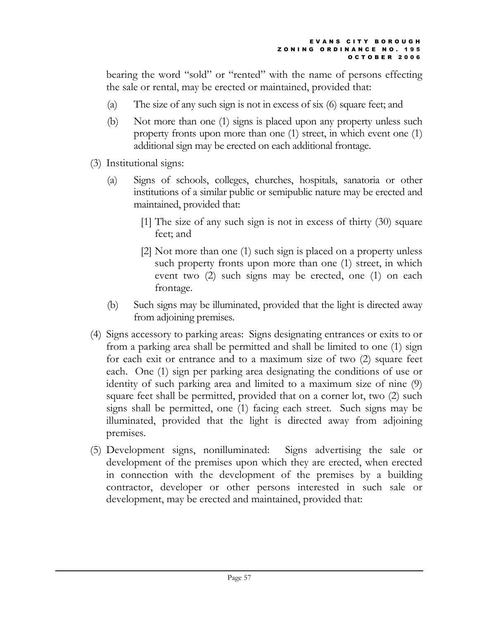bearing the word "sold" or "rented" with the name of persons effecting the sale or rental, may be erected or maintained, provided that:

- (a) The size of any such sign is not in excess of six (6) square feet; and
- (b) Not more than one (1) signs is placed upon any property unless such property fronts upon more than one (1) street, in which event one (1) additional sign may be erected on each additional frontage.
- (3) Institutional signs:
	- (a) Signs of schools, colleges, churches, hospitals, sanatoria or other institutions of a similar public or semipublic nature may be erected and maintained, provided that:
		- [1] The size of any such sign is not in excess of thirty (30) square feet; and
		- [2] Not more than one (1) such sign is placed on a property unless such property fronts upon more than one (1) street, in which event two (2) such signs may be erected, one (1) on each frontage.
	- (b) Such signs may be illuminated, provided that the light is directed away from adjoining premises.
- (4) Signs accessory to parking areas: Signs designating entrances or exits to or from a parking area shall be permitted and shall be limited to one (1) sign for each exit or entrance and to a maximum size of two (2) square feet each. One (1) sign per parking area designating the conditions of use or identity of such parking area and limited to a maximum size of nine (9) square feet shall be permitted, provided that on a corner lot, two (2) such signs shall be permitted, one (1) facing each street. Such signs may be illuminated, provided that the light is directed away from adjoining premises.
- (5) Development signs, nonilluminated: Signs advertising the sale or development of the premises upon which they are erected, when erected in connection with the development of the premises by a building contractor, developer or other persons interested in such sale or development, may be erected and maintained, provided that: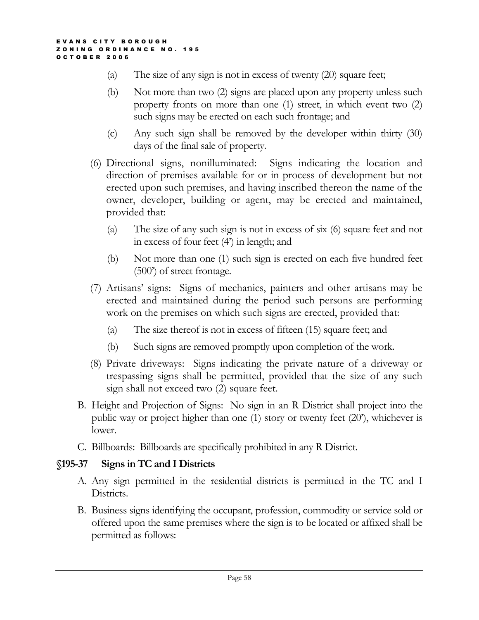- (a) The size of any sign is not in excess of twenty (20) square feet;
- (b) Not more than two (2) signs are placed upon any property unless such property fronts on more than one (1) street, in which event two (2) such signs may be erected on each such frontage; and
- (c) Any such sign shall be removed by the developer within thirty (30) days of the final sale of property.
- (6) Directional signs, nonilluminated: Signs indicating the location and direction of premises available for or in process of development but not erected upon such premises, and having inscribed thereon the name of the owner, developer, building or agent, may be erected and maintained, provided that:
	- (a) The size of any such sign is not in excess of six (6) square feet and not in excess of four feet (4') in length; and
	- (b) Not more than one (1) such sign is erected on each five hundred feet (500') of street frontage.
- (7) Artisans' signs: Signs of mechanics, painters and other artisans may be erected and maintained during the period such persons are performing work on the premises on which such signs are erected, provided that:
	- (a) The size thereof is not in excess of fifteen (15) square feet; and
	- (b) Such signs are removed promptly upon completion of the work.
- (8) Private driveways: Signs indicating the private nature of a driveway or trespassing signs shall be permitted, provided that the size of any such sign shall not exceed two (2) square feet.
- B. Height and Projection of Signs: No sign in an R District shall project into the public way or project higher than one (1) story or twenty feet (20'), whichever is lower.
- C. Billboards: Billboards are specifically prohibited in any R District.

# §195-37 Signs in TC and I Districts

- A. Any sign permitted in the residential districts is permitted in the TC and I Districts.
- B. Business signs identifying the occupant, profession, commodity or service sold or offered upon the same premises where the sign is to be located or affixed shall be permitted as follows: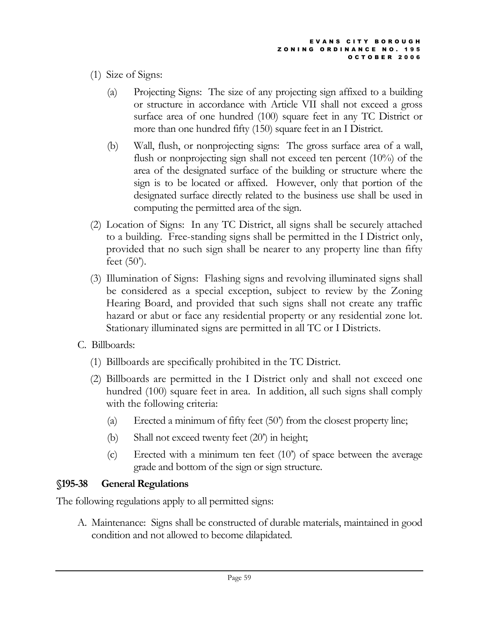- (1) Size of Signs:
	- (a) Projecting Signs: The size of any projecting sign affixed to a building or structure in accordance with Article VII shall not exceed a gross surface area of one hundred (100) square feet in any TC District or more than one hundred fifty (150) square feet in an I District.
	- (b) Wall, flush, or nonprojecting signs: The gross surface area of a wall, flush or nonprojecting sign shall not exceed ten percent (10%) of the area of the designated surface of the building or structure where the sign is to be located or affixed. However, only that portion of the designated surface directly related to the business use shall be used in computing the permitted area of the sign.
- (2) Location of Signs: In any TC District, all signs shall be securely attached to a building. Free-standing signs shall be permitted in the I District only, provided that no such sign shall be nearer to any property line than fifty feet  $(50^{\circ})$ .
- (3) Illumination of Signs: Flashing signs and revolving illuminated signs shall be considered as a special exception, subject to review by the Zoning Hearing Board, and provided that such signs shall not create any traffic hazard or abut or face any residential property or any residential zone lot. Stationary illuminated signs are permitted in all TC or I Districts.
- C. Billboards:
	- (1) Billboards are specifically prohibited in the TC District.
	- (2) Billboards are permitted in the I District only and shall not exceed one hundred (100) square feet in area. In addition, all such signs shall comply with the following criteria:
		- (a) Erected a minimum of fifty feet (50') from the closest property line;
		- (b) Shall not exceed twenty feet (20') in height;
		- (c) Erected with a minimum ten feet (10') of space between the average grade and bottom of the sign or sign structure.

# §195-38 General Regulations

The following regulations apply to all permitted signs:

A. Maintenance: Signs shall be constructed of durable materials, maintained in good condition and not allowed to become dilapidated.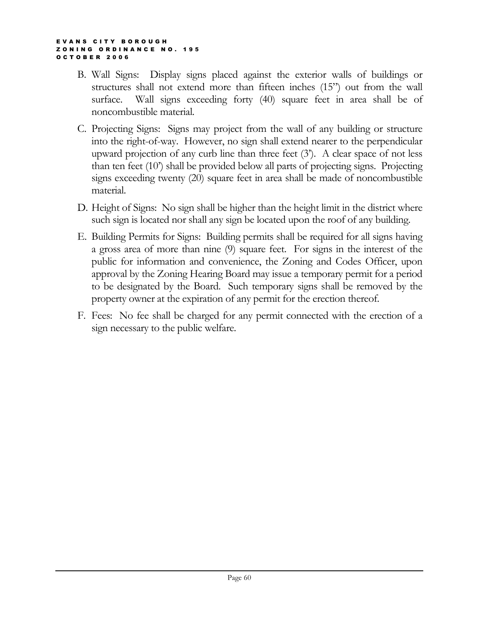- B. Wall Signs: Display signs placed against the exterior walls of buildings or structures shall not extend more than fifteen inches (15") out from the wall surface. Wall signs exceeding forty (40) square feet in area shall be of noncombustible material.
- C. Projecting Signs: Signs may project from the wall of any building or structure into the right-of-way. However, no sign shall extend nearer to the perpendicular upward projection of any curb line than three feet (3'). A clear space of not less than ten feet (10') shall be provided below all parts of projecting signs. Projecting signs exceeding twenty (20) square feet in area shall be made of noncombustible material.
- D. Height of Signs: No sign shall be higher than the height limit in the district where such sign is located nor shall any sign be located upon the roof of any building.
- E. Building Permits for Signs: Building permits shall be required for all signs having a gross area of more than nine (9) square feet. For signs in the interest of the public for information and convenience, the Zoning and Codes Officer, upon approval by the Zoning Hearing Board may issue a temporary permit for a period to be designated by the Board. Such temporary signs shall be removed by the property owner at the expiration of any permit for the erection thereof.
- F. Fees: No fee shall be charged for any permit connected with the erection of a sign necessary to the public welfare.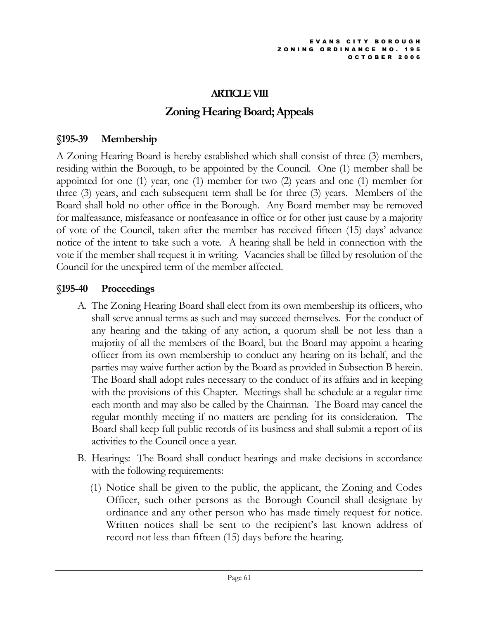## ARTICLE VIII

# Zoning Hearing Board; Appeals

### §195-39 Membership

A Zoning Hearing Board is hereby established which shall consist of three (3) members, residing within the Borough, to be appointed by the Council. One (1) member shall be appointed for one (1) year, one (1) member for two (2) years and one (1) member for three (3) years, and each subsequent term shall be for three (3) years. Members of the Board shall hold no other office in the Borough. Any Board member may be removed for malfeasance, misfeasance or nonfeasance in office or for other just cause by a majority of vote of the Council, taken after the member has received fifteen (15) days' advance notice of the intent to take such a vote. A hearing shall be held in connection with the vote if the member shall request it in writing. Vacancies shall be filled by resolution of the Council for the unexpired term of the member affected.

## §195-40 Proceedings

- A. The Zoning Hearing Board shall elect from its own membership its officers, who shall serve annual terms as such and may succeed themselves. For the conduct of any hearing and the taking of any action, a quorum shall be not less than a majority of all the members of the Board, but the Board may appoint a hearing officer from its own membership to conduct any hearing on its behalf, and the parties may waive further action by the Board as provided in Subsection B herein. The Board shall adopt rules necessary to the conduct of its affairs and in keeping with the provisions of this Chapter. Meetings shall be schedule at a regular time each month and may also be called by the Chairman. The Board may cancel the regular monthly meeting if no matters are pending for its consideration. The Board shall keep full public records of its business and shall submit a report of its activities to the Council once a year.
- B. Hearings: The Board shall conduct hearings and make decisions in accordance with the following requirements:
	- (1) Notice shall be given to the public, the applicant, the Zoning and Codes Officer, such other persons as the Borough Council shall designate by ordinance and any other person who has made timely request for notice. Written notices shall be sent to the recipient's last known address of record not less than fifteen (15) days before the hearing.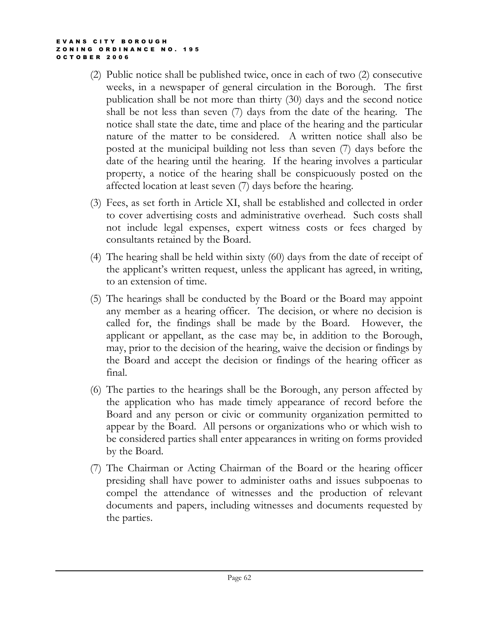- (2) Public notice shall be published twice, once in each of two (2) consecutive weeks, in a newspaper of general circulation in the Borough. The first publication shall be not more than thirty (30) days and the second notice shall be not less than seven (7) days from the date of the hearing. The notice shall state the date, time and place of the hearing and the particular nature of the matter to be considered. A written notice shall also be posted at the municipal building not less than seven (7) days before the date of the hearing until the hearing. If the hearing involves a particular property, a notice of the hearing shall be conspicuously posted on the affected location at least seven (7) days before the hearing.
- (3) Fees, as set forth in Article XI, shall be established and collected in order to cover advertising costs and administrative overhead. Such costs shall not include legal expenses, expert witness costs or fees charged by consultants retained by the Board.
- (4) The hearing shall be held within sixty (60) days from the date of receipt of the applicant's written request, unless the applicant has agreed, in writing, to an extension of time.
- (5) The hearings shall be conducted by the Board or the Board may appoint any member as a hearing officer. The decision, or where no decision is called for, the findings shall be made by the Board. However, the applicant or appellant, as the case may be, in addition to the Borough, may, prior to the decision of the hearing, waive the decision or findings by the Board and accept the decision or findings of the hearing officer as final.
- (6) The parties to the hearings shall be the Borough, any person affected by the application who has made timely appearance of record before the Board and any person or civic or community organization permitted to appear by the Board. All persons or organizations who or which wish to be considered parties shall enter appearances in writing on forms provided by the Board.
- (7) The Chairman or Acting Chairman of the Board or the hearing officer presiding shall have power to administer oaths and issues subpoenas to compel the attendance of witnesses and the production of relevant documents and papers, including witnesses and documents requested by the parties.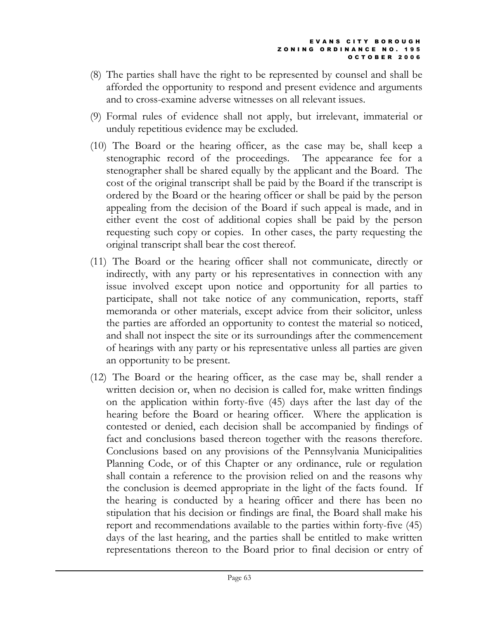- (8) The parties shall have the right to be represented by counsel and shall be afforded the opportunity to respond and present evidence and arguments and to cross-examine adverse witnesses on all relevant issues.
- (9) Formal rules of evidence shall not apply, but irrelevant, immaterial or unduly repetitious evidence may be excluded.
- (10) The Board or the hearing officer, as the case may be, shall keep a stenographic record of the proceedings. The appearance fee for a stenographer shall be shared equally by the applicant and the Board. The cost of the original transcript shall be paid by the Board if the transcript is ordered by the Board or the hearing officer or shall be paid by the person appealing from the decision of the Board if such appeal is made, and in either event the cost of additional copies shall be paid by the person requesting such copy or copies. In other cases, the party requesting the original transcript shall bear the cost thereof.
- (11) The Board or the hearing officer shall not communicate, directly or indirectly, with any party or his representatives in connection with any issue involved except upon notice and opportunity for all parties to participate, shall not take notice of any communication, reports, staff memoranda or other materials, except advice from their solicitor, unless the parties are afforded an opportunity to contest the material so noticed, and shall not inspect the site or its surroundings after the commencement of hearings with any party or his representative unless all parties are given an opportunity to be present.
- (12) The Board or the hearing officer, as the case may be, shall render a written decision or, when no decision is called for, make written findings on the application within forty-five (45) days after the last day of the hearing before the Board or hearing officer. Where the application is contested or denied, each decision shall be accompanied by findings of fact and conclusions based thereon together with the reasons therefore. Conclusions based on any provisions of the Pennsylvania Municipalities Planning Code, or of this Chapter or any ordinance, rule or regulation shall contain a reference to the provision relied on and the reasons why the conclusion is deemed appropriate in the light of the facts found. If the hearing is conducted by a hearing officer and there has been no stipulation that his decision or findings are final, the Board shall make his report and recommendations available to the parties within forty-five (45) days of the last hearing, and the parties shall be entitled to make written representations thereon to the Board prior to final decision or entry of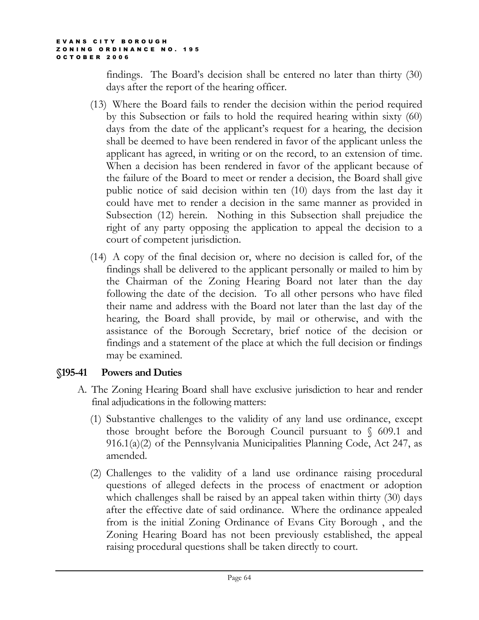findings. The Board's decision shall be entered no later than thirty (30) days after the report of the hearing officer.

- (13) Where the Board fails to render the decision within the period required by this Subsection or fails to hold the required hearing within sixty (60) days from the date of the applicant's request for a hearing, the decision shall be deemed to have been rendered in favor of the applicant unless the applicant has agreed, in writing or on the record, to an extension of time. When a decision has been rendered in favor of the applicant because of the failure of the Board to meet or render a decision, the Board shall give public notice of said decision within ten (10) days from the last day it could have met to render a decision in the same manner as provided in Subsection (12) herein. Nothing in this Subsection shall prejudice the right of any party opposing the application to appeal the decision to a court of competent jurisdiction.
- (14) A copy of the final decision or, where no decision is called for, of the findings shall be delivered to the applicant personally or mailed to him by the Chairman of the Zoning Hearing Board not later than the day following the date of the decision. To all other persons who have filed their name and address with the Board not later than the last day of the hearing, the Board shall provide, by mail or otherwise, and with the assistance of the Borough Secretary, brief notice of the decision or findings and a statement of the place at which the full decision or findings may be examined.

### §195-41 Powers and Duties

- A. The Zoning Hearing Board shall have exclusive jurisdiction to hear and render final adjudications in the following matters:
	- (1) Substantive challenges to the validity of any land use ordinance, except those brought before the Borough Council pursuant to  $\sqrt{609.1}$  and 916.1(a)(2) of the Pennsylvania Municipalities Planning Code, Act 247, as amended.
	- (2) Challenges to the validity of a land use ordinance raising procedural questions of alleged defects in the process of enactment or adoption which challenges shall be raised by an appeal taken within thirty (30) days after the effective date of said ordinance. Where the ordinance appealed from is the initial Zoning Ordinance of Evans City Borough , and the Zoning Hearing Board has not been previously established, the appeal raising procedural questions shall be taken directly to court.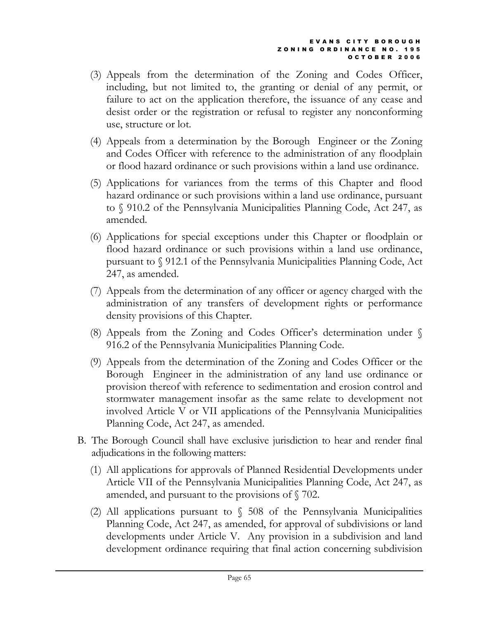- (3) Appeals from the determination of the Zoning and Codes Officer, including, but not limited to, the granting or denial of any permit, or failure to act on the application therefore, the issuance of any cease and desist order or the registration or refusal to register any nonconforming use, structure or lot.
- (4) Appeals from a determination by the Borough Engineer or the Zoning and Codes Officer with reference to the administration of any floodplain or flood hazard ordinance or such provisions within a land use ordinance.
- (5) Applications for variances from the terms of this Chapter and flood hazard ordinance or such provisions within a land use ordinance, pursuant to § 910.2 of the Pennsylvania Municipalities Planning Code, Act 247, as amended.
- (6) Applications for special exceptions under this Chapter or floodplain or flood hazard ordinance or such provisions within a land use ordinance, pursuant to § 912.1 of the Pennsylvania Municipalities Planning Code, Act 247, as amended.
- (7) Appeals from the determination of any officer or agency charged with the administration of any transfers of development rights or performance density provisions of this Chapter.
- (8) Appeals from the Zoning and Codes Officer's determination under § 916.2 of the Pennsylvania Municipalities Planning Code.
- (9) Appeals from the determination of the Zoning and Codes Officer or the Borough Engineer in the administration of any land use ordinance or provision thereof with reference to sedimentation and erosion control and stormwater management insofar as the same relate to development not involved Article V or VII applications of the Pennsylvania Municipalities Planning Code, Act 247, as amended.
- B. The Borough Council shall have exclusive jurisdiction to hear and render final adjudications in the following matters:
	- (1) All applications for approvals of Planned Residential Developments under Article VII of the Pennsylvania Municipalities Planning Code, Act 247, as amended, and pursuant to the provisions of § 702.
	- (2) All applications pursuant to  $\sqrt{508}$  of the Pennsylvania Municipalities Planning Code, Act 247, as amended, for approval of subdivisions or land developments under Article V. Any provision in a subdivision and land development ordinance requiring that final action concerning subdivision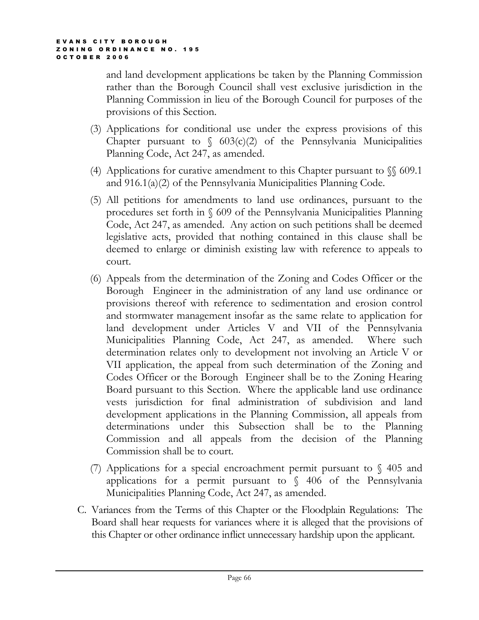and land development applications be taken by the Planning Commission rather than the Borough Council shall vest exclusive jurisdiction in the Planning Commission in lieu of the Borough Council for purposes of the provisions of this Section.

- (3) Applications for conditional use under the express provisions of this Chapter pursuant to  $\sqrt{603(c)}$  of the Pennsylvania Municipalities Planning Code, Act 247, as amended.
- (4) Applications for curative amendment to this Chapter pursuant to  $\sqrt{\}$  609.1 and 916.1(a)(2) of the Pennsylvania Municipalities Planning Code.
- (5) All petitions for amendments to land use ordinances, pursuant to the procedures set forth in § 609 of the Pennsylvania Municipalities Planning Code, Act 247, as amended. Any action on such petitions shall be deemed legislative acts, provided that nothing contained in this clause shall be deemed to enlarge or diminish existing law with reference to appeals to court.
- (6) Appeals from the determination of the Zoning and Codes Officer or the Borough Engineer in the administration of any land use ordinance or provisions thereof with reference to sedimentation and erosion control and stormwater management insofar as the same relate to application for land development under Articles V and VII of the Pennsylvania Municipalities Planning Code, Act 247, as amended. Where such determination relates only to development not involving an Article V or VII application, the appeal from such determination of the Zoning and Codes Officer or the Borough Engineer shall be to the Zoning Hearing Board pursuant to this Section. Where the applicable land use ordinance vests jurisdiction for final administration of subdivision and land development applications in the Planning Commission, all appeals from determinations under this Subsection shall be to the Planning Commission and all appeals from the decision of the Planning Commission shall be to court.
- (7) Applications for a special encroachment permit pursuant to  $\sqrt{6}$  405 and applications for a permit pursuant to  $\sqrt{ }$  406 of the Pennsylvania Municipalities Planning Code, Act 247, as amended.
- C. Variances from the Terms of this Chapter or the Floodplain Regulations: The Board shall hear requests for variances where it is alleged that the provisions of this Chapter or other ordinance inflict unnecessary hardship upon the applicant.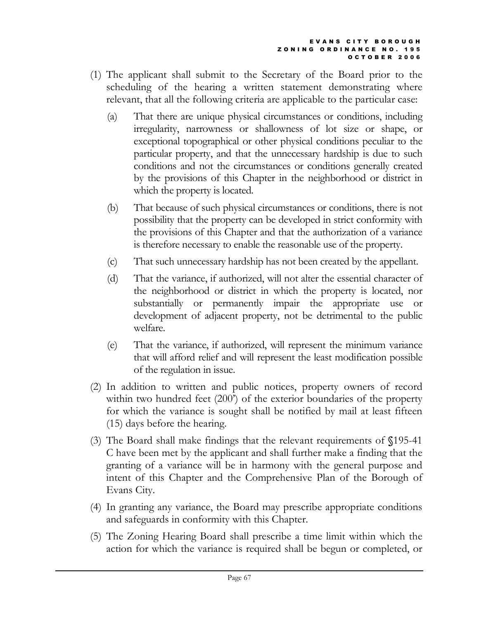- (1) The applicant shall submit to the Secretary of the Board prior to the scheduling of the hearing a written statement demonstrating where relevant, that all the following criteria are applicable to the particular case:
	- (a) That there are unique physical circumstances or conditions, including irregularity, narrowness or shallowness of lot size or shape, or exceptional topographical or other physical conditions peculiar to the particular property, and that the unnecessary hardship is due to such conditions and not the circumstances or conditions generally created by the provisions of this Chapter in the neighborhood or district in which the property is located.
	- (b) That because of such physical circumstances or conditions, there is not possibility that the property can be developed in strict conformity with the provisions of this Chapter and that the authorization of a variance is therefore necessary to enable the reasonable use of the property.
	- (c) That such unnecessary hardship has not been created by the appellant.
	- (d) That the variance, if authorized, will not alter the essential character of the neighborhood or district in which the property is located, nor substantially or permanently impair the appropriate use or development of adjacent property, not be detrimental to the public welfare.
	- (e) That the variance, if authorized, will represent the minimum variance that will afford relief and will represent the least modification possible of the regulation in issue.
- (2) In addition to written and public notices, property owners of record within two hundred feet (200<sup>\*</sup>) of the exterior boundaries of the property for which the variance is sought shall be notified by mail at least fifteen (15) days before the hearing.
- (3) The Board shall make findings that the relevant requirements of §195-41 C have been met by the applicant and shall further make a finding that the granting of a variance will be in harmony with the general purpose and intent of this Chapter and the Comprehensive Plan of the Borough of Evans City.
- (4) In granting any variance, the Board may prescribe appropriate conditions and safeguards in conformity with this Chapter.
- (5) The Zoning Hearing Board shall prescribe a time limit within which the action for which the variance is required shall be begun or completed, or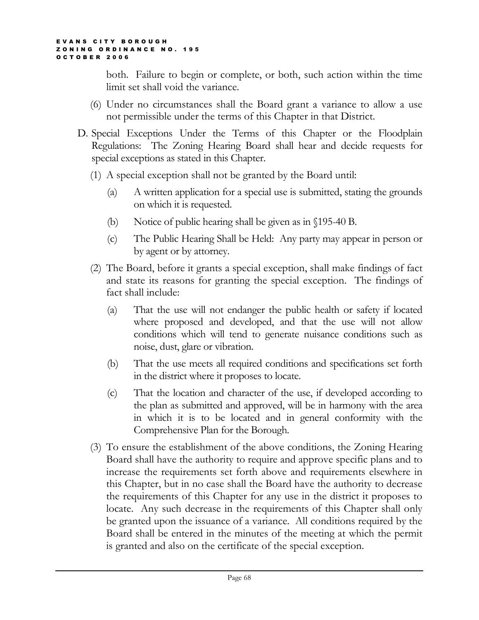both. Failure to begin or complete, or both, such action within the time limit set shall void the variance.

- (6) Under no circumstances shall the Board grant a variance to allow a use not permissible under the terms of this Chapter in that District.
- D. Special Exceptions Under the Terms of this Chapter or the Floodplain Regulations: The Zoning Hearing Board shall hear and decide requests for special exceptions as stated in this Chapter.
	- (1) A special exception shall not be granted by the Board until:
		- (a) A written application for a special use is submitted, stating the grounds on which it is requested.
		- (b) Notice of public hearing shall be given as in §195-40 B.
		- (c) The Public Hearing Shall be Held: Any party may appear in person or by agent or by attorney.
	- (2) The Board, before it grants a special exception, shall make findings of fact and state its reasons for granting the special exception. The findings of fact shall include:
		- (a) That the use will not endanger the public health or safety if located where proposed and developed, and that the use will not allow conditions which will tend to generate nuisance conditions such as noise, dust, glare or vibration.
		- (b) That the use meets all required conditions and specifications set forth in the district where it proposes to locate.
		- (c) That the location and character of the use, if developed according to the plan as submitted and approved, will be in harmony with the area in which it is to be located and in general conformity with the Comprehensive Plan for the Borough.
	- (3) To ensure the establishment of the above conditions, the Zoning Hearing Board shall have the authority to require and approve specific plans and to increase the requirements set forth above and requirements elsewhere in this Chapter, but in no case shall the Board have the authority to decrease the requirements of this Chapter for any use in the district it proposes to locate. Any such decrease in the requirements of this Chapter shall only be granted upon the issuance of a variance. All conditions required by the Board shall be entered in the minutes of the meeting at which the permit is granted and also on the certificate of the special exception.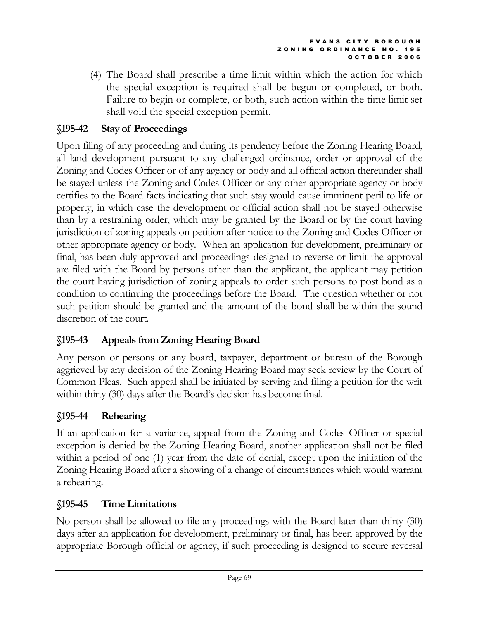(4) The Board shall prescribe a time limit within which the action for which the special exception is required shall be begun or completed, or both. Failure to begin or complete, or both, such action within the time limit set shall void the special exception permit.

# §195-42 Stay of Proceedings

Upon filing of any proceeding and during its pendency before the Zoning Hearing Board, all land development pursuant to any challenged ordinance, order or approval of the Zoning and Codes Officer or of any agency or body and all official action thereunder shall be stayed unless the Zoning and Codes Officer or any other appropriate agency or body certifies to the Board facts indicating that such stay would cause imminent peril to life or property, in which case the development or official action shall not be stayed otherwise than by a restraining order, which may be granted by the Board or by the court having jurisdiction of zoning appeals on petition after notice to the Zoning and Codes Officer or other appropriate agency or body. When an application for development, preliminary or final, has been duly approved and proceedings designed to reverse or limit the approval are filed with the Board by persons other than the applicant, the applicant may petition the court having jurisdiction of zoning appeals to order such persons to post bond as a condition to continuing the proceedings before the Board. The question whether or not such petition should be granted and the amount of the bond shall be within the sound discretion of the court.

# §195-43 Appeals from Zoning Hearing Board

Any person or persons or any board, taxpayer, department or bureau of the Borough aggrieved by any decision of the Zoning Hearing Board may seek review by the Court of Common Pleas. Such appeal shall be initiated by serving and filing a petition for the writ within thirty (30) days after the Board's decision has become final.

# §195-44 Rehearing

If an application for a variance, appeal from the Zoning and Codes Officer or special exception is denied by the Zoning Hearing Board, another application shall not be filed within a period of one (1) year from the date of denial, except upon the initiation of the Zoning Hearing Board after a showing of a change of circumstances which would warrant a rehearing.

# §195-45 Time Limitations

No person shall be allowed to file any proceedings with the Board later than thirty (30) days after an application for development, preliminary or final, has been approved by the appropriate Borough official or agency, if such proceeding is designed to secure reversal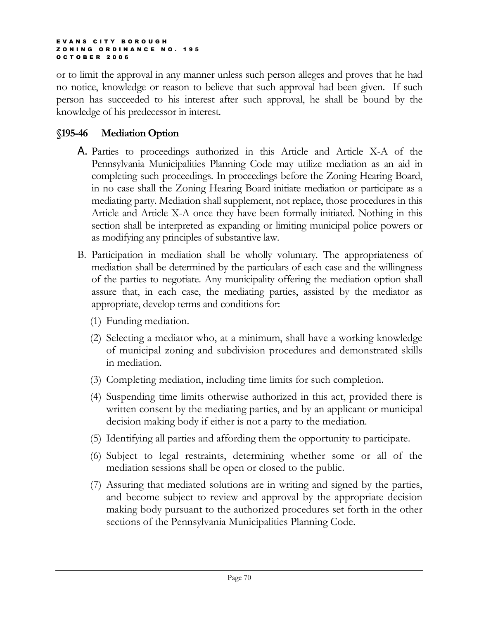or to limit the approval in any manner unless such person alleges and proves that he had no notice, knowledge or reason to believe that such approval had been given. If such person has succeeded to his interest after such approval, he shall be bound by the knowledge of his predecessor in interest.

## §195-46 Mediation Option

- A. Parties to proceedings authorized in this Article and Article X-A of the Pennsylvania Municipalities Planning Code may utilize mediation as an aid in completing such proceedings. In proceedings before the Zoning Hearing Board, in no case shall the Zoning Hearing Board initiate mediation or participate as a mediating party. Mediation shall supplement, not replace, those procedures in this Article and Article X-A once they have been formally initiated. Nothing in this section shall be interpreted as expanding or limiting municipal police powers or as modifying any principles of substantive law.
- B. Participation in mediation shall be wholly voluntary. The appropriateness of mediation shall be determined by the particulars of each case and the willingness of the parties to negotiate. Any municipality offering the mediation option shall assure that, in each case, the mediating parties, assisted by the mediator as appropriate, develop terms and conditions for:
	- (1) Funding mediation.
	- (2) Selecting a mediator who, at a minimum, shall have a working knowledge of municipal zoning and subdivision procedures and demonstrated skills in mediation.
	- (3) Completing mediation, including time limits for such completion.
	- (4) Suspending time limits otherwise authorized in this act, provided there is written consent by the mediating parties, and by an applicant or municipal decision making body if either is not a party to the mediation.
	- (5) Identifying all parties and affording them the opportunity to participate.
	- (6) Subject to legal restraints, determining whether some or all of the mediation sessions shall be open or closed to the public.
	- (7) Assuring that mediated solutions are in writing and signed by the parties, and become subject to review and approval by the appropriate decision making body pursuant to the authorized procedures set forth in the other sections of the Pennsylvania Municipalities Planning Code.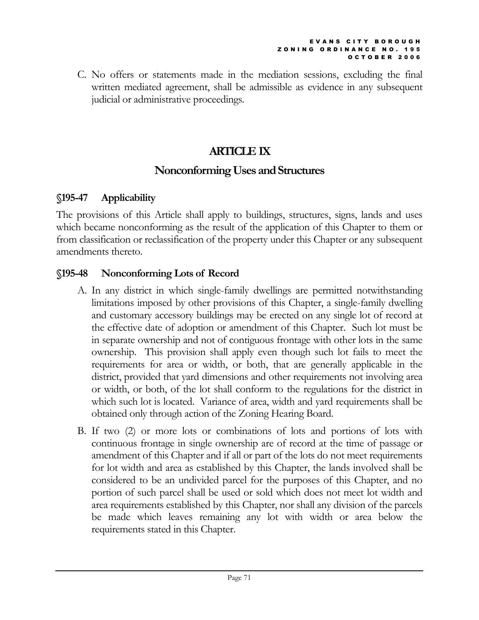C. No offers or statements made in the mediation sessions, excluding the final written mediated agreement, shall be admissible as evidence in any subsequent judicial or administrative proceedings.

# ARTICLE IX

# Nonconforming Uses and Structures

# §195-47 Applicability

The provisions of this Article shall apply to buildings, structures, signs, lands and uses which became nonconforming as the result of the application of this Chapter to them or from classification or reclassification of the property under this Chapter or any subsequent amendments thereto.

# §195-48 Nonconforming Lots of Record

- A. In any district in which single-family dwellings are permitted notwithstanding limitations imposed by other provisions of this Chapter, a single-family dwelling and customary accessory buildings may be erected on any single lot of record at the effective date of adoption or amendment of this Chapter. Such lot must be in separate ownership and not of contiguous frontage with other lots in the same ownership. This provision shall apply even though such lot fails to meet the requirements for area or width, or both, that are generally applicable in the district, provided that yard dimensions and other requirements not involving area or width, or both, of the lot shall conform to the regulations for the district in which such lot is located. Variance of area, width and yard requirements shall be obtained only through action of the Zoning Hearing Board.
- B. If two (2) or more lots or combinations of lots and portions of lots with continuous frontage in single ownership are of record at the time of passage or amendment of this Chapter and if all or part of the lots do not meet requirements for lot width and area as established by this Chapter, the lands involved shall be considered to be an undivided parcel for the purposes of this Chapter, and no portion of such parcel shall be used or sold which does not meet lot width and area requirements established by this Chapter, nor shall any division of the parcels be made which leaves remaining any lot with width or area below the requirements stated in this Chapter.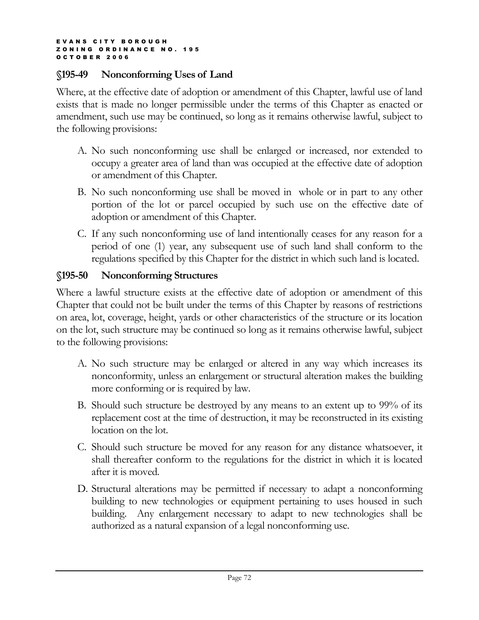## §195-49 Nonconforming Uses of Land

Where, at the effective date of adoption or amendment of this Chapter, lawful use of land exists that is made no longer permissible under the terms of this Chapter as enacted or amendment, such use may be continued, so long as it remains otherwise lawful, subject to the following provisions:

- A. No such nonconforming use shall be enlarged or increased, nor extended to occupy a greater area of land than was occupied at the effective date of adoption or amendment of this Chapter.
- B. No such nonconforming use shall be moved in whole or in part to any other portion of the lot or parcel occupied by such use on the effective date of adoption or amendment of this Chapter.
- C. If any such nonconforming use of land intentionally ceases for any reason for a period of one (1) year, any subsequent use of such land shall conform to the regulations specified by this Chapter for the district in which such land is located.

## §195-50 Nonconforming Structures

Where a lawful structure exists at the effective date of adoption or amendment of this Chapter that could not be built under the terms of this Chapter by reasons of restrictions on area, lot, coverage, height, yards or other characteristics of the structure or its location on the lot, such structure may be continued so long as it remains otherwise lawful, subject to the following provisions:

- A. No such structure may be enlarged or altered in any way which increases its nonconformity, unless an enlargement or structural alteration makes the building more conforming or is required by law.
- B. Should such structure be destroyed by any means to an extent up to 99% of its replacement cost at the time of destruction, it may be reconstructed in its existing location on the lot.
- C. Should such structure be moved for any reason for any distance whatsoever, it shall thereafter conform to the regulations for the district in which it is located after it is moved.
- D. Structural alterations may be permitted if necessary to adapt a nonconforming building to new technologies or equipment pertaining to uses housed in such building. Any enlargement necessary to adapt to new technologies shall be authorized as a natural expansion of a legal nonconforming use.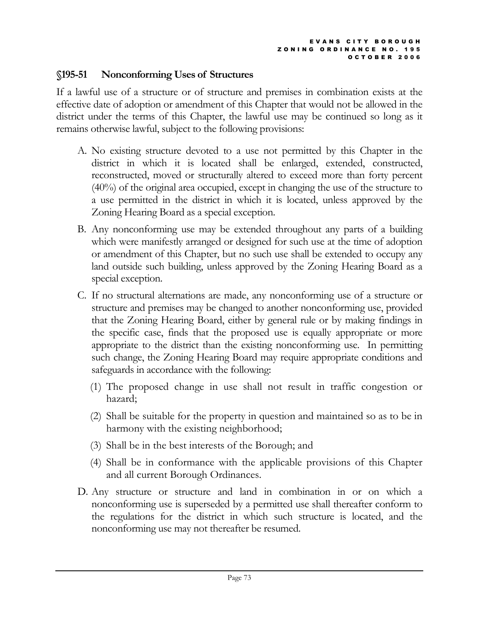### §195-51 Nonconforming Uses of Structures

If a lawful use of a structure or of structure and premises in combination exists at the effective date of adoption or amendment of this Chapter that would not be allowed in the district under the terms of this Chapter, the lawful use may be continued so long as it remains otherwise lawful, subject to the following provisions:

- A. No existing structure devoted to a use not permitted by this Chapter in the district in which it is located shall be enlarged, extended, constructed, reconstructed, moved or structurally altered to exceed more than forty percent (40%) of the original area occupied, except in changing the use of the structure to a use permitted in the district in which it is located, unless approved by the Zoning Hearing Board as a special exception.
- B. Any nonconforming use may be extended throughout any parts of a building which were manifestly arranged or designed for such use at the time of adoption or amendment of this Chapter, but no such use shall be extended to occupy any land outside such building, unless approved by the Zoning Hearing Board as a special exception.
- C. If no structural alternations are made, any nonconforming use of a structure or structure and premises may be changed to another nonconforming use, provided that the Zoning Hearing Board, either by general rule or by making findings in the specific case, finds that the proposed use is equally appropriate or more appropriate to the district than the existing nonconforming use. In permitting such change, the Zoning Hearing Board may require appropriate conditions and safeguards in accordance with the following:
	- (1) The proposed change in use shall not result in traffic congestion or hazard;
	- (2) Shall be suitable for the property in question and maintained so as to be in harmony with the existing neighborhood;
	- (3) Shall be in the best interests of the Borough; and
	- (4) Shall be in conformance with the applicable provisions of this Chapter and all current Borough Ordinances.
- D. Any structure or structure and land in combination in or on which a nonconforming use is superseded by a permitted use shall thereafter conform to the regulations for the district in which such structure is located, and the nonconforming use may not thereafter be resumed.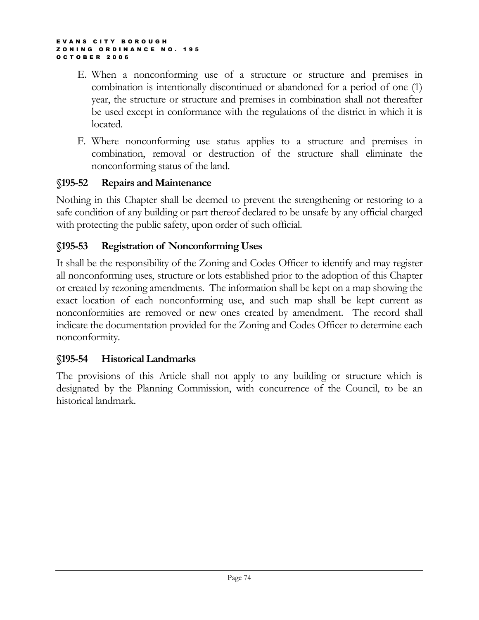- E. When a nonconforming use of a structure or structure and premises in combination is intentionally discontinued or abandoned for a period of one (1) year, the structure or structure and premises in combination shall not thereafter be used except in conformance with the regulations of the district in which it is located.
- F. Where nonconforming use status applies to a structure and premises in combination, removal or destruction of the structure shall eliminate the nonconforming status of the land.

### §195-52 Repairs and Maintenance

Nothing in this Chapter shall be deemed to prevent the strengthening or restoring to a safe condition of any building or part thereof declared to be unsafe by any official charged with protecting the public safety, upon order of such official.

### §195-53 Registration of Nonconforming Uses

It shall be the responsibility of the Zoning and Codes Officer to identify and may register all nonconforming uses, structure or lots established prior to the adoption of this Chapter or created by rezoning amendments. The information shall be kept on a map showing the exact location of each nonconforming use, and such map shall be kept current as nonconformities are removed or new ones created by amendment. The record shall indicate the documentation provided for the Zoning and Codes Officer to determine each nonconformity.

### §195-54 Historical Landmarks

The provisions of this Article shall not apply to any building or structure which is designated by the Planning Commission, with concurrence of the Council, to be an historical landmark.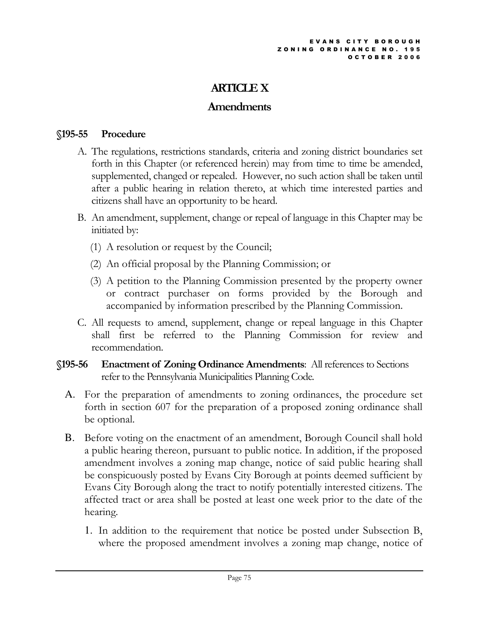# ARTICLE X

# Amendments

### §195-55 Procedure

- A. The regulations, restrictions standards, criteria and zoning district boundaries set forth in this Chapter (or referenced herein) may from time to time be amended, supplemented, changed or repealed. However, no such action shall be taken until after a public hearing in relation thereto, at which time interested parties and citizens shall have an opportunity to be heard.
- B. An amendment, supplement, change or repeal of language in this Chapter may be initiated by:
	- (1) A resolution or request by the Council;
	- (2) An official proposal by the Planning Commission; or
	- (3) A petition to the Planning Commission presented by the property owner or contract purchaser on forms provided by the Borough and accompanied by information prescribed by the Planning Commission.
- C. All requests to amend, supplement, change or repeal language in this Chapter shall first be referred to the Planning Commission for review and recommendation.
- §195-56 Enactment of Zoning Ordinance Amendments: All references to Sections refer to the Pennsylvania Municipalities Planning Code.
	- A. For the preparation of amendments to zoning ordinances, the procedure set forth in section 607 for the preparation of a proposed zoning ordinance shall be optional.
	- B. Before voting on the enactment of an amendment, Borough Council shall hold a public hearing thereon, pursuant to public notice. In addition, if the proposed amendment involves a zoning map change, notice of said public hearing shall be conspicuously posted by Evans City Borough at points deemed sufficient by Evans City Borough along the tract to notify potentially interested citizens. The affected tract or area shall be posted at least one week prior to the date of the hearing.
		- 1. In addition to the requirement that notice be posted under Subsection B, where the proposed amendment involves a zoning map change, notice of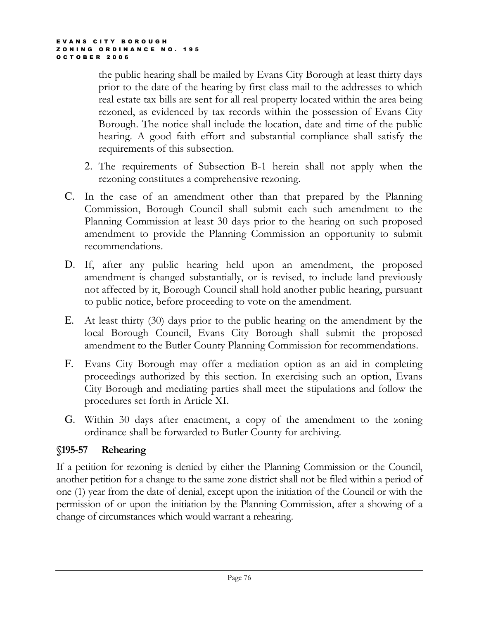the public hearing shall be mailed by Evans City Borough at least thirty days prior to the date of the hearing by first class mail to the addresses to which real estate tax bills are sent for all real property located within the area being rezoned, as evidenced by tax records within the possession of Evans City Borough. The notice shall include the location, date and time of the public hearing. A good faith effort and substantial compliance shall satisfy the requirements of this subsection.

- 2. The requirements of Subsection B-1 herein shall not apply when the rezoning constitutes a comprehensive rezoning.
- C. In the case of an amendment other than that prepared by the Planning Commission, Borough Council shall submit each such amendment to the Planning Commission at least 30 days prior to the hearing on such proposed amendment to provide the Planning Commission an opportunity to submit recommendations.
- D. If, after any public hearing held upon an amendment, the proposed amendment is changed substantially, or is revised, to include land previously not affected by it, Borough Council shall hold another public hearing, pursuant to public notice, before proceeding to vote on the amendment.
- E. At least thirty (30) days prior to the public hearing on the amendment by the local Borough Council, Evans City Borough shall submit the proposed amendment to the Butler County Planning Commission for recommendations.
- F. Evans City Borough may offer a mediation option as an aid in completing proceedings authorized by this section. In exercising such an option, Evans City Borough and mediating parties shall meet the stipulations and follow the procedures set forth in Article XI.
- G. Within 30 days after enactment, a copy of the amendment to the zoning ordinance shall be forwarded to Butler County for archiving.

# §195-57 Rehearing

If a petition for rezoning is denied by either the Planning Commission or the Council, another petition for a change to the same zone district shall not be filed within a period of one (1) year from the date of denial, except upon the initiation of the Council or with the permission of or upon the initiation by the Planning Commission, after a showing of a change of circumstances which would warrant a rehearing.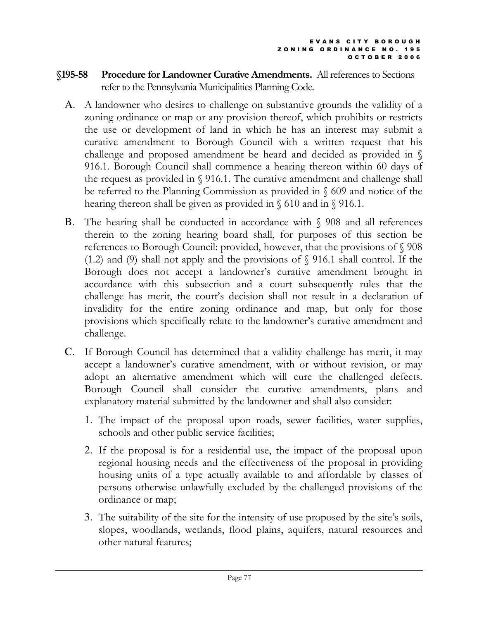- §195-58 Procedure for Landowner Curative Amendments. All references to Sections refer to the Pennsylvania Municipalities Planning Code.
	- A. A landowner who desires to challenge on substantive grounds the validity of a zoning ordinance or map or any provision thereof, which prohibits or restricts the use or development of land in which he has an interest may submit a curative amendment to Borough Council with a written request that his challenge and proposed amendment be heard and decided as provided in § 916.1. Borough Council shall commence a hearing thereon within 60 days of the request as provided in § 916.1. The curative amendment and challenge shall be referred to the Planning Commission as provided in § 609 and notice of the hearing thereon shall be given as provided in § 610 and in § 916.1.
	- B. The hearing shall be conducted in accordance with § 908 and all references therein to the zoning hearing board shall, for purposes of this section be references to Borough Council: provided, however, that the provisions of § 908 (1.2) and (9) shall not apply and the provisions of § 916.1 shall control. If the Borough does not accept a landowner's curative amendment brought in accordance with this subsection and a court subsequently rules that the challenge has merit, the court's decision shall not result in a declaration of invalidity for the entire zoning ordinance and map, but only for those provisions which specifically relate to the landowner's curative amendment and challenge.
	- C. If Borough Council has determined that a validity challenge has merit, it may accept a landowner's curative amendment, with or without revision, or may adopt an alternative amendment which will cure the challenged defects. Borough Council shall consider the curative amendments, plans and explanatory material submitted by the landowner and shall also consider:
		- 1. The impact of the proposal upon roads, sewer facilities, water supplies, schools and other public service facilities;
		- 2. If the proposal is for a residential use, the impact of the proposal upon regional housing needs and the effectiveness of the proposal in providing housing units of a type actually available to and affordable by classes of persons otherwise unlawfully excluded by the challenged provisions of the ordinance or map;
		- 3. The suitability of the site for the intensity of use proposed by the site's soils, slopes, woodlands, wetlands, flood plains, aquifers, natural resources and other natural features;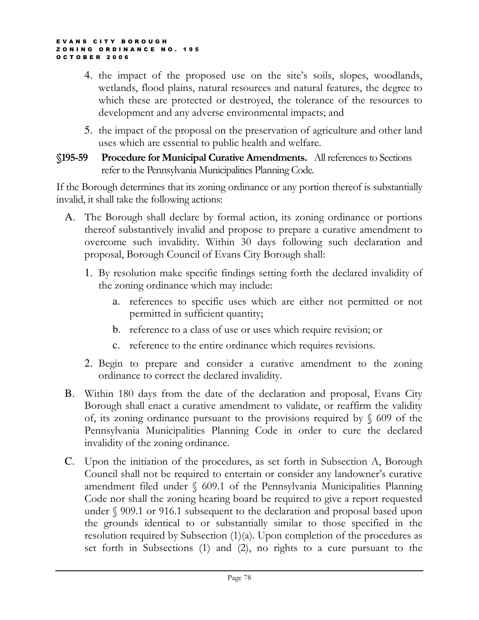- 4. the impact of the proposed use on the site's soils, slopes, woodlands, wetlands, flood plains, natural resources and natural features, the degree to which these are protected or destroyed, the tolerance of the resources to development and any adverse environmental impacts; and
- 5. the impact of the proposal on the preservation of agriculture and other land uses which are essential to public health and welfare.
- §195-59 Procedure for Municipal Curative Amendments. All references to Sections refer to the Pennsylvania Municipalities Planning Code.

If the Borough determines that its zoning ordinance or any portion thereof is substantially invalid, it shall take the following actions:

- A. The Borough shall declare by formal action, its zoning ordinance or portions thereof substantively invalid and propose to prepare a curative amendment to overcome such invalidity. Within 30 days following such declaration and proposal, Borough Council of Evans City Borough shall:
	- 1. By resolution make specific findings setting forth the declared invalidity of the zoning ordinance which may include:
		- a. references to specific uses which are either not permitted or not permitted in sufficient quantity;
		- b. reference to a class of use or uses which require revision; or
		- c. reference to the entire ordinance which requires revisions.
	- 2. Begin to prepare and consider a curative amendment to the zoning ordinance to correct the declared invalidity.
- B. Within 180 days from the date of the declaration and proposal, Evans City Borough shall enact a curative amendment to validate, or reaffirm the validity of, its zoning ordinance pursuant to the provisions required by  $\S$  609 of the Pennsylvania Municipalities Planning Code in order to cure the declared invalidity of the zoning ordinance.
- C. Upon the initiation of the procedures, as set forth in Subsection A, Borough Council shall not be required to entertain or consider any landowner's curative amendment filed under § 609.1 of the Pennsylvania Municipalities Planning Code nor shall the zoning hearing board be required to give a report requested under § 909.1 or 916.1 subsequent to the declaration and proposal based upon the grounds identical to or substantially similar to those specified in the resolution required by Subsection (1)(a). Upon completion of the procedures as set forth in Subsections (1) and (2), no rights to a cure pursuant to the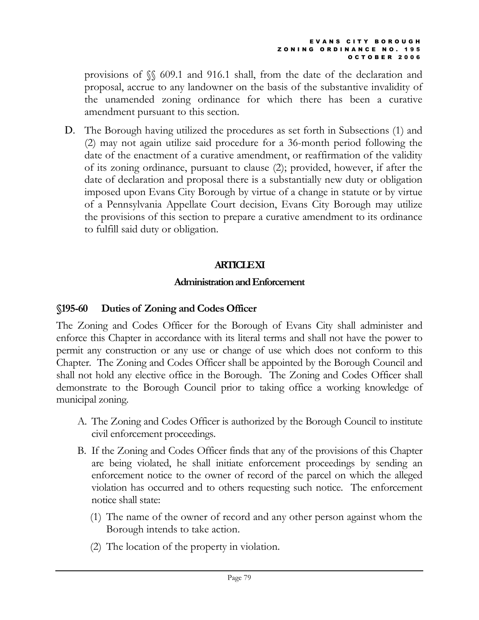provisions of §§ 609.1 and 916.1 shall, from the date of the declaration and proposal, accrue to any landowner on the basis of the substantive invalidity of the unamended zoning ordinance for which there has been a curative amendment pursuant to this section.

D. The Borough having utilized the procedures as set forth in Subsections (1) and (2) may not again utilize said procedure for a 36-month period following the date of the enactment of a curative amendment, or reaffirmation of the validity of its zoning ordinance, pursuant to clause (2); provided, however, if after the date of declaration and proposal there is a substantially new duty or obligation imposed upon Evans City Borough by virtue of a change in statute or by virtue of a Pennsylvania Appellate Court decision, Evans City Borough may utilize the provisions of this section to prepare a curative amendment to its ordinance to fulfill said duty or obligation.

# **ARTICLE XI**

### Administration and Enforcement

### §195-60 Duties of Zoning and Codes Officer

The Zoning and Codes Officer for the Borough of Evans City shall administer and enforce this Chapter in accordance with its literal terms and shall not have the power to permit any construction or any use or change of use which does not conform to this Chapter. The Zoning and Codes Officer shall be appointed by the Borough Council and shall not hold any elective office in the Borough. The Zoning and Codes Officer shall demonstrate to the Borough Council prior to taking office a working knowledge of municipal zoning.

- A. The Zoning and Codes Officer is authorized by the Borough Council to institute civil enforcement proceedings.
- B. If the Zoning and Codes Officer finds that any of the provisions of this Chapter are being violated, he shall initiate enforcement proceedings by sending an enforcement notice to the owner of record of the parcel on which the alleged violation has occurred and to others requesting such notice. The enforcement notice shall state:
	- (1) The name of the owner of record and any other person against whom the Borough intends to take action.
	- (2) The location of the property in violation.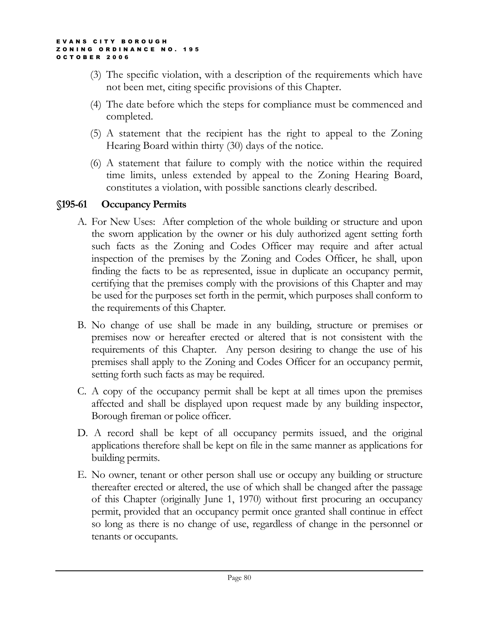- (3) The specific violation, with a description of the requirements which have not been met, citing specific provisions of this Chapter.
- (4) The date before which the steps for compliance must be commenced and completed.
- (5) A statement that the recipient has the right to appeal to the Zoning Hearing Board within thirty (30) days of the notice.
- (6) A statement that failure to comply with the notice within the required time limits, unless extended by appeal to the Zoning Hearing Board, constitutes a violation, with possible sanctions clearly described.

### §195-61 Occupancy Permits

- A. For New Uses: After completion of the whole building or structure and upon the sworn application by the owner or his duly authorized agent setting forth such facts as the Zoning and Codes Officer may require and after actual inspection of the premises by the Zoning and Codes Officer, he shall, upon finding the facts to be as represented, issue in duplicate an occupancy permit, certifying that the premises comply with the provisions of this Chapter and may be used for the purposes set forth in the permit, which purposes shall conform to the requirements of this Chapter.
- B. No change of use shall be made in any building, structure or premises or premises now or hereafter erected or altered that is not consistent with the requirements of this Chapter. Any person desiring to change the use of his premises shall apply to the Zoning and Codes Officer for an occupancy permit, setting forth such facts as may be required.
- C. A copy of the occupancy permit shall be kept at all times upon the premises affected and shall be displayed upon request made by any building inspector, Borough fireman or police officer.
- D. A record shall be kept of all occupancy permits issued, and the original applications therefore shall be kept on file in the same manner as applications for building permits.
- E. No owner, tenant or other person shall use or occupy any building or structure thereafter erected or altered, the use of which shall be changed after the passage of this Chapter (originally June 1, 1970) without first procuring an occupancy permit, provided that an occupancy permit once granted shall continue in effect so long as there is no change of use, regardless of change in the personnel or tenants or occupants.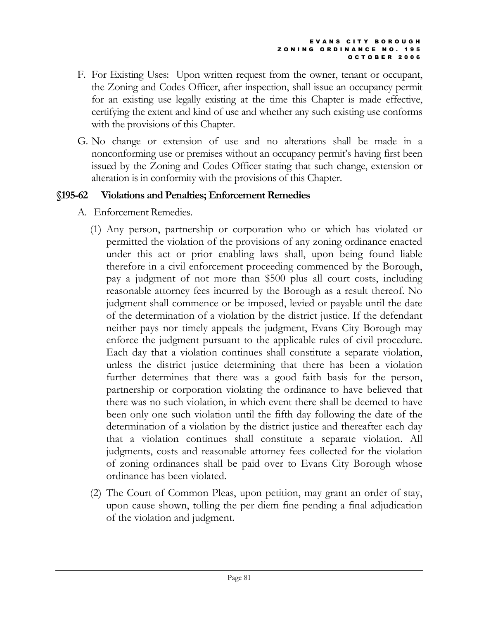- F. For Existing Uses: Upon written request from the owner, tenant or occupant, the Zoning and Codes Officer, after inspection, shall issue an occupancy permit for an existing use legally existing at the time this Chapter is made effective, certifying the extent and kind of use and whether any such existing use conforms with the provisions of this Chapter.
- G. No change or extension of use and no alterations shall be made in a nonconforming use or premises without an occupancy permit's having first been issued by the Zoning and Codes Officer stating that such change, extension or alteration is in conformity with the provisions of this Chapter.

# §195-62 Violations and Penalties; Enforcement Remedies

- A. Enforcement Remedies.
	- (1) Any person, partnership or corporation who or which has violated or permitted the violation of the provisions of any zoning ordinance enacted under this act or prior enabling laws shall, upon being found liable therefore in a civil enforcement proceeding commenced by the Borough, pay a judgment of not more than \$500 plus all court costs, including reasonable attorney fees incurred by the Borough as a result thereof. No judgment shall commence or be imposed, levied or payable until the date of the determination of a violation by the district justice. If the defendant neither pays nor timely appeals the judgment, Evans City Borough may enforce the judgment pursuant to the applicable rules of civil procedure. Each day that a violation continues shall constitute a separate violation, unless the district justice determining that there has been a violation further determines that there was a good faith basis for the person, partnership or corporation violating the ordinance to have believed that there was no such violation, in which event there shall be deemed to have been only one such violation until the fifth day following the date of the determination of a violation by the district justice and thereafter each day that a violation continues shall constitute a separate violation. All judgments, costs and reasonable attorney fees collected for the violation of zoning ordinances shall be paid over to Evans City Borough whose ordinance has been violated.
	- (2) The Court of Common Pleas, upon petition, may grant an order of stay, upon cause shown, tolling the per diem fine pending a final adjudication of the violation and judgment.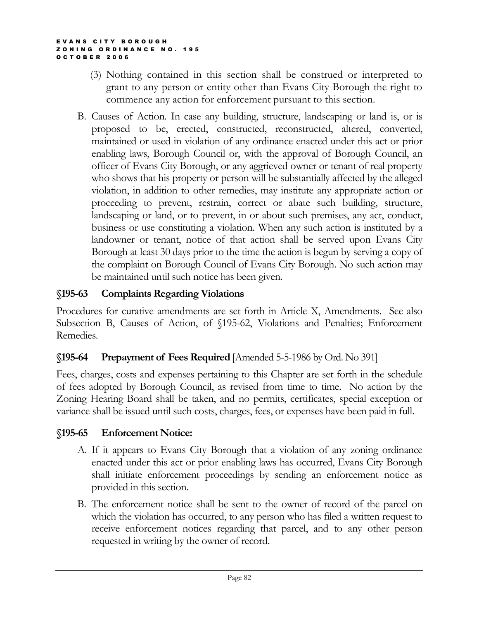- (3) Nothing contained in this section shall be construed or interpreted to grant to any person or entity other than Evans City Borough the right to commence any action for enforcement pursuant to this section.
- B. Causes of Action. In case any building, structure, landscaping or land is, or is proposed to be, erected, constructed, reconstructed, altered, converted, maintained or used in violation of any ordinance enacted under this act or prior enabling laws, Borough Council or, with the approval of Borough Council, an officer of Evans City Borough, or any aggrieved owner or tenant of real property who shows that his property or person will be substantially affected by the alleged violation, in addition to other remedies, may institute any appropriate action or proceeding to prevent, restrain, correct or abate such building, structure, landscaping or land, or to prevent, in or about such premises, any act, conduct, business or use constituting a violation. When any such action is instituted by a landowner or tenant, notice of that action shall be served upon Evans City Borough at least 30 days prior to the time the action is begun by serving a copy of the complaint on Borough Council of Evans City Borough. No such action may be maintained until such notice has been given.

# §195-63 Complaints Regarding Violations

Procedures for curative amendments are set forth in Article X, Amendments. See also Subsection B, Causes of Action, of §195-62, Violations and Penalties; Enforcement Remedies.

# §195-64 Prepayment of Fees Required [Amended 5-5-1986 by Ord. No 391]

Fees, charges, costs and expenses pertaining to this Chapter are set forth in the schedule of fees adopted by Borough Council, as revised from time to time. No action by the Zoning Hearing Board shall be taken, and no permits, certificates, special exception or variance shall be issued until such costs, charges, fees, or expenses have been paid in full.

# §195-65 Enforcement Notice:

- A. If it appears to Evans City Borough that a violation of any zoning ordinance enacted under this act or prior enabling laws has occurred, Evans City Borough shall initiate enforcement proceedings by sending an enforcement notice as provided in this section.
- B. The enforcement notice shall be sent to the owner of record of the parcel on which the violation has occurred, to any person who has filed a written request to receive enforcement notices regarding that parcel, and to any other person requested in writing by the owner of record.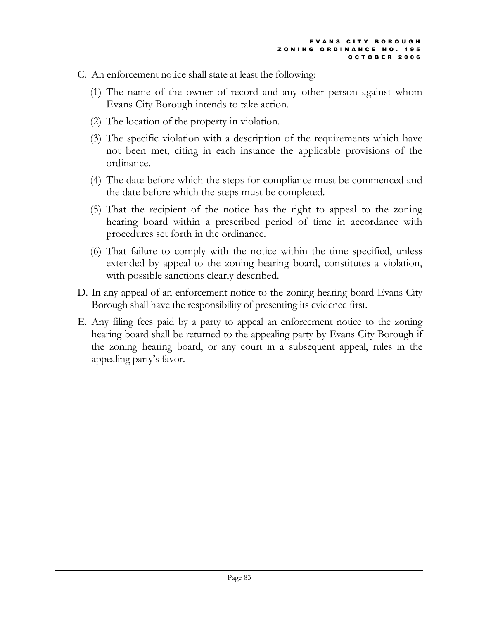- C. An enforcement notice shall state at least the following:
	- (1) The name of the owner of record and any other person against whom Evans City Borough intends to take action.
	- (2) The location of the property in violation.
	- (3) The specific violation with a description of the requirements which have not been met, citing in each instance the applicable provisions of the ordinance.
	- (4) The date before which the steps for compliance must be commenced and the date before which the steps must be completed.
	- (5) That the recipient of the notice has the right to appeal to the zoning hearing board within a prescribed period of time in accordance with procedures set forth in the ordinance.
	- (6) That failure to comply with the notice within the time specified, unless extended by appeal to the zoning hearing board, constitutes a violation, with possible sanctions clearly described.
- D. In any appeal of an enforcement notice to the zoning hearing board Evans City Borough shall have the responsibility of presenting its evidence first.
- E. Any filing fees paid by a party to appeal an enforcement notice to the zoning hearing board shall be returned to the appealing party by Evans City Borough if the zoning hearing board, or any court in a subsequent appeal, rules in the appealing party's favor.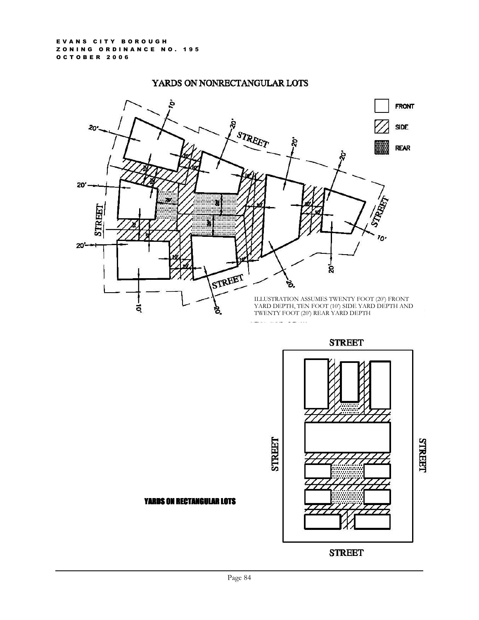### YARDS ON NONRECTANGULAR LOTS



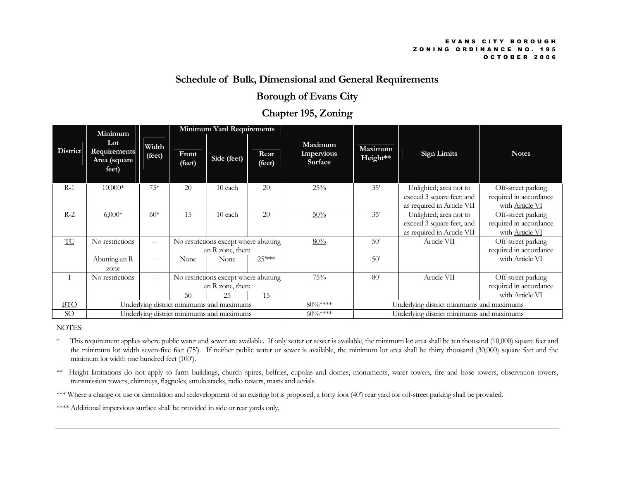### Schedule of Bulk, Dimensional and General Requirements

### Borough of Evans City

### Chapter 195, Zoning

|                  | Minimum                                      |                   | <b>Minimum Yard Requirements</b>                                            |             |                                           |                                           |                     |                                                                                   |                                                                 |
|------------------|----------------------------------------------|-------------------|-----------------------------------------------------------------------------|-------------|-------------------------------------------|-------------------------------------------|---------------------|-----------------------------------------------------------------------------------|-----------------------------------------------------------------|
| <b>District</b>  | Lot<br>Requirements<br>Area (square<br>feet) | Width<br>(feet)   | Front<br>(feet)                                                             | Side (feet) | Rear<br>(feet)                            | Maximum<br>Impervious<br><b>Surface</b>   | Maximum<br>Height** | <b>Sign Limits</b>                                                                | <b>Notes</b>                                                    |
| $R-1$            | 10,000*                                      | $75*$             | 20                                                                          | 10 each     | 20                                        | $25\%$                                    | 35'                 | Unlighted; area not to<br>exceed 3 square feet; and<br>as required in Article VII | Off-street parking<br>required in accordance<br>with Article VI |
| $R-2$            | $6,000*$                                     | $60*$             | 15                                                                          | 10 each     | 20                                        | $50\%$                                    | 35'                 | Unlighted; area not to<br>exceed 3 square feet, and<br>as required in Article VII | Off-street parking<br>required in accordance<br>with Article VI |
| <b>TC</b>        | No restrictions                              | $\hspace{0.05cm}$ | No restrictions except where abutting<br>an R zone, then:                   |             | 80%                                       | 50'                                       | Article VII         | Off-street parking<br>required in accordance                                      |                                                                 |
|                  | $\overline{A}$ butting an R<br>zone          | $- -$             | None                                                                        | None        | $25***$                                   |                                           | 50'                 |                                                                                   | with <b>Article VI</b>                                          |
|                  | No restrictions                              | $- -$             | No restrictions except where abutting<br>an R zone, then:<br>15<br>50<br>25 |             | 75%                                       | 80'                                       | Article VII         | Off-street parking<br>required in accordance<br>with Article VI                   |                                                                 |
| <b>BTO</b>       | Underlying district minimums and maximums    |                   |                                                                             | 80%*****    | Underlying district minimums and maximums |                                           |                     |                                                                                   |                                                                 |
| $\underline{SO}$ | Underlying district minimums and maximums    |                   |                                                                             |             | $60\%***$                                 | Underlying district minimums and maximums |                     |                                                                                   |                                                                 |

NOTES:

- \* This requirement applies where public water and sewer are available. If only water or sewer is available, the minimum lot area shall be ten thousand (10,000) square feet and the minimum lot width seven-five feet (75'). If neither public water or sewer is available, the minimum lot area shall be thirty thousand (30,000) square feet and the minimum lot width one hundred feet (100').
- \*\* Height limitations do not apply to farm buildings, church spires, belfries, cupolas and domes, monuments, water towers, fire and hose towers, observation towers, transmission towers, chimneys, flagpoles, smokestacks, radio towers, masts and aerials.
- \*\*\* Where a change of use or demolition and redevelopment of an existing lot is proposed, a forty foot (40') rear yard for off-street parking shall be provided.

\*\*\*\* Additional impervious surface shall be provided in side or rear yards only.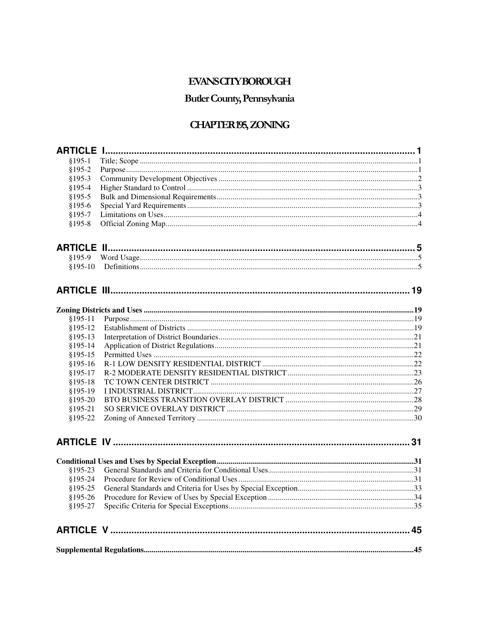# **EVANSCITYBOROUGH**

# Butler County, Pennsylvania

# **CHAPTER 195, ZONING**

| $§195-1$  |  |
|-----------|--|
| $$195-2$  |  |
| $§195-3$  |  |
| $$195-4$  |  |
| $$195-5$  |  |
| $$195-6$  |  |
| $$195-7$  |  |
| $$195-8$  |  |
|           |  |
|           |  |
| $$195-10$ |  |
|           |  |
|           |  |
|           |  |
| $$195-11$ |  |
| $§195-12$ |  |
| $§195-13$ |  |
| $$195-14$ |  |
| $§195-15$ |  |
| $$195-16$ |  |
| $$195-17$ |  |
| $$195-18$ |  |
| $§195-19$ |  |
| $§195-20$ |  |
| $$195-21$ |  |
| $$195-22$ |  |
|           |  |
|           |  |
| $§195-23$ |  |
| $$195-24$ |  |
| $§195-25$ |  |
|           |  |
| $$195-27$ |  |
|           |  |
|           |  |
|           |  |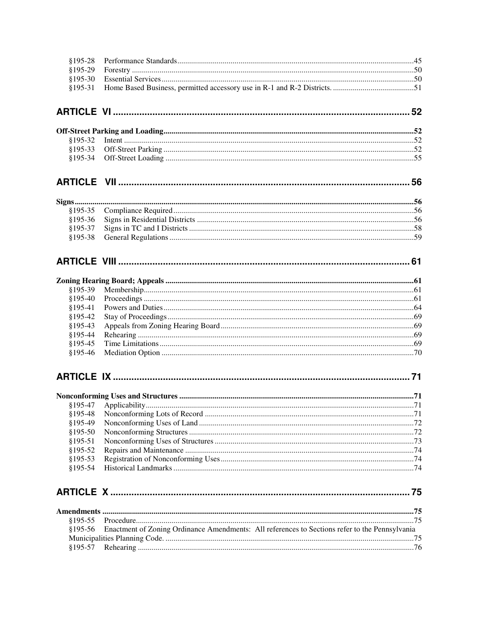| §195-28   |                                                                                                |  |
|-----------|------------------------------------------------------------------------------------------------|--|
| §195-29   |                                                                                                |  |
| $$195-30$ |                                                                                                |  |
| $$195-31$ |                                                                                                |  |
|           |                                                                                                |  |
|           |                                                                                                |  |
| $$195-32$ |                                                                                                |  |
| $§195-33$ |                                                                                                |  |
| $$195-34$ |                                                                                                |  |
|           |                                                                                                |  |
|           |                                                                                                |  |
| $§195-35$ |                                                                                                |  |
| $$195-36$ |                                                                                                |  |
| $$195-37$ |                                                                                                |  |
| $$195-38$ |                                                                                                |  |
|           |                                                                                                |  |
|           |                                                                                                |  |
| §195-39   |                                                                                                |  |
| $$195-40$ |                                                                                                |  |
| $$195-41$ |                                                                                                |  |
| $$195-42$ |                                                                                                |  |
| $§195-43$ |                                                                                                |  |
| $$195-44$ |                                                                                                |  |
| $$195-45$ |                                                                                                |  |
| $$195-46$ |                                                                                                |  |
|           |                                                                                                |  |
|           |                                                                                                |  |
|           |                                                                                                |  |
| $$195-48$ |                                                                                                |  |
| §195-49   |                                                                                                |  |
| §195-50   |                                                                                                |  |
| $$195-51$ |                                                                                                |  |
| $$195-52$ |                                                                                                |  |
| $$195-53$ |                                                                                                |  |
| $$195-54$ |                                                                                                |  |
|           |                                                                                                |  |
|           |                                                                                                |  |
| $§195-55$ |                                                                                                |  |
| $$195-56$ | Enactment of Zoning Ordinance Amendments: All references to Sections refer to the Pennsylvania |  |
|           |                                                                                                |  |
| $$195-57$ |                                                                                                |  |